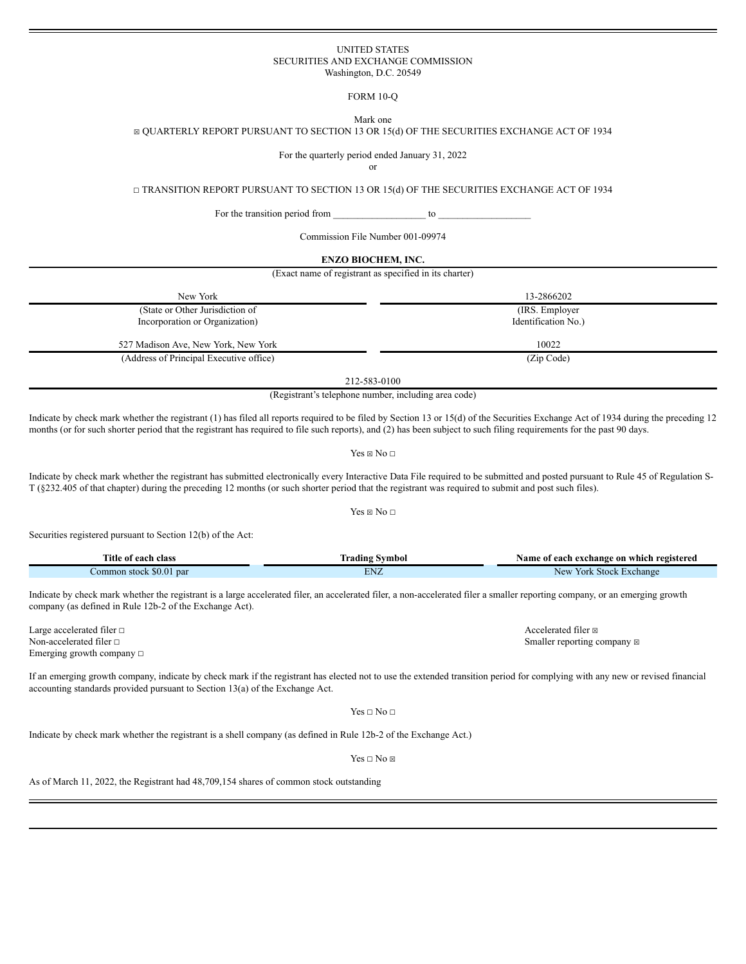## UNITED STATES SECURITIES AND EXCHANGE COMMISSION Washington, D.C. 20549

FORM 10-Q

Mark one

☒ QUARTERLY REPORT PURSUANT TO SECTION 13 OR 15(d) OF THE SECURITIES EXCHANGE ACT OF 1934

For the quarterly period ended January 31, 2022

or

☐ TRANSITION REPORT PURSUANT TO SECTION 13 OR 15(d) OF THE SECURITIES EXCHANGE ACT OF 1934

For the transition period from  $\frac{1}{\sqrt{2\pi}}$  to  $\frac{1}{\sqrt{2\pi}}$ 

Commission File Number 001-09974

#### **ENZO BIOCHEM, INC.**

(Exact name of registrant as specified in its charter)

| New York                                | 13-2866202          |
|-----------------------------------------|---------------------|
| (State or Other Jurisdiction of         | (IRS. Employer)     |
| Incorporation or Organization)          | Identification No.) |
| 527 Madison Ave, New York, New York     | 10022               |
| (Address of Principal Executive office) | (Zip Code)          |
|                                         | 212-583-0100        |

(Registrant's telephone number, including area code)

Indicate by check mark whether the registrant (1) has filed all reports required to be filed by Section 13 or 15(d) of the Securities Exchange Act of 1934 during the preceding 12 months (or for such shorter period that the registrant has required to file such reports), and (2) has been subject to such filing requirements for the past 90 days.

Yes  $\boxtimes$  No  $\Box$ 

Indicate by check mark whether the registrant has submitted electronically every Interactive Data File required to be submitted and posted pursuant to Rule 45 of Regulation S-T (§232.405 of that chapter) during the preceding 12 months (or such shorter period that the registrant was required to submit and post such files).

## Yes  $\boxtimes$  No  $\Box$

Securities registered pursuant to Section 12(b) of the Act:

| l'itle of each                                                           | svmbol                                                          | Name of                                 |
|--------------------------------------------------------------------------|-----------------------------------------------------------------|-----------------------------------------|
| . class                                                                  | rading                                                          | f each exchange on which registered     |
| $\mathcal{L}$ $\mathcal{L}$<br><b>SO.O</b><br>Common_<br>par<br>⊧stock ∶ | EN <sub>7</sub><br>LI V.<br>the contract of the contract of the | New<br><b>Stock</b><br>Exchange<br>York |

Indicate by check mark whether the registrant is a large accelerated filer, an accelerated filer, a non-accelerated filer a smaller reporting company, or an emerging growth company (as defined in Rule 12b-2 of the Exchange Act).

Large accelerated filer □ Accelerated filer □ Accelerated filer ⊠ Non-accelerated filer □ Smaller reporting company ⊠ Emerging growth company ☐

If an emerging growth company, indicate by check mark if the registrant has elected not to use the extended transition period for complying with any new or revised financial accounting standards provided pursuant to Section 13(a) of the Exchange Act.

 $Yes \Box No \Box$ 

Indicate by check mark whether the registrant is a shell company (as defined in Rule 12b-2 of the Exchange Act.)

 $Yes \sqcap No \boxtimes$ 

As of March 11, 2022, the Registrant had 48,709,154 shares of common stock outstanding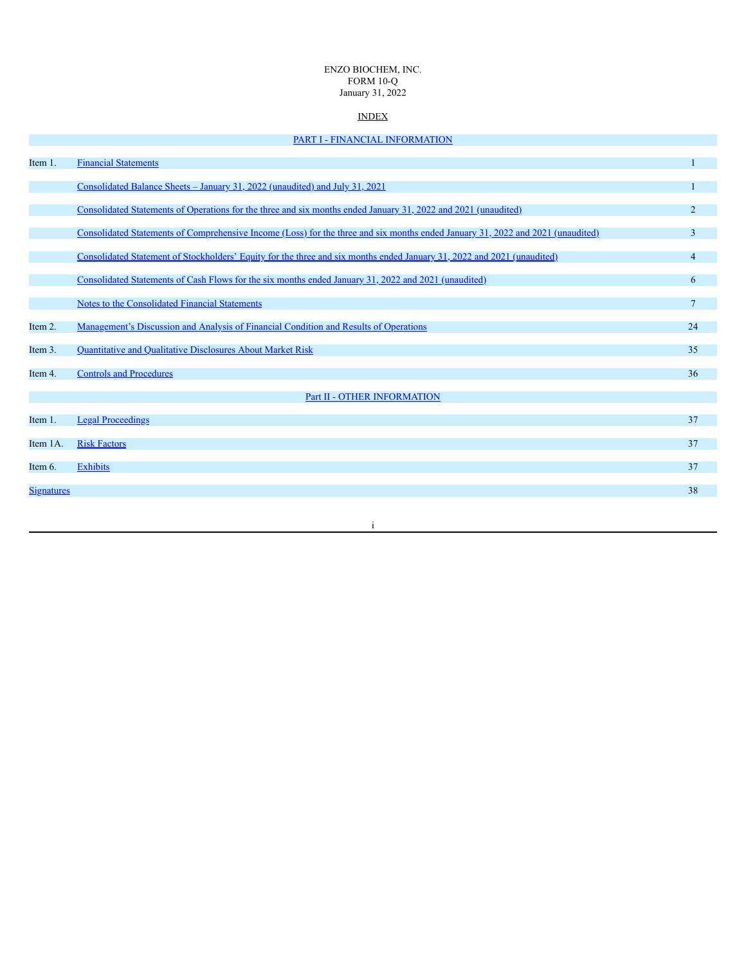### ENZO BIOCHEM, INC. FORM 10-Q January 31, 2022

# INDEX

|                   | PART I - FINANCIAL INFORMATION                                                                                                  |                 |
|-------------------|---------------------------------------------------------------------------------------------------------------------------------|-----------------|
| Item 1.           | <b>Financial Statements</b>                                                                                                     | 1               |
|                   | Consolidated Balance Sheets - January 31, 2022 (unaudited) and July 31, 2021                                                    | 1               |
|                   | Consolidated Statements of Operations for the three and six months ended January 31, 2022 and 2021 (unaudited)                  | $\overline{2}$  |
|                   | Consolidated Statements of Comprehensive Income (Loss) for the three and six months ended January 31, 2022 and 2021 (unaudited) | 3               |
|                   | Consolidated Statement of Stockholders' Equity for the three and six months ended January 31, 2022 and 2021 (unaudited)         | $\overline{4}$  |
|                   | Consolidated Statements of Cash Flows for the six months ended January 31, 2022 and 2021 (unaudited)                            | 6               |
|                   | <b>Notes to the Consolidated Financial Statements</b>                                                                           | $7\overline{ }$ |
| Item 2.           | Management's Discussion and Analysis of Financial Condition and Results of Operations                                           | 24              |
| Item 3.           | <b>Quantitative and Qualitative Disclosures About Market Risk</b>                                                               | 35              |
| Item 4.           | <b>Controls and Procedures</b>                                                                                                  | 36              |
|                   | Part II - OTHER INFORMATION                                                                                                     |                 |
| Item 1.           | <b>Legal Proceedings</b>                                                                                                        | 37              |
| Item 1A.          | <b>Risk Factors</b>                                                                                                             | 37              |
| Item 6.           | <b>Exhibits</b>                                                                                                                 | 37              |
| <b>Signatures</b> |                                                                                                                                 | 38              |
|                   |                                                                                                                                 |                 |
|                   | 1                                                                                                                               |                 |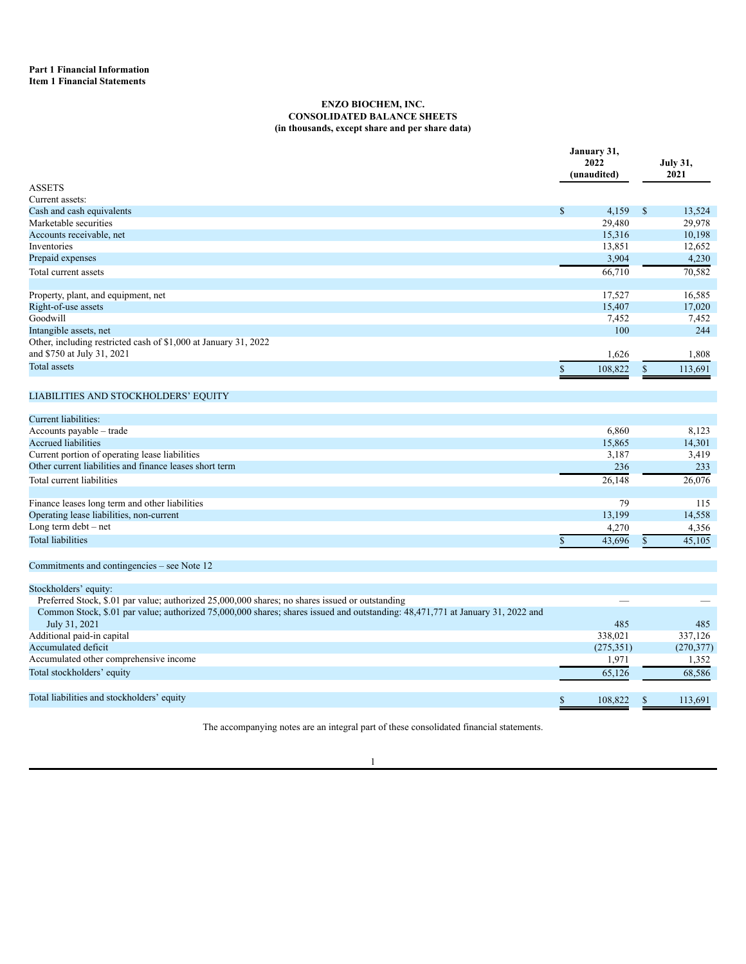# **ENZO BIOCHEM, INC. CONSOLIDATED BALANCE SHEETS (in thousands, except share and per share data)**

<span id="page-2-2"></span><span id="page-2-1"></span><span id="page-2-0"></span>

|                                                                 | January 31,<br>2022<br>(unaudited) | <b>July 31,</b><br>2021 |  |
|-----------------------------------------------------------------|------------------------------------|-------------------------|--|
| <b>ASSETS</b>                                                   |                                    |                         |  |
| Current assets:                                                 |                                    |                         |  |
| Cash and cash equivalents                                       | \$<br>4,159                        | $\mathbb{S}$<br>13,524  |  |
| Marketable securities                                           | 29,480                             | 29,978                  |  |
| Accounts receivable, net                                        | 15,316                             | 10,198                  |  |
| Inventories                                                     | 13,851                             | 12,652                  |  |
| Prepaid expenses                                                | 3,904                              | 4,230                   |  |
| Total current assets                                            | 66,710                             | 70,582                  |  |
| Property, plant, and equipment, net                             | 17,527                             | 16,585                  |  |
| Right-of-use assets                                             | 15,407                             | 17,020                  |  |
| Goodwill                                                        | 7,452                              | 7,452                   |  |
| Intangible assets, net                                          | 100                                | 244                     |  |
| Other, including restricted cash of \$1,000 at January 31, 2022 |                                    |                         |  |
| and \$750 at July 31, 2021                                      | 1,626                              | 1,808                   |  |
| <b>Total assets</b>                                             | 108,822                            | 113,691<br>$\mathbb{S}$ |  |
| LIABILITIES AND STOCKHOLDERS' EQUITY                            |                                    |                         |  |
| Current liabilities:                                            |                                    |                         |  |
| Accounts payable - trade                                        | 6.860                              | 8,123                   |  |
| <b>Accrued liabilities</b>                                      | 15,865                             | 14,301                  |  |
| Current portion of operating lease liabilities                  | 3,187                              | 3,419                   |  |
| Other current liabilities and finance leases short term         | 236                                | 233                     |  |
| Total current liabilities                                       | 26,148                             | 26,076                  |  |
|                                                                 |                                    |                         |  |
| Finance leases long term and other liabilities                  | 79                                 | 115                     |  |
| Operating lease liabilities, non-current                        | 13,199                             | 14,558                  |  |
| Long term $debt - net$                                          | 4,270                              | 4,356                   |  |
| <b>Total liabilities</b>                                        | 43,696<br>\$                       | 45,105<br>\$            |  |

Commitments and contingencies – see Note 12

|  | Stockholders' equity: |  |  |
|--|-----------------------|--|--|
|  |                       |  |  |

| Preferred Stock, \$.01 par value; authorized 25,000,000 shares; no shares issued or outstanding                                |            |            |
|--------------------------------------------------------------------------------------------------------------------------------|------------|------------|
| Common Stock, \$.01 par value; authorized 75,000,000 shares; shares issued and outstanding: 48,471,771 at January 31, 2022 and |            |            |
| July 31, 2021                                                                                                                  | 485        | 485        |
| Additional paid-in capital                                                                                                     | 338.021    | 337.126    |
| Accumulated deficit                                                                                                            | (275, 351) | (270, 377) |
| Accumulated other comprehensive income                                                                                         | 1,971      | 1,352      |
| Total stockholders' equity                                                                                                     | 65.126     | 68,586     |
|                                                                                                                                |            |            |
| Total liabilities and stockholders' equity                                                                                     | 108.822    | 113,691    |

The accompanying notes are an integral part of these consolidated financial statements.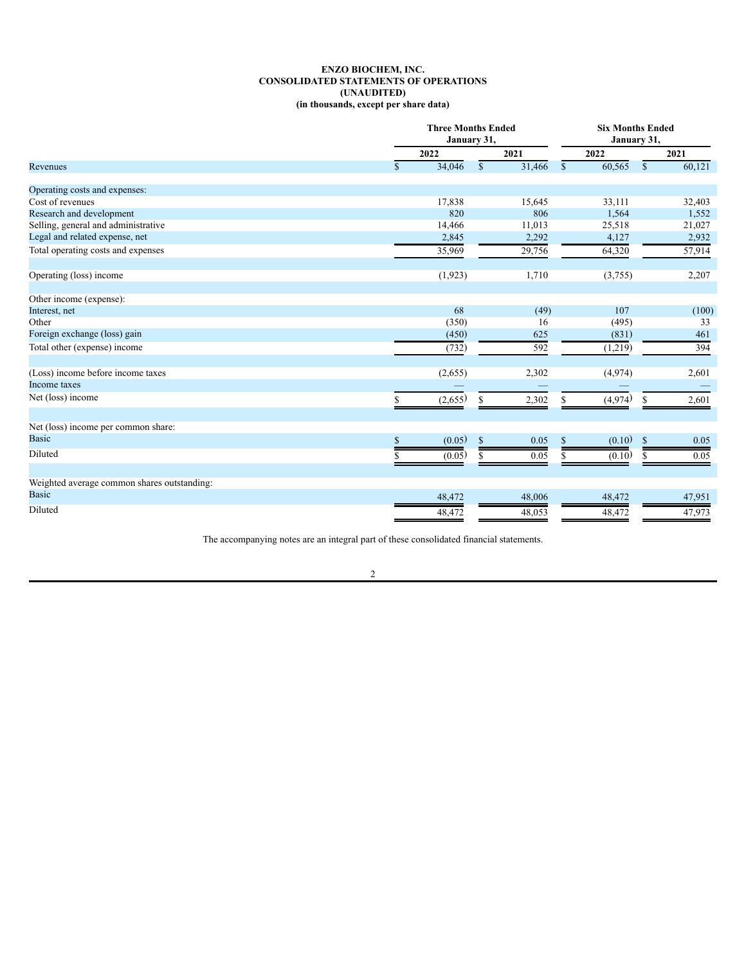# **ENZO BIOCHEM, INC. CONSOLIDATED STATEMENTS OF OPERATIONS (UNAUDITED) (in thousands, except per share data)**

<span id="page-3-0"></span>

|                                             |              | <b>Three Months Ended</b><br>January 31, |                        |              | <b>Six Months Ended</b><br>January 31, |               |        |
|---------------------------------------------|--------------|------------------------------------------|------------------------|--------------|----------------------------------------|---------------|--------|
|                                             |              | 2022                                     | 2021                   |              | 2022                                   |               | 2021   |
| Revenues                                    | $\mathbb{S}$ | 34,046                                   | $\mathbb{S}$<br>31,466 | $\mathbb{S}$ | 60,565                                 | $\mathbb{S}$  | 60,121 |
| Operating costs and expenses:               |              |                                          |                        |              |                                        |               |        |
| Cost of revenues                            |              | 17,838                                   | 15,645                 |              | 33,111                                 |               | 32,403 |
| Research and development                    |              | 820                                      | 806                    |              | 1,564                                  |               | 1,552  |
| Selling, general and administrative         |              | 14,466                                   | 11,013                 |              | 25,518                                 |               | 21,027 |
| Legal and related expense, net              |              | 2,845                                    | 2,292                  |              | 4,127                                  |               | 2,932  |
| Total operating costs and expenses          |              | 35,969                                   | 29,756                 |              | 64,320                                 |               | 57,914 |
| Operating (loss) income                     |              | (1, 923)                                 | 1,710                  |              | (3,755)                                |               | 2,207  |
| Other income (expense):                     |              |                                          |                        |              |                                        |               |        |
| Interest, net                               |              | 68                                       | (49)                   |              | 107                                    |               | (100)  |
| Other                                       |              | (350)                                    | 16                     |              | (495)                                  |               | 33     |
| Foreign exchange (loss) gain                |              | (450)                                    | 625                    |              | (831)                                  |               | 461    |
| Total other (expense) income                |              | (732)                                    | 592                    |              | (1,219)                                |               | 394    |
| (Loss) income before income taxes           |              | (2,655)                                  | 2,302                  |              | (4,974)                                |               | 2,601  |
| Income taxes                                |              | –                                        |                        |              |                                        |               |        |
| Net (loss) income                           | S            | (2,655)                                  | 2,302<br>S             | S            | (4,974)                                | \$            | 2,601  |
| Net (loss) income per common share:         |              |                                          |                        |              |                                        |               |        |
| <b>Basic</b>                                | \$           | (0.05)                                   | $\mathbb{S}$<br>0.05   | \$           | (0.10)                                 | $\mathcal{S}$ | 0.05   |
| Diluted                                     |              | (0.05)                                   | 0.05<br>\$.            | S            | (0.10)                                 | S             | 0.05   |
| Weighted average common shares outstanding: |              |                                          |                        |              |                                        |               |        |
| <b>Basic</b>                                |              |                                          |                        |              |                                        |               |        |
|                                             |              | 48,472                                   | 48,006                 |              | 48,472                                 |               | 47,951 |
| Diluted                                     |              | 48,472                                   | 48,053                 |              | 48,472                                 |               | 47,973 |

The accompanying notes are an integral part of these consolidated financial statements.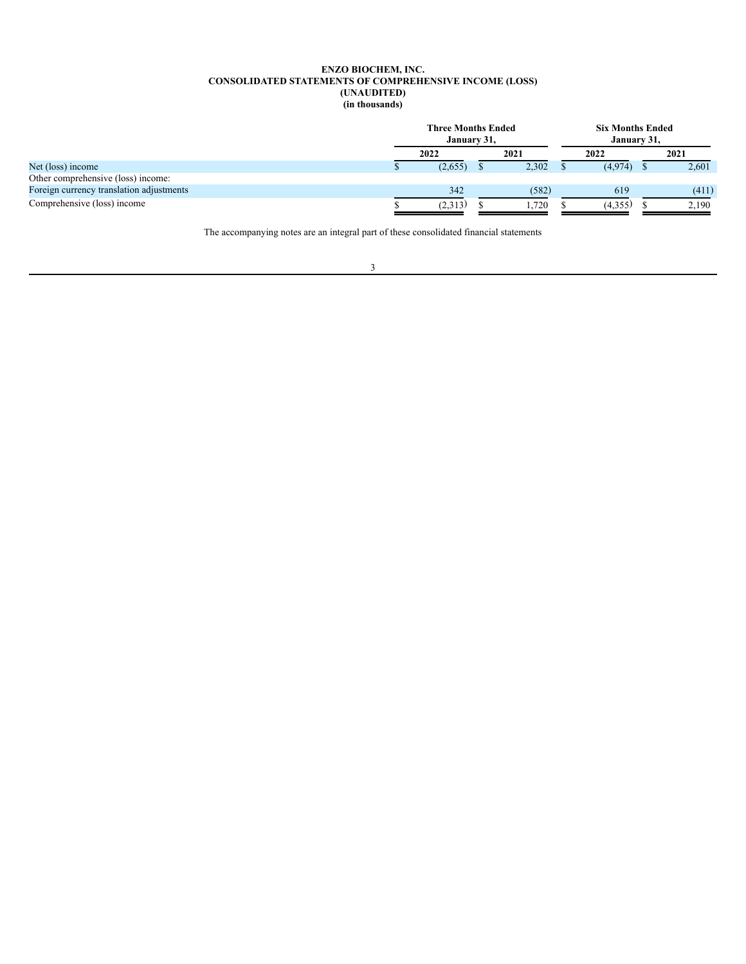### **ENZO BIOCHEM, INC. CONSOLIDATED STATEMENTS OF COMPREHENSIVE INCOME (LOSS) (UNAUDITED) (in thousands)**

<span id="page-4-0"></span>

|                                          | <b>Three Months Ended</b><br>January 31, |         |  | <b>Six Months Ended</b><br>January 31, |  |         |  |       |
|------------------------------------------|------------------------------------------|---------|--|----------------------------------------|--|---------|--|-------|
|                                          |                                          | 2022    |  | 2021                                   |  | 2022    |  | 2021  |
| Net (loss) income                        |                                          | (2,655) |  | 2,302                                  |  | (4,974) |  | 2,601 |
| Other comprehensive (loss) income:       |                                          |         |  |                                        |  |         |  |       |
| Foreign currency translation adjustments |                                          | 342     |  | (582)                                  |  | 619     |  | (411) |
| Comprehensive (loss) income              |                                          | (2,313) |  | .720                                   |  | (4,355) |  | 2.190 |

The accompanying notes are an integral part of these consolidated financial statements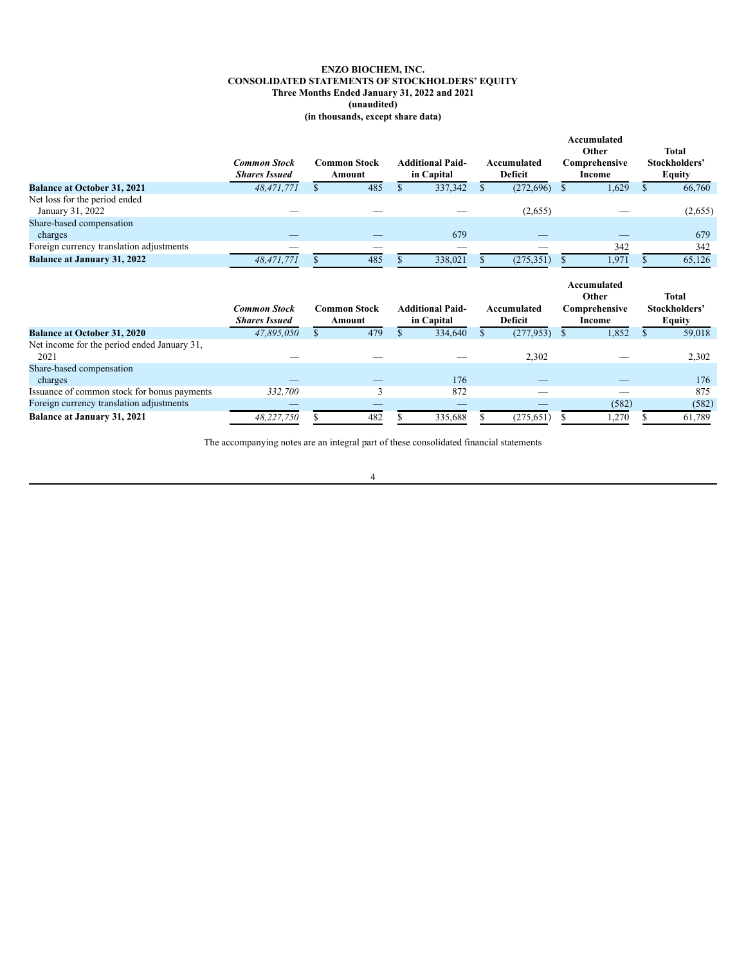# **ENZO BIOCHEM, INC. CONSOLIDATED STATEMENTS OF STOCKHOLDERS' EQUITY Three Months Ended January 31, 2022 and 2021 (unaudited) (in thousands, except share data)**

<span id="page-5-0"></span>

|                                                     | <b>Common Stock</b><br><b>Shares Issued</b> |     | <b>Common Stock</b><br>Amount | <b>Additional Paid-</b><br>in Capital |     | Accumulated<br><b>Deficit</b> |               | Accumulated<br>Other<br>Comprehensive<br>Income | <b>Total</b><br>Stockholders'<br><b>Equity</b> |
|-----------------------------------------------------|---------------------------------------------|-----|-------------------------------|---------------------------------------|-----|-------------------------------|---------------|-------------------------------------------------|------------------------------------------------|
| <b>Balance at October 31, 2021</b>                  | 48,471,771                                  |     | 485                           | 337,342                               |     | (272, 696)                    | S             | 1,629                                           | 66,760                                         |
| Net loss for the period ended<br>January 31, 2022   |                                             |     |                               |                                       |     | (2,655)                       |               |                                                 | (2,655)                                        |
| Share-based compensation                            |                                             |     |                               |                                       |     |                               |               |                                                 |                                                |
| charges                                             |                                             |     |                               | 679                                   |     |                               |               |                                                 | 679                                            |
| Foreign currency translation adjustments            |                                             |     |                               |                                       |     |                               |               | 342                                             | 342                                            |
| <b>Balance at January 31, 2022</b>                  | 48,471,771                                  |     | 485                           | 338,021                               |     | (275, 351)                    |               | 1,971                                           | 65,126                                         |
|                                                     |                                             |     |                               |                                       |     |                               |               |                                                 |                                                |
|                                                     | <b>Common Stock</b><br><b>Shares Issued</b> |     | <b>Common Stock</b><br>Amount | <b>Additional Paid-</b><br>in Capital |     | Accumulated<br><b>Deficit</b> |               | Accumulated<br>Other<br>Comprehensive<br>Income | <b>Total</b><br>Stockholders'<br><b>Equity</b> |
| <b>Balance at October 31, 2020</b>                  | 47,895,050                                  | \$. | 479                           | 334,640                               | \$. | (277, 953)                    | <sup>\$</sup> | 1,852                                           | \$<br>59,018                                   |
| Net income for the period ended January 31,<br>2021 |                                             |     |                               |                                       |     | 2,302                         |               |                                                 | 2,302                                          |
| Share-based compensation<br>charges                 |                                             |     |                               | 176                                   |     |                               |               |                                                 | 176                                            |
| Issuance of common stock for bonus payments         | 332,700                                     |     | 3                             | 872                                   |     |                               |               |                                                 | 875                                            |
| Foreign currency translation adjustments            |                                             |     |                               |                                       |     |                               |               | (582)                                           | (582)                                          |

The accompanying notes are an integral part of these consolidated financial statements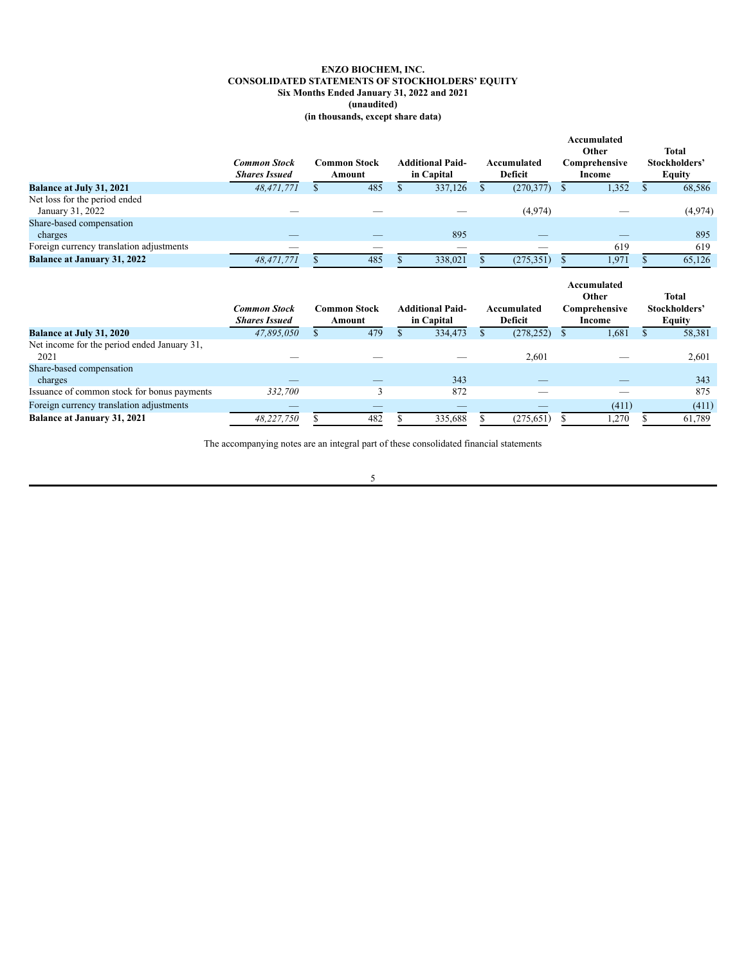# **ENZO BIOCHEM, INC. CONSOLIDATED STATEMENTS OF STOCKHOLDERS' EQUITY Six Months Ended January 31, 2022 and 2021 (unaudited) (in thousands, except share data)**

|                                                     | <b>Common Stock</b><br><b>Shares Issued</b> |    | <b>Common Stock</b><br>Amount | <b>Additional Paid-</b><br>in Capital |              | Accumulated<br><b>Deficit</b> |    | Accumulated<br>Other<br>Comprehensive<br>Income | <b>Total</b><br>Stockholders'<br><b>Equity</b> |
|-----------------------------------------------------|---------------------------------------------|----|-------------------------------|---------------------------------------|--------------|-------------------------------|----|-------------------------------------------------|------------------------------------------------|
| <b>Balance at July 31, 2021</b>                     | 48,471,771                                  | S. | 485                           | 337,126                               | $\mathbb{S}$ | (270, 377)                    | S  | 1,352                                           | \$<br>68,586                                   |
| Net loss for the period ended<br>January 31, 2022   |                                             |    |                               |                                       |              | (4,974)                       |    |                                                 | (4,974)                                        |
| Share-based compensation<br>charges                 |                                             |    |                               | 895                                   |              |                               |    |                                                 | 895                                            |
| Foreign currency translation adjustments            |                                             |    |                               |                                       |              |                               |    | 619                                             | 619                                            |
| <b>Balance at January 31, 2022</b>                  | 48,471,771                                  | S. | 485                           | 338,021                               |              | (275, 351)                    | \$ | 1,971                                           | 65,126                                         |
|                                                     |                                             |    |                               |                                       |              |                               |    |                                                 |                                                |
|                                                     | <b>Common Stock</b><br><b>Shares Issued</b> |    | <b>Common Stock</b><br>Amount | <b>Additional Paid-</b><br>in Capital |              | Accumulated<br>Deficit        |    | Accumulated<br>Other<br>Comprehensive<br>Income | <b>Total</b><br>Stockholders'<br><b>Equity</b> |
| <b>Balance at July 31, 2020</b>                     | 47,895,050                                  | \$ | 479                           | 334,473                               | \$.          | (278, 252)                    | S  | 1,681                                           | 58,381                                         |
| Net income for the period ended January 31,<br>2021 |                                             |    |                               |                                       |              | 2,601                         |    |                                                 | 2,601                                          |
| Share-based compensation<br>charges                 |                                             |    |                               | 343                                   |              |                               |    |                                                 | 343                                            |
| Issuance of common stock for bonus payments         | 332,700                                     |    | 3                             | 872                                   |              |                               |    |                                                 | 875                                            |
| Foreign currency translation adjustments            |                                             |    |                               |                                       |              |                               |    | (411)                                           | (411)                                          |

The accompanying notes are an integral part of these consolidated financial statements

# 5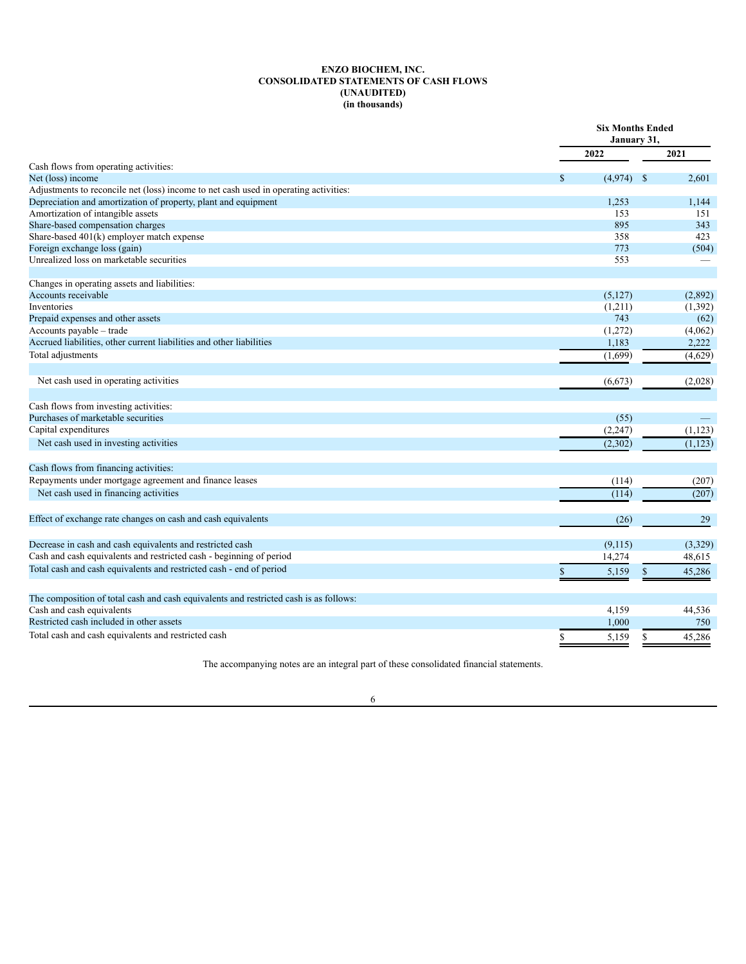# **ENZO BIOCHEM, INC. CONSOLIDATED STATEMENTS OF CASH FLOWS (UNAUDITED) (in thousands)**

<span id="page-7-0"></span>

|                                                                                       | January 31,   | <b>Six Months Ended</b> |  |  |
|---------------------------------------------------------------------------------------|---------------|-------------------------|--|--|
|                                                                                       | 2022          | 2021                    |  |  |
| Cash flows from operating activities:                                                 |               |                         |  |  |
| Net (loss) income                                                                     | (4,974)<br>\$ | $\mathcal{S}$<br>2,601  |  |  |
| Adjustments to reconcile net (loss) income to net cash used in operating activities:  |               |                         |  |  |
| Depreciation and amortization of property, plant and equipment                        | 1,253         | 1,144                   |  |  |
| Amortization of intangible assets                                                     | 153           | 151                     |  |  |
| Share-based compensation charges                                                      | 895           | 343                     |  |  |
| Share-based 401(k) employer match expense                                             | 358           | 423                     |  |  |
| Foreign exchange loss (gain)<br>Unrealized loss on marketable securities              | 773           | (504)                   |  |  |
|                                                                                       | 553           |                         |  |  |
| Changes in operating assets and liabilities:                                          |               |                         |  |  |
| Accounts receivable                                                                   | (5, 127)      | (2,892)                 |  |  |
| Inventories                                                                           | (1,211)       | (1,392)                 |  |  |
| Prepaid expenses and other assets                                                     | 743           | (62)                    |  |  |
| Accounts payable - trade                                                              | (1,272)       | (4,062)                 |  |  |
| Accrued liabilities, other current liabilities and other liabilities                  | 1,183         | 2,222                   |  |  |
| Total adjustments                                                                     | (1,699)       | (4,629)                 |  |  |
| Net cash used in operating activities                                                 | (6, 673)      | (2,028)                 |  |  |
| Cash flows from investing activities:                                                 |               |                         |  |  |
| Purchases of marketable securities                                                    |               |                         |  |  |
|                                                                                       | (55)          |                         |  |  |
| Capital expenditures                                                                  | (2, 247)      | (1, 123)                |  |  |
| Net cash used in investing activities                                                 | (2,302)       | (1, 123)                |  |  |
| Cash flows from financing activities:                                                 |               |                         |  |  |
| Repayments under mortgage agreement and finance leases                                | (114)         | (207)                   |  |  |
| Net cash used in financing activities                                                 | (114)         | (207)                   |  |  |
| Effect of exchange rate changes on cash and cash equivalents                          | (26)          | 29                      |  |  |
|                                                                                       |               |                         |  |  |
| Decrease in cash and cash equivalents and restricted cash                             | (9,115)       | (3,329)                 |  |  |
| Cash and cash equivalents and restricted cash - beginning of period                   | 14,274        | 48,615                  |  |  |
| Total cash and cash equivalents and restricted cash - end of period                   | \$<br>5,159   | 45,286<br>\$            |  |  |
|                                                                                       |               |                         |  |  |
| The composition of total cash and cash equivalents and restricted cash is as follows: |               |                         |  |  |
| Cash and cash equivalents                                                             | 4,159         | 44,536                  |  |  |
| Restricted cash included in other assets                                              | 1,000         | 750                     |  |  |
| Total cash and cash equivalents and restricted cash                                   | \$<br>5,159   | \$<br>45,286            |  |  |

The accompanying notes are an integral part of these consolidated financial statements.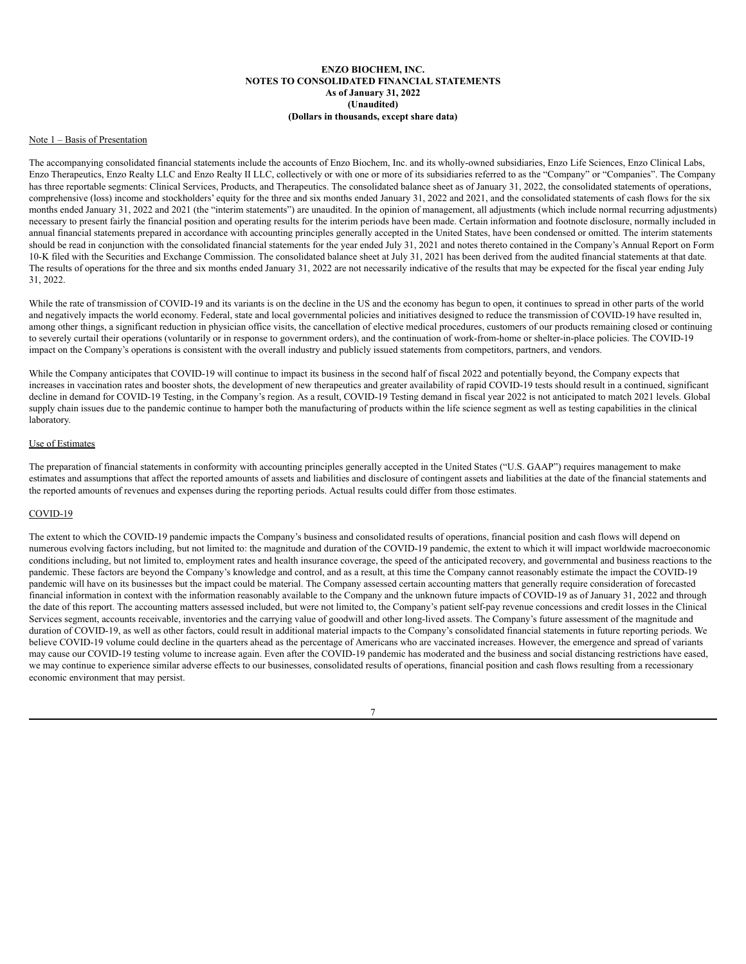## **ENZO BIOCHEM, INC. NOTES TO CONSOLIDATED FINANCIAL STATEMENTS As of January 31, 2022 (Unaudited) (Dollars in thousands, except share data)**

### <span id="page-8-0"></span>Note 1 – Basis of Presentation

The accompanying consolidated financial statements include the accounts of Enzo Biochem, Inc. and its wholly-owned subsidiaries, Enzo Life Sciences, Enzo Clinical Labs, Enzo Therapeutics, Enzo Realty LLC and Enzo Realty II LLC, collectively or with one or more of its subsidiaries referred to as the "Company" or "Companies". The Company has three reportable segments: Clinical Services, Products, and Therapeutics. The consolidated balance sheet as of January 31, 2022, the consolidated statements of operations, comprehensive (loss) income and stockholders' equity for the three and six months ended January 31, 2022 and 2021, and the consolidated statements of cash flows for the six months ended January 31, 2022 and 2021 (the "interim statements") are unaudited. In the opinion of management, all adjustments (which include normal recurring adjustments) necessary to present fairly the financial position and operating results for the interim periods have been made. Certain information and footnote disclosure, normally included in annual financial statements prepared in accordance with accounting principles generally accepted in the United States, have been condensed or omitted. The interim statements should be read in conjunction with the consolidated financial statements for the year ended July 31, 2021 and notes thereto contained in the Company's Annual Report on Form 10-K filed with the Securities and Exchange Commission. The consolidated balance sheet at July 31, 2021 has been derived from the audited financial statements at that date. The results of operations for the three and six months ended January 31, 2022 are not necessarily indicative of the results that may be expected for the fiscal year ending July 31, 2022.

While the rate of transmission of COVID-19 and its variants is on the decline in the US and the economy has begun to open, it continues to spread in other parts of the world and negatively impacts the world economy. Federal, state and local governmental policies and initiatives designed to reduce the transmission of COVID-19 have resulted in, among other things, a significant reduction in physician office visits, the cancellation of elective medical procedures, customers of our products remaining closed or continuing to severely curtail their operations (voluntarily or in response to government orders), and the continuation of work-from-home or shelter-in-place policies. The COVID-19 impact on the Company's operations is consistent with the overall industry and publicly issued statements from competitors, partners, and vendors.

While the Company anticipates that COVID-19 will continue to impact its business in the second half of fiscal 2022 and potentially beyond, the Company expects that increases in vaccination rates and booster shots, the development of new therapeutics and greater availability of rapid COVID-19 tests should result in a continued, significant decline in demand for COVID-19 Testing, in the Company's region. As a result, COVID-19 Testing demand in fiscal year 2022 is not anticipated to match 2021 levels. Global supply chain issues due to the pandemic continue to hamper both the manufacturing of products within the life science segment as well as testing capabilities in the clinical laboratory.

### Use of Estimates

The preparation of financial statements in conformity with accounting principles generally accepted in the United States ("U.S. GAAP") requires management to make estimates and assumptions that affect the reported amounts of assets and liabilities and disclosure of contingent assets and liabilities at the date of the financial statements and the reported amounts of revenues and expenses during the reporting periods. Actual results could differ from those estimates.

### COVID-19

The extent to which the COVID-19 pandemic impacts the Company's business and consolidated results of operations, financial position and cash flows will depend on numerous evolving factors including, but not limited to: the magnitude and duration of the COVID-19 pandemic, the extent to which it will impact worldwide macroeconomic conditions including, but not limited to, employment rates and health insurance coverage, the speed of the anticipated recovery, and governmental and business reactions to the pandemic. These factors are beyond the Company's knowledge and control, and as a result, at this time the Company cannot reasonably estimate the impact the COVID-19 pandemic will have on its businesses but the impact could be material. The Company assessed certain accounting matters that generally require consideration of forecasted financial information in context with the information reasonably available to the Company and the unknown future impacts of COVID-19 as of January 31, 2022 and through the date of this report. The accounting matters assessed included, but were not limited to, the Company's patient self-pay revenue concessions and credit losses in the Clinical Services segment, accounts receivable, inventories and the carrying value of goodwill and other long-lived assets. The Company's future assessment of the magnitude and duration of COVID-19, as well as other factors, could result in additional material impacts to the Company's consolidated financial statements in future reporting periods. We believe COVID-19 volume could decline in the quarters ahead as the percentage of Americans who are vaccinated increases. However, the emergence and spread of variants may cause our COVID-19 testing volume to increase again. Even after the COVID-19 pandemic has moderated and the business and social distancing restrictions have eased, we may continue to experience similar adverse effects to our businesses, consolidated results of operations, financial position and cash flows resulting from a recessionary economic environment that may persist.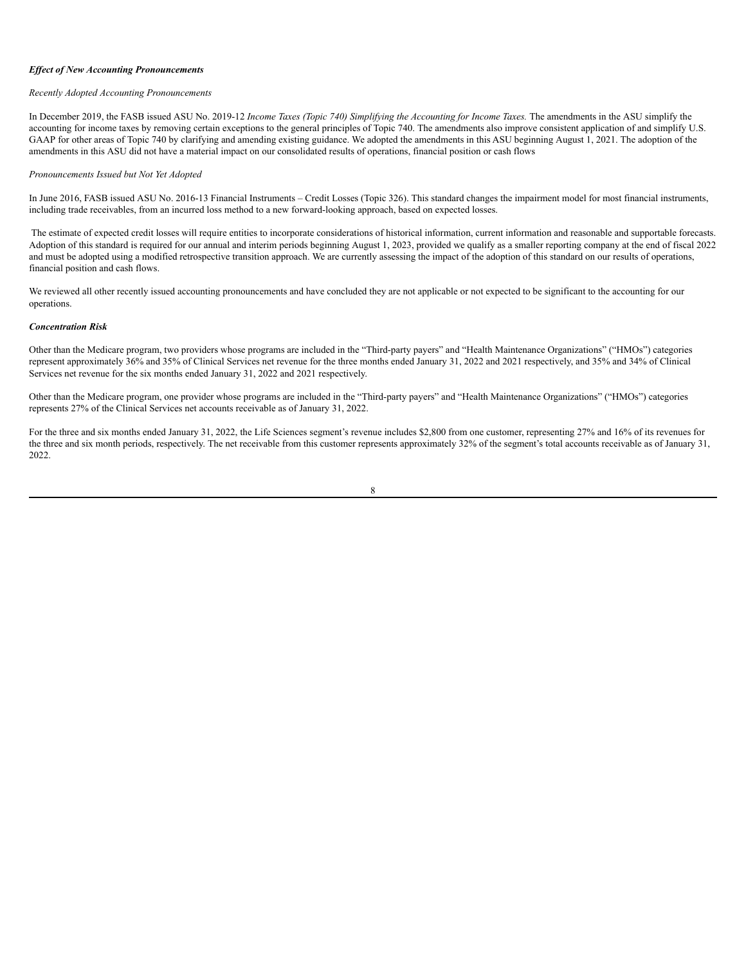#### *Ef ect of New Accounting Pronouncements*

## *Recently Adopted Accounting Pronouncements*

In December 2019, the FASB issued ASU No. 2019-12 Income Taxes (Topic 740) Simplifying the Accounting for Income Taxes. The amendments in the ASU simplify the accounting for income taxes by removing certain exceptions to the general principles of Topic 740. The amendments also improve consistent application of and simplify U.S. GAAP for other areas of Topic 740 by clarifying and amending existing guidance. We adopted the amendments in this ASU beginning August 1, 2021. The adoption of the amendments in this ASU did not have a material impact on our consolidated results of operations, financial position or cash flows

### *Pronouncements Issued but Not Yet Adopted*

In June 2016, FASB issued ASU No. 2016-13 Financial Instruments – Credit Losses (Topic 326). This standard changes the impairment model for most financial instruments, including trade receivables, from an incurred loss method to a new forward-looking approach, based on expected losses.

The estimate of expected credit losses will require entities to incorporate considerations of historical information, current information and reasonable and supportable forecasts. Adoption of this standard is required for our annual and interim periods beginning August 1, 2023, provided we qualify as a smaller reporting company at the end of fiscal 2022 and must be adopted using a modified retrospective transition approach. We are currently assessing the impact of the adoption of this standard on our results of operations, financial position and cash flows.

We reviewed all other recently issued accounting pronouncements and have concluded they are not applicable or not expected to be significant to the accounting for our operations.

# *Concentration Risk*

Other than the Medicare program, two providers whose programs are included in the "Third-party payers" and "Health Maintenance Organizations" ("HMOs") categories represent approximately 36% and 35% of Clinical Services net revenue for the three months ended January 31, 2022 and 2021 respectively, and 35% and 34% of Clinical Services net revenue for the six months ended January 31, 2022 and 2021 respectively.

Other than the Medicare program, one provider whose programs are included in the "Third-party payers" and "Health Maintenance Organizations" ("HMOs") categories represents 27% of the Clinical Services net accounts receivable as of January 31, 2022.

For the three and six months ended January 31, 2022, the Life Sciences segment's revenue includes \$2,800 from one customer, representing 27% and 16% of its revenues for the three and six month periods, respectively. The net receivable from this customer represents approximately 32% of the segment's total accounts receivable as of January 31, 2022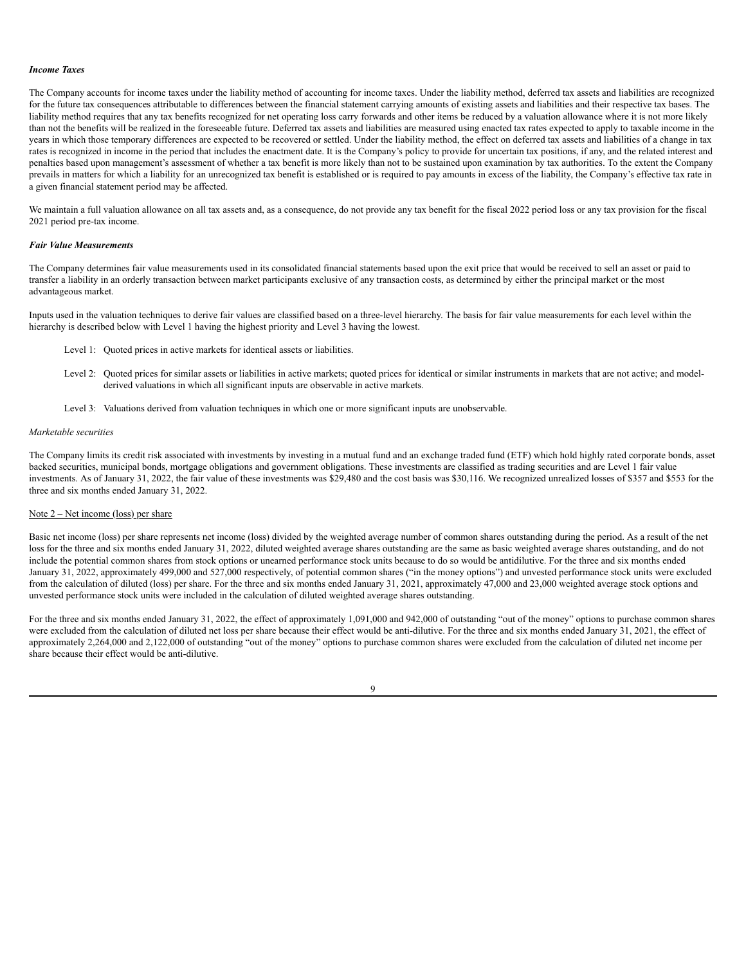#### *Income Taxes*

The Company accounts for income taxes under the liability method of accounting for income taxes. Under the liability method, deferred tax assets and liabilities are recognized for the future tax consequences attributable to differences between the financial statement carrying amounts of existing assets and liabilities and their respective tax bases. The liability method requires that any tax benefits recognized for net operating loss carry forwards and other items be reduced by a valuation allowance where it is not more likely than not the benefits will be realized in the foreseeable future. Deferred tax assets and liabilities are measured using enacted tax rates expected to apply to taxable income in the years in which those temporary differences are expected to be recovered or settled. Under the liability method, the effect on deferred tax assets and liabilities of a change in tax rates is recognized in income in the period that includes the enactment date. It is the Company's policy to provide for uncertain tax positions, if any, and the related interest and penalties based upon management's assessment of whether a tax benefit is more likely than not to be sustained upon examination by tax authorities. To the extent the Company prevails in matters for which a liability for an unrecognized tax benefit is established or is required to pay amounts in excess of the liability, the Company's effective tax rate in a given financial statement period may be affected.

We maintain a full valuation allowance on all tax assets and, as a consequence, do not provide any tax benefit for the fiscal 2022 period loss or any tax provision for the fiscal 2021 period pre-tax income.

# *Fair Value Measurements*

The Company determines fair value measurements used in its consolidated financial statements based upon the exit price that would be received to sell an asset or paid to transfer a liability in an orderly transaction between market participants exclusive of any transaction costs, as determined by either the principal market or the most advantageous market.

Inputs used in the valuation techniques to derive fair values are classified based on a three-level hierarchy. The basis for fair value measurements for each level within the hierarchy is described below with Level 1 having the highest priority and Level 3 having the lowest.

- Level 1: Quoted prices in active markets for identical assets or liabilities.
- Level 2: Quoted prices for similar assets or liabilities in active markets; quoted prices for identical or similar instruments in markets that are not active; and modelderived valuations in which all significant inputs are observable in active markets.
- Level 3: Valuations derived from valuation techniques in which one or more significant inputs are unobservable.

#### *Marketable securities*

The Company limits its credit risk associated with investments by investing in a mutual fund and an exchange traded fund (ETF) which hold highly rated corporate bonds, asset backed securities, municipal bonds, mortgage obligations and government obligations. These investments are classified as trading securities and are Level 1 fair value investments. As of January 31, 2022, the fair value of these investments was \$29,480 and the cost basis was \$30,116. We recognized unrealized losses of \$357 and \$553 for the three and six months ended January 31, 2022.

# Note 2 – Net income (loss) per share

Basic net income (loss) per share represents net income (loss) divided by the weighted average number of common shares outstanding during the period. As a result of the net loss for the three and six months ended January 31, 2022, diluted weighted average shares outstanding are the same as basic weighted average shares outstanding, and do not include the potential common shares from stock options or unearned performance stock units because to do so would be antidilutive. For the three and six months ended January 31, 2022, approximately 499,000 and 527,000 respectively, of potential common shares ("in the money options") and unvested performance stock units were excluded from the calculation of diluted (loss) per share. For the three and six months ended January 31, 2021, approximately 47,000 and 23,000 weighted average stock options and unvested performance stock units were included in the calculation of diluted weighted average shares outstanding.

For the three and six months ended January 31, 2022, the effect of approximately 1,091,000 and 942,000 of outstanding "out of the money" options to purchase common shares were excluded from the calculation of diluted net loss per share because their effect would be anti-dilutive. For the three and six months ended January 31, 2021, the effect of approximately 2,264,000 and 2,122,000 of outstanding "out of the money" options to purchase common shares were excluded from the calculation of diluted net income per share because their effect would be anti-dilutive.

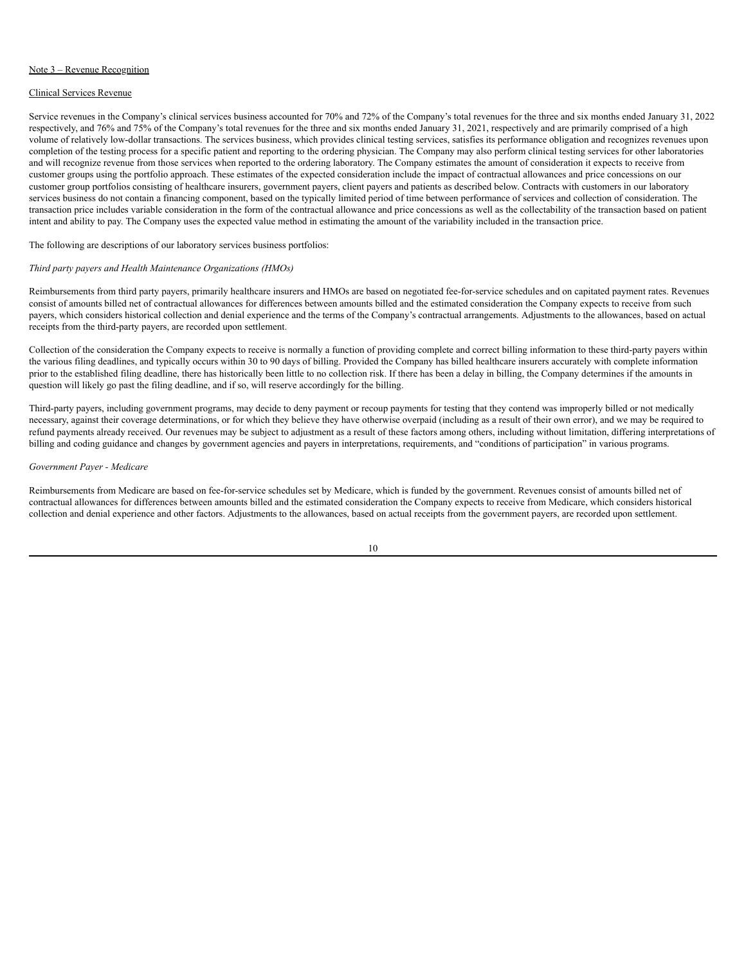### Note 3 – Revenue Recognition

# Clinical Services Revenue

Service revenues in the Company's clinical services business accounted for 70% and 72% of the Company's total revenues for the three and six months ended January 31, 2022 respectively, and 76% and 75% of the Company's total revenues for the three and six months ended January 31, 2021, respectively and are primarily comprised of a high volume of relatively low-dollar transactions. The services business, which provides clinical testing services, satisfies its performance obligation and recognizes revenues upon completion of the testing process for a specific patient and reporting to the ordering physician. The Company may also perform clinical testing services for other laboratories and will recognize revenue from those services when reported to the ordering laboratory. The Company estimates the amount of consideration it expects to receive from customer groups using the portfolio approach. These estimates of the expected consideration include the impact of contractual allowances and price concessions on our customer group portfolios consisting of healthcare insurers, government payers, client payers and patients as described below. Contracts with customers in our laboratory services business do not contain a financing component, based on the typically limited period of time between performance of services and collection of consideration. The transaction price includes variable consideration in the form of the contractual allowance and price concessions as well as the collectability of the transaction based on patient intent and ability to pay. The Company uses the expected value method in estimating the amount of the variability included in the transaction price.

The following are descriptions of our laboratory services business portfolios:

# *Third party payers and Health Maintenance Organizations (HMOs)*

Reimbursements from third party payers, primarily healthcare insurers and HMOs are based on negotiated fee-for-service schedules and on capitated payment rates. Revenues consist of amounts billed net of contractual allowances for differences between amounts billed and the estimated consideration the Company expects to receive from such payers, which considers historical collection and denial experience and the terms of the Company's contractual arrangements. Adjustments to the allowances, based on actual receipts from the third-party payers, are recorded upon settlement.

Collection of the consideration the Company expects to receive is normally a function of providing complete and correct billing information to these third-party payers within the various filing deadlines, and typically occurs within 30 to 90 days of billing. Provided the Company has billed healthcare insurers accurately with complete information prior to the established filing deadline, there has historically been little to no collection risk. If there has been a delay in billing, the Company determines if the amounts in question will likely go past the filing deadline, and if so, will reserve accordingly for the billing.

Third-party payers, including government programs, may decide to deny payment or recoup payments for testing that they contend was improperly billed or not medically necessary, against their coverage determinations, or for which they believe they have otherwise overpaid (including as a result of their own error), and we may be required to refund payments already received. Our revenues may be subject to adjustment as a result of these factors among others, including without limitation, differing interpretations of billing and coding guidance and changes by government agencies and payers in interpretations, requirements, and "conditions of participation" in various programs.

# *Government Payer - Medicare*

Reimbursements from Medicare are based on fee-for-service schedules set by Medicare, which is funded by the government. Revenues consist of amounts billed net of contractual allowances for differences between amounts billed and the estimated consideration the Company expects to receive from Medicare, which considers historical collection and denial experience and other factors. Adjustments to the allowances, based on actual receipts from the government payers, are recorded upon settlement.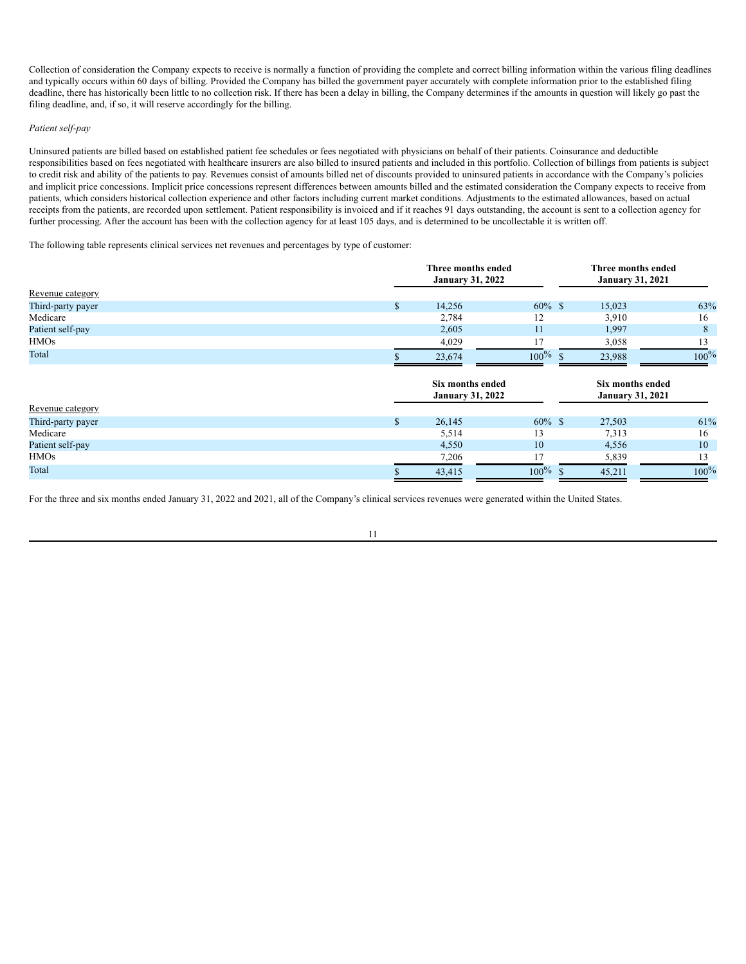Collection of consideration the Company expects to receive is normally a function of providing the complete and correct billing information within the various filing deadlines and typically occurs within 60 days of billing. Provided the Company has billed the government payer accurately with complete information prior to the established filing deadline, there has historically been little to no collection risk. If there has been a delay in billing, the Company determines if the amounts in question will likely go past the filing deadline, and, if so, it will reserve accordingly for the billing.

## *Patient self-pay*

Uninsured patients are billed based on established patient fee schedules or fees negotiated with physicians on behalf of their patients. Coinsurance and deductible responsibilities based on fees negotiated with healthcare insurers are also billed to insured patients and included in this portfolio. Collection of billings from patients is subject to credit risk and ability of the patients to pay. Revenues consist of amounts billed net of discounts provided to uninsured patients in accordance with the Company's policies and implicit price concessions. Implicit price concessions represent differences between amounts billed and the estimated consideration the Company expects to receive from patients, which considers historical collection experience and other factors including current market conditions. Adjustments to the estimated allowances, based on actual receipts from the patients, are recorded upon settlement. Patient responsibility is invoiced and if it reaches 91 days outstanding, the account is sent to a collection agency for further processing. After the account has been with the collection agency for at least 105 days, and is determined to be uncollectable it is written off.

The following table represents clinical services net revenues and percentages by type of customer:

|                   | Three months ended<br><b>January 31, 2022</b> |            |                                             |         |  |
|-------------------|-----------------------------------------------|------------|---------------------------------------------|---------|--|
| Revenue category  |                                               |            |                                             |         |  |
| Third-party payer | \$<br>14,256                                  | $60\%$ \$  | 15,023                                      | 63%     |  |
| Medicare          | 2,784                                         | 12         | 3,910                                       | 16      |  |
| Patient self-pay  | 2,605                                         | 11         | 1,997                                       | 8       |  |
| <b>HMOs</b>       | 4,029                                         | 17         | 3,058                                       | 13      |  |
| Total             | 23,674                                        | $100\%$    | 23,988                                      | $100\%$ |  |
|                   | Six months ended<br><b>January 31, 2022</b>   |            | Six months ended<br><b>January 31, 2021</b> |         |  |
| Revenue category  |                                               |            |                                             |         |  |
| Third-party payer | \$<br>26,145                                  | $60\%$ \$  | 27,503                                      | 61%     |  |
| Medicare          | 5,514                                         | 13         | 7.313                                       | 16      |  |
| Patient self-pay  | 4,550                                         | 10         | 4,556                                       | 10      |  |
| <b>HMOs</b>       | 7,206                                         | 17         | 5,839                                       | 13      |  |
| Total             | 43,415                                        | $100\%$ \$ | 45,211                                      | $100\%$ |  |

For the three and six months ended January 31, 2022 and 2021, all of the Company's clinical services revenues were generated within the United States.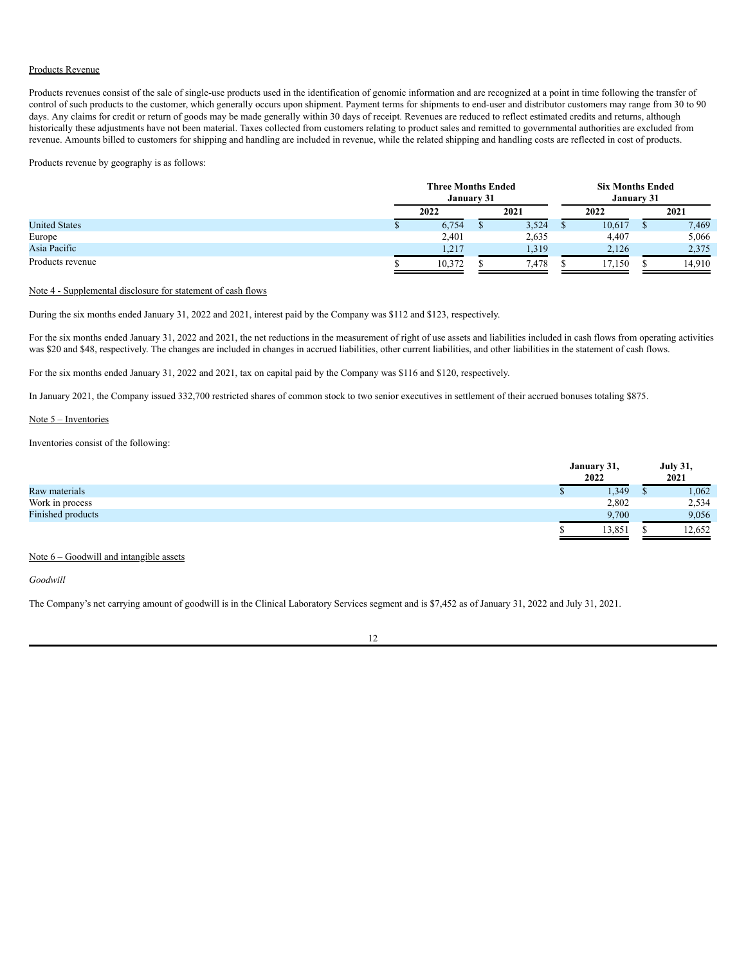### Products Revenue

Products revenues consist of the sale of single-use products used in the identification of genomic information and are recognized at a point in time following the transfer of control of such products to the customer, which generally occurs upon shipment. Payment terms for shipments to end-user and distributor customers may range from 30 to 90 days. Any claims for credit or return of goods may be made generally within 30 days of receipt. Revenues are reduced to reflect estimated credits and returns, although historically these adjustments have not been material. Taxes collected from customers relating to product sales and remitted to governmental authorities are excluded from revenue. Amounts billed to customers for shipping and handling are included in revenue, while the related shipping and handling costs are reflected in cost of products.

Products revenue by geography is as follows:

|                      | <b>Three Months Ended</b><br>January 31 |  |       | <b>Six Months Ended</b><br>January 31 |        |  |        |
|----------------------|-----------------------------------------|--|-------|---------------------------------------|--------|--|--------|
|                      | 2022                                    |  | 2021  |                                       | 2022   |  | 2021   |
| <b>United States</b> | 6,754                                   |  | 3,524 |                                       | 10,617 |  | 7,469  |
| Europe               | 2,401                                   |  | 2,635 |                                       | 4,407  |  | 5,066  |
| Asia Pacific         | 1,217                                   |  | 1,319 |                                       | 2,126  |  | 2,375  |
| Products revenue     | 10,372                                  |  | .478  |                                       | 17.150 |  | 14,910 |

# Note 4 - Supplemental disclosure for statement of cash flows

During the six months ended January 31, 2022 and 2021, interest paid by the Company was \$112 and \$123, respectively.

For the six months ended January 31, 2022 and 2021, the net reductions in the measurement of right of use assets and liabilities included in cash flows from operating activities was \$20 and \$48, respectively. The changes are included in changes in accrued liabilities, other current liabilities, and other liabilities in the statement of cash flows.

For the six months ended January 31, 2022 and 2021, tax on capital paid by the Company was \$116 and \$120, respectively.

In January 2021, the Company issued 332,700 restricted shares of common stock to two senior executives in settlement of their accrued bonuses totaling \$875.

# Note 5 – Inventories

Inventories consist of the following:

|                   | January 31,<br>2022 | <b>July 31,</b><br>2021 |
|-------------------|---------------------|-------------------------|
| Raw materials     | 1,349               | .062                    |
| Work in process   | 2,802               | 2,534                   |
| Finished products | 9.700               | 9,056                   |
|                   | 13,851              | 12,652                  |
|                   |                     |                         |

# Note 6 – Goodwill and intangible assets

*Goodwill*

The Company's net carrying amount of goodwill is in the Clinical Laboratory Services segment and is \$7,452 as of January 31, 2022 and July 31, 2021.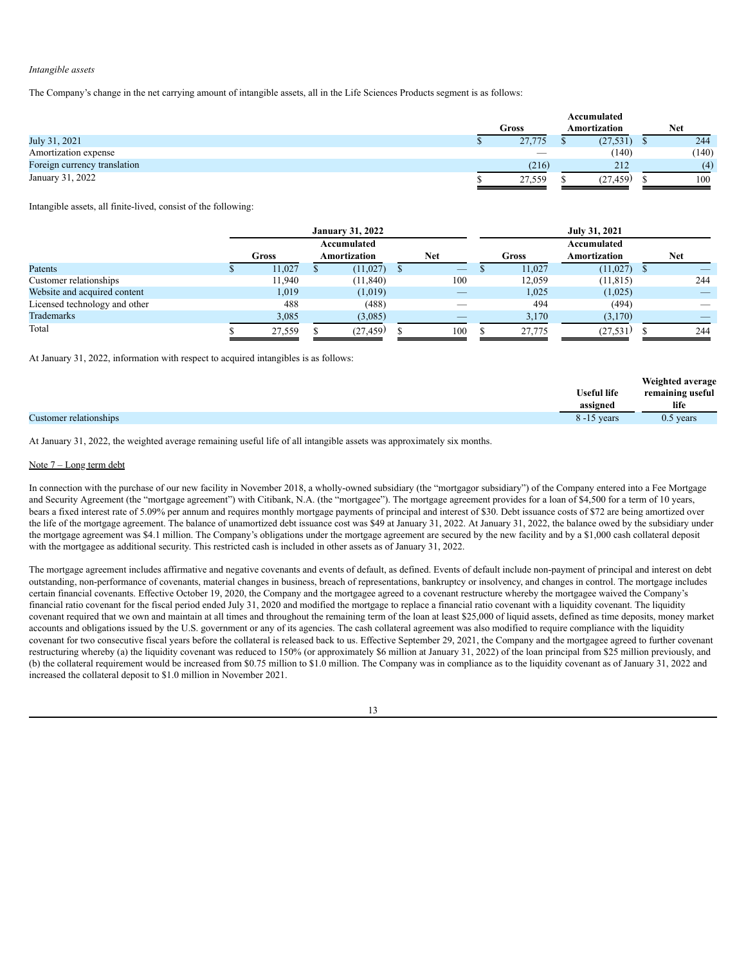### *Intangible assets*

The Company's change in the net carrying amount of intangible assets, all in the Life Sciences Products segment is as follows:

|                              | Accumulated |  |              |  |       |
|------------------------------|-------------|--|--------------|--|-------|
|                              | Gross       |  | Amortization |  | Net   |
| July 31, 2021                | 27,775      |  | (27, 531)    |  | 244   |
| Amortization expense         |             |  | (140)        |  | (140) |
| Foreign currency translation | (216)       |  | 212          |  | (4)   |
| January 31, 2022             | 27,559      |  | (27,459)     |  | 100   |

Intangible assets, all finite-lived, consist of the following:

|                               |        | <b>January 31, 2022</b> |                                 | July 31, 2021 |        |              |  |            |  |
|-------------------------------|--------|-------------------------|---------------------------------|---------------|--------|--------------|--|------------|--|
|                               |        | Accumulated             |                                 |               |        | Accumulated  |  |            |  |
|                               | Gross  | Amortization            | <b>Net</b>                      |               | Gross  | Amortization |  | <b>Net</b> |  |
| Patents                       | 11,027 | (11, 027)               | $\hspace{0.1mm}-\hspace{0.1mm}$ |               | 11,027 | (11, 027)    |  |            |  |
| Customer relationships        | 11,940 | (11, 840)               | 100                             |               | 12,059 | (11, 815)    |  | 244        |  |
| Website and acquired content  | 1,019  | (1,019)                 |                                 |               | 1,025  | (1,025)      |  |            |  |
| Licensed technology and other | 488    | (488)                   |                                 |               | 494    | (494)        |  |            |  |
| Trademarks                    | 3,085  | (3,085)                 |                                 |               | 3,170  | (3,170)      |  |            |  |
| Total                         | 27,559 | (27, 459)               | 100                             |               | 27,775 | (27, 531)    |  | 244        |  |

At January 31, 2022, information with respect to acquired intangibles is as follows:

| <b>Useful life</b><br>remaining useful<br>life<br>assigned |                        |                | Weighted average |
|------------------------------------------------------------|------------------------|----------------|------------------|
|                                                            |                        |                |                  |
|                                                            |                        |                |                  |
|                                                            | Customer relationships | $8 - 15$ years | $0.5$ years      |

At January 31, 2022, the weighted average remaining useful life of all intangible assets was approximately six months.

### Note 7 – Long term debt

In connection with the purchase of our new facility in November 2018, a wholly-owned subsidiary (the "mortgagor subsidiary") of the Company entered into a Fee Mortgage and Security Agreement (the "mortgage agreement") with Citibank, N.A. (the "mortgagee"). The mortgage agreement provides for a loan of \$4,500 for a term of 10 years, bears a fixed interest rate of 5.09% per annum and requires monthly mortgage payments of principal and interest of \$30. Debt issuance costs of \$72 are being amortized over the life of the mortgage agreement. The balance of unamortized debt issuance cost was \$49 at January 31, 2022. At January 31, 2022, the balance owed by the subsidiary under the mortgage agreement was \$4.1 million. The Company's obligations under the mortgage agreement are secured by the new facility and by a \$1,000 cash collateral deposit with the mortgagee as additional security. This restricted cash is included in other assets as of January 31, 2022.

The mortgage agreement includes affirmative and negative covenants and events of default, as defined. Events of default include non-payment of principal and interest on debt outstanding, non-performance of covenants, material changes in business, breach of representations, bankruptcy or insolvency, and changes in control. The mortgage includes certain financial covenants. Effective October 19, 2020, the Company and the mortgagee agreed to a covenant restructure whereby the mortgagee waived the Company's financial ratio covenant for the fiscal period ended July 31, 2020 and modified the mortgage to replace a financial ratio covenant with a liquidity covenant. The liquidity covenant required that we own and maintain at all times and throughout the remaining term of the loan at least \$25,000 of liquid assets, defined as time deposits, money market accounts and obligations issued by the U.S. government or any of its agencies. The cash collateral agreement was also modified to require compliance with the liquidity covenant for two consecutive fiscal years before the collateral is released back to us. Effective September 29, 2021, the Company and the mortgagee agreed to further covenant restructuring whereby (a) the liquidity covenant was reduced to 150% (or approximately \$6 million at January 31, 2022) of the loan principal from \$25 million previously, and (b) the collateral requirement would be increased from \$0.75 million to \$1.0 million. The Company was in compliance as to the liquidity covenant as of January 31, 2022 and increased the collateral deposit to \$1.0 million in November 2021.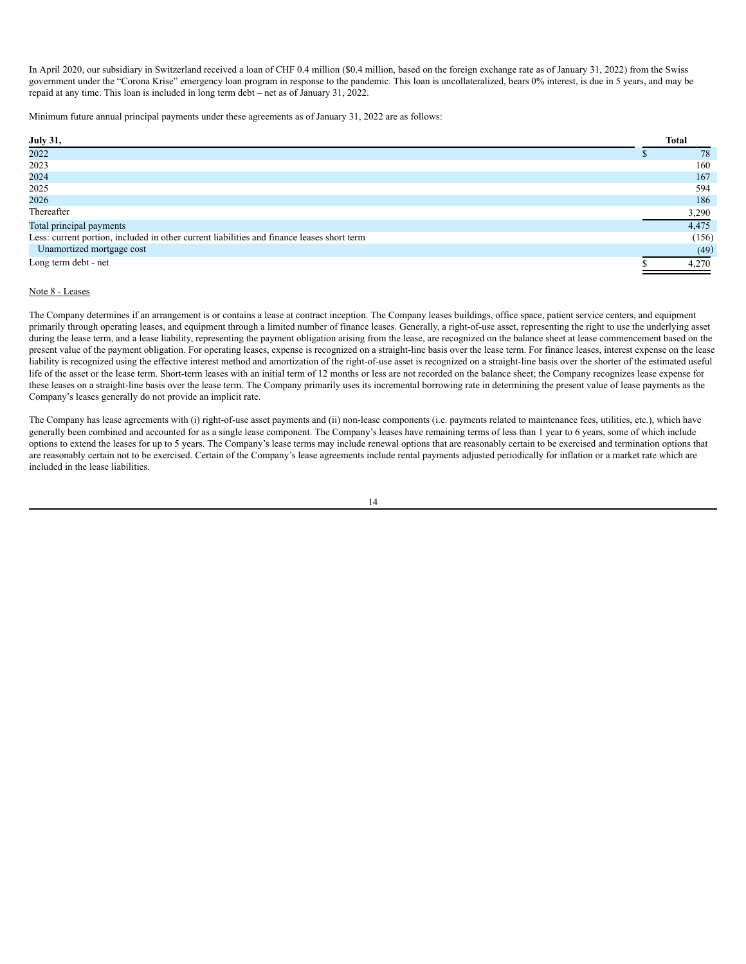In April 2020, our subsidiary in Switzerland received a loan of CHF 0.4 million (\$0.4 million, based on the foreign exchange rate as of January 31, 2022) from the Swiss government under the "Corona Krise" emergency loan program in response to the pandemic. This loan is uncollateralized, bears 0% interest, is due in 5 years, and may be repaid at any time. This loan is included in long term debt – net as of January 31, 2022.

Minimum future annual principal payments under these agreements as of January 31, 2022 are as follows:

| <b>July 31,</b>                                                                            | <b>Total</b> |
|--------------------------------------------------------------------------------------------|--------------|
| 2022                                                                                       | 78           |
| 2023                                                                                       | 160          |
| 2024                                                                                       | 167          |
| 2025                                                                                       | 594          |
| 2026                                                                                       | 186          |
| Thereafter                                                                                 | 3,290        |
| Total principal payments                                                                   | 4,475        |
| Less: current portion, included in other current liabilities and finance leases short term | (156)        |
| Unamortized mortgage cost                                                                  | (49)         |
| Long term debt - net                                                                       | 4.270        |

# Note 8 - Leases

The Company determines if an arrangement is or contains a lease at contract inception. The Company leases buildings, office space, patient service centers, and equipment primarily through operating leases, and equipment through a limited number of finance leases. Generally, a right-of-use asset, representing the right to use the underlying asset during the lease term, and a lease liability, representing the payment obligation arising from the lease, are recognized on the balance sheet at lease commencement based on the present value of the payment obligation. For operating leases, expense is recognized on a straight-line basis over the lease term. For finance leases, interest expense on the lease liability is recognized using the effective interest method and amortization of the right-of-use asset is recognized on a straight-line basis over the shorter of the estimated useful life of the asset or the lease term. Short-term leases with an initial term of 12 months or less are not recorded on the balance sheet; the Company recognizes lease expense for these leases on a straight-line basis over the lease term. The Company primarily uses its incremental borrowing rate in determining the present value of lease payments as the Company's leases generally do not provide an implicit rate.

The Company has lease agreements with (i) right-of-use asset payments and (ii) non-lease components (i.e. payments related to maintenance fees, utilities, etc.), which have generally been combined and accounted for as a single lease component. The Company's leases have remaining terms of less than 1 year to 6 years, some of which include options to extend the leases for up to 5 years. The Company's lease terms may include renewal options that are reasonably certain to be exercised and termination options that are reasonably certain not to be exercised. Certain of the Company's lease agreements include rental payments adjusted periodically for inflation or a market rate which are included in the lease liabilities.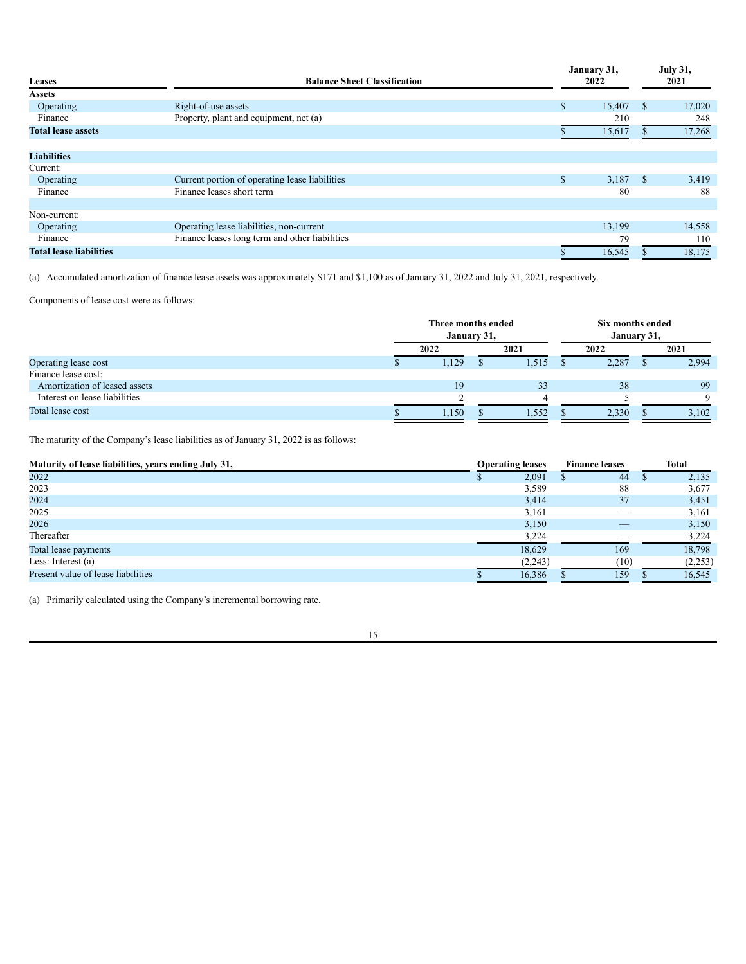| Leases<br><b>Balance Sheet Classification</b> |                                                | January 31,<br>2022 |    |        |  |  |
|-----------------------------------------------|------------------------------------------------|---------------------|----|--------|--|--|
| <b>Assets</b>                                 |                                                |                     |    |        |  |  |
| Operating                                     | Right-of-use assets                            | \$<br>15,407        | S  | 17,020 |  |  |
| Finance                                       | Property, plant and equipment, net (a)         | 210                 |    | 248    |  |  |
| <b>Total lease assets</b>                     |                                                | 15,617              |    | 17,268 |  |  |
| <b>Liabilities</b>                            |                                                |                     |    |        |  |  |
| Current:                                      |                                                |                     |    |        |  |  |
| Operating                                     | Current portion of operating lease liabilities | \$<br>3,187         | -S | 3,419  |  |  |
| Finance                                       | Finance leases short term                      | 80                  |    | 88     |  |  |
| Non-current:                                  |                                                |                     |    |        |  |  |
| Operating                                     | Operating lease liabilities, non-current       | 13,199              |    | 14,558 |  |  |
| Finance                                       | Finance leases long term and other liabilities | 79                  |    | 110    |  |  |
| <b>Total lease liabilities</b>                |                                                | 16,545              |    | 18,175 |  |  |

(a) Accumulated amortization of finance lease assets was approximately \$171 and \$1,100 as of January 31, 2022 and July 31, 2021, respectively.

Components of lease cost were as follows:

|                               | Three months ended<br>January 31, |  |      |  | Six months ended<br>January 31, |  |             |
|-------------------------------|-----------------------------------|--|------|--|---------------------------------|--|-------------|
|                               | 2022                              |  | 2021 |  | 2022                            |  | 2021        |
| Operating lease cost          | 1,129                             |  | .515 |  | 2,287                           |  | 2,994       |
| Finance lease cost:           |                                   |  |      |  |                                 |  |             |
| Amortization of leased assets | 19                                |  | 33   |  | 38                              |  | 99          |
| Interest on lease liabilities |                                   |  |      |  |                                 |  | $\mathbf Q$ |
| Total lease cost              | 1,150                             |  | .552 |  | 2,330                           |  | 3,102       |

The maturity of the Company's lease liabilities as of January 31, 2022 is as follows:

| Maturity of lease liabilities, years ending July 31, | <b>Operating leases</b> |  | <b>Finance leases</b> |  | <b>Total</b> |
|------------------------------------------------------|-------------------------|--|-----------------------|--|--------------|
| 2022                                                 | 2,091                   |  | 44                    |  | 2,135        |
| 2023                                                 | 3,589                   |  | 88                    |  | 3,677        |
| 2024                                                 | 3,414                   |  | 37                    |  | 3,451        |
| 2025                                                 | 3,161                   |  |                       |  | 3,161        |
| 2026                                                 | 3,150                   |  |                       |  | 3,150        |
| Thereafter                                           | 3,224                   |  |                       |  | 3,224        |
| Total lease payments                                 | 18,629                  |  | 169                   |  | 18,798       |
| Less: Interest $(a)$                                 | (2, 243)                |  | (10)                  |  | (2,253)      |
| Present value of lease liabilities                   | 16,386                  |  | 159                   |  | 16,545       |

(a) Primarily calculated using the Company's incremental borrowing rate.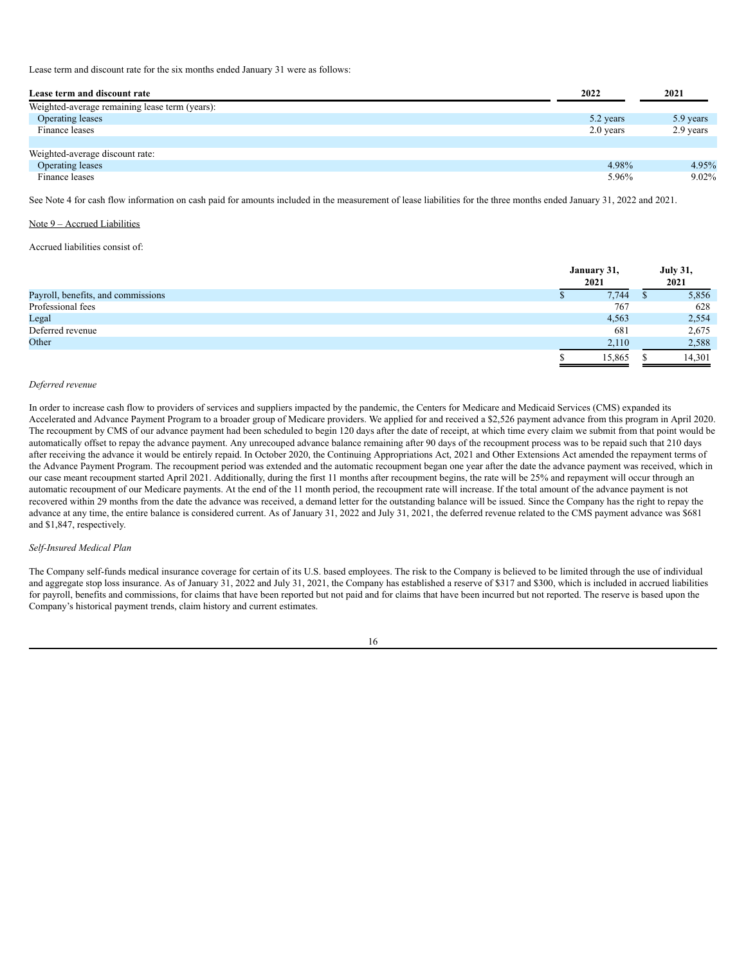Lease term and discount rate for the six months ended January 31 were as follows:

| Lease term and discount rate                   | 2022      | 2021      |
|------------------------------------------------|-----------|-----------|
| Weighted-average remaining lease term (years): |           |           |
| Operating leases                               | 5.2 years | 5.9 years |
| Finance leases                                 | 2.0 years | 2.9 years |
|                                                |           |           |
| Weighted-average discount rate:                |           |           |
| Operating leases                               | 4.98%     | 4.95%     |
| Finance leases                                 | 5.96%     | 9.02%     |

See Note 4 for cash flow information on cash paid for amounts included in the measurement of lease liabilities for the three months ended January 31, 2022 and 2021.

#### Note 9 – Accrued Liabilities

Accrued liabilities consist of:

|                                    | January 31,<br>2021 | <b>July 31,</b><br>2021 |
|------------------------------------|---------------------|-------------------------|
| Payroll, benefits, and commissions | 7,744               | 5,856                   |
| Professional fees                  | 767                 | 628                     |
| Legal                              | 4,563               | 2,554                   |
| Deferred revenue                   | 681                 | 2,675                   |
| Other                              | 2,110               | 2,588                   |
|                                    | 15,865              | 14,301                  |

#### *Deferred revenue*

In order to increase cash flow to providers of services and suppliers impacted by the pandemic, the Centers for Medicare and Medicaid Services (CMS) expanded its Accelerated and Advance Payment Program to a broader group of Medicare providers. We applied for and received a \$2,526 payment advance from this program in April 2020. The recoupment by CMS of our advance payment had been scheduled to begin 120 days after the date of receipt, at which time every claim we submit from that point would be automatically offset to repay the advance payment. Any unrecouped advance balance remaining after 90 days of the recoupment process was to be repaid such that 210 days after receiving the advance it would be entirely repaid. In October 2020, the Continuing Appropriations Act, 2021 and Other Extensions Act amended the repayment terms of the Advance Payment Program. The recoupment period was extended and the automatic recoupment began one year after the date the advance payment was received, which in our case meant recoupment started April 2021. Additionally, during the first 11 months after recoupment begins, the rate will be 25% and repayment will occur through an automatic recoupment of our Medicare payments. At the end of the 11 month period, the recoupment rate will increase. If the total amount of the advance payment is not recovered within 29 months from the date the advance was received, a demand letter for the outstanding balance will be issued. Since the Company has the right to repay the advance at any time, the entire balance is considered current. As of January 31, 2022 and July 31, 2021, the deferred revenue related to the CMS payment advance was \$681 and \$1,847, respectively.

#### *Self-Insured Medical Plan*

The Company self-funds medical insurance coverage for certain of its U.S. based employees. The risk to the Company is believed to be limited through the use of individual and aggregate stop loss insurance. As of January 31, 2022 and July 31, 2021, the Company has established a reserve of \$317 and \$300, which is included in accrued liabilities for payroll, benefits and commissions, for claims that have been reported but not paid and for claims that have been incurred but not reported. The reserve is based upon the Company's historical payment trends, claim history and current estimates.

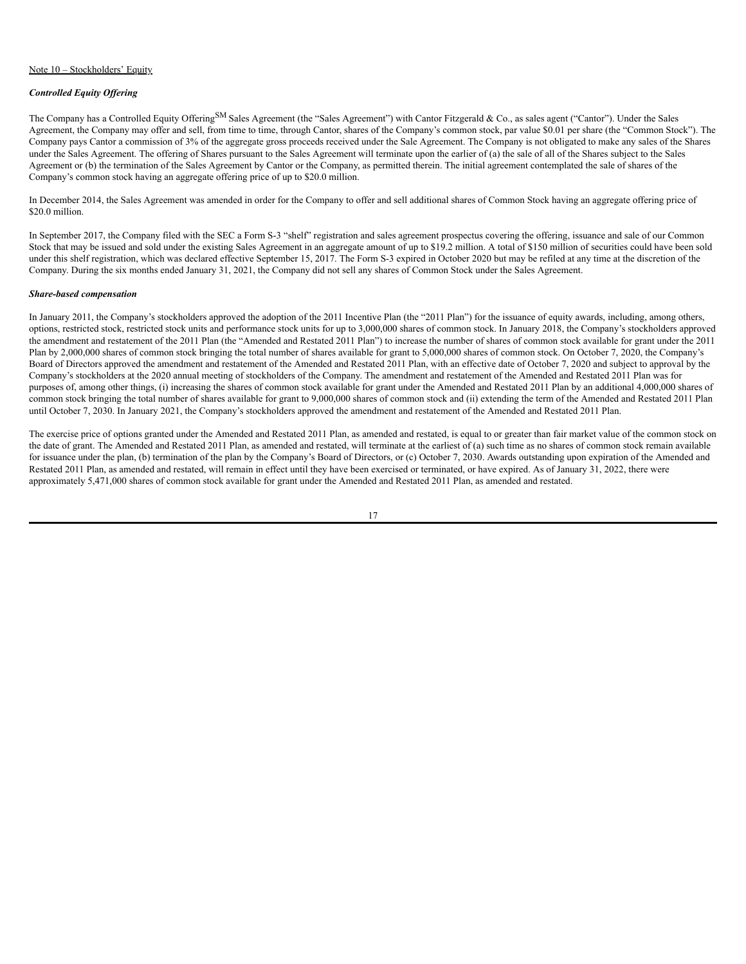### Note 10 – Stockholders' Equity

## *Controlled Equity Of ering*

The Company has a Controlled Equity Offering<sup>SM</sup> Sales Agreement (the "Sales Agreement") with Cantor Fitzgerald & Co., as sales agent ("Cantor"). Under the Sales Agreement, the Company may offer and sell, from time to time, through Cantor, shares of the Company's common stock, par value \$0.01 per share (the "Common Stock"). The Company pays Cantor a commission of 3% of the aggregate gross proceeds received under the Sale Agreement. The Company is not obligated to make any sales of the Shares under the Sales Agreement. The offering of Shares pursuant to the Sales Agreement will terminate upon the earlier of (a) the sale of all of the Shares subject to the Sales Agreement or (b) the termination of the Sales Agreement by Cantor or the Company, as permitted therein. The initial agreement contemplated the sale of shares of the Company's common stock having an aggregate offering price of up to \$20.0 million.

In December 2014, the Sales Agreement was amended in order for the Company to offer and sell additional shares of Common Stock having an aggregate offering price of \$20.0 million.

In September 2017, the Company filed with the SEC a Form S-3 "shelf" registration and sales agreement prospectus covering the offering, issuance and sale of our Common Stock that may be issued and sold under the existing Sales Agreement in an aggregate amount of up to \$19.2 million. A total of \$150 million of securities could have been sold under this shelf registration, which was declared effective September 15, 2017. The Form S-3 expired in October 2020 but may be refiled at any time at the discretion of the Company. During the six months ended January 31, 2021, the Company did not sell any shares of Common Stock under the Sales Agreement.

# *Share-based compensation*

In January 2011, the Company's stockholders approved the adoption of the 2011 Incentive Plan (the "2011 Plan") for the issuance of equity awards, including, among others, options, restricted stock, restricted stock units and performance stock units for up to 3,000,000 shares of common stock. In January 2018, the Company's stockholders approved the amendment and restatement of the 2011 Plan (the "Amended and Restated 2011 Plan") to increase the number of shares of common stock available for grant under the 2011 Plan by 2,000,000 shares of common stock bringing the total number of shares available for grant to 5,000,000 shares of common stock. On October 7, 2020, the Company's Board of Directors approved the amendment and restatement of the Amended and Restated 2011 Plan, with an effective date of October 7, 2020 and subject to approval by the Company's stockholders at the 2020 annual meeting of stockholders of the Company. The amendment and restatement of the Amended and Restated 2011 Plan was for purposes of, among other things, (i) increasing the shares of common stock available for grant under the Amended and Restated 2011 Plan by an additional 4,000,000 shares of common stock bringing the total number of shares available for grant to 9,000,000 shares of common stock and (ii) extending the term of the Amended and Restated 2011 Plan until October 7, 2030. In January 2021, the Company's stockholders approved the amendment and restatement of the Amended and Restated 2011 Plan.

The exercise price of options granted under the Amended and Restated 2011 Plan, as amended and restated, is equal to or greater than fair market value of the common stock on the date of grant. The Amended and Restated 2011 Plan, as amended and restated, will terminate at the earliest of (a) such time as no shares of common stock remain available for issuance under the plan, (b) termination of the plan by the Company's Board of Directors, or (c) October 7, 2030. Awards outstanding upon expiration of the Amended and Restated 2011 Plan, as amended and restated, will remain in effect until they have been exercised or terminated, or have expired. As of January 31, 2022, there were approximately 5,471,000 shares of common stock available for grant under the Amended and Restated 2011 Plan, as amended and restated.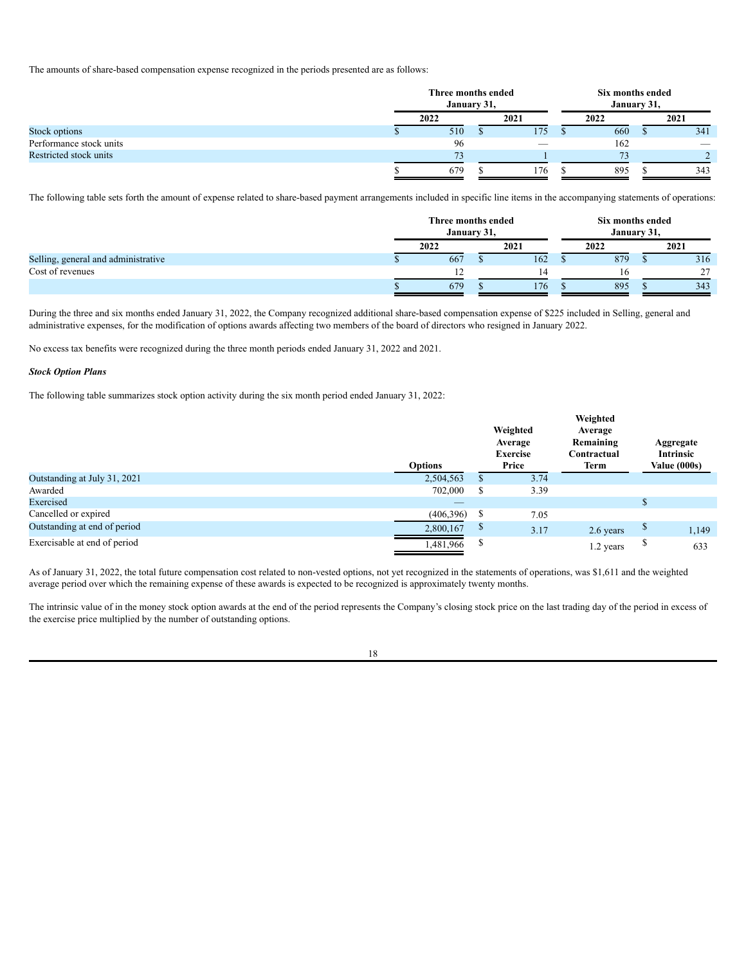The amounts of share-based compensation expense recognized in the periods presented are as follows:

|                         | Three months ended<br>January 31, |  |      |  | Six months ended<br>January 31, |  |      |
|-------------------------|-----------------------------------|--|------|--|---------------------------------|--|------|
|                         | 2022                              |  | 2021 |  | 2022                            |  | 2021 |
| Stock options           | 510                               |  | 175  |  | 660                             |  | 341  |
| Performance stock units | 96                                |  |      |  | 162                             |  |      |
| Restricted stock units  | 73                                |  |      |  | $\overline{\phantom{a}}$        |  |      |
|                         | 679                               |  | 176  |  | 895                             |  | 343  |

The following table sets forth the amount of expense related to share-based payment arrangements included in specific line items in the accompanying statements of operations:

|                                     | Three months ended | January 31, |      | Six months ended<br>January 31, |      |
|-------------------------------------|--------------------|-------------|------|---------------------------------|------|
|                                     | 2022               |             | 2021 | 2022                            | 2021 |
| Selling, general and administrative | 667                |             | 162  | 879                             | 316  |
| Cost of revenues                    |                    |             |      |                                 | 27   |
|                                     | 679                |             | 176  | 895                             | 343  |

During the three and six months ended January 31, 2022, the Company recognized additional share-based compensation expense of \$225 included in Selling, general and administrative expenses, for the modification of options awards affecting two members of the board of directors who resigned in January 2022.

No excess tax benefits were recognized during the three month periods ended January 31, 2022 and 2021.

#### *Stock Option Plans*

The following table summarizes stock option activity during the six month period ended January 31, 2022:

|                              | <b>Options</b> |   | Weighted<br>Average<br><b>Exercise</b><br>Price | Weighted<br>Average<br>Remaining<br>Contractual<br>Term | Aggregate<br>Intrinsic<br>Value (000s) |
|------------------------------|----------------|---|-------------------------------------------------|---------------------------------------------------------|----------------------------------------|
| Outstanding at July 31, 2021 | 2,504,563      |   | 3.74                                            |                                                         |                                        |
| Awarded                      | 702,000        | Ф | 3.39                                            |                                                         |                                        |
| Exercised                    | —              |   |                                                 |                                                         |                                        |
| Cancelled or expired         | (406, 396)     | S | 7.05                                            |                                                         |                                        |
| Outstanding at end of period | 2,800,167      | Ф | 3.17                                            | 2.6 years                                               | 1,149                                  |
| Exercisable at end of period | 1,481,966      | ъ |                                                 | 1.2 years                                               | 633                                    |

As of January 31, 2022, the total future compensation cost related to non-vested options, not yet recognized in the statements of operations, was \$1,611 and the weighted average period over which the remaining expense of these awards is expected to be recognized is approximately twenty months.

The intrinsic value of in the money stock option awards at the end of the period represents the Company's closing stock price on the last trading day of the period in excess of the exercise price multiplied by the number of outstanding options.

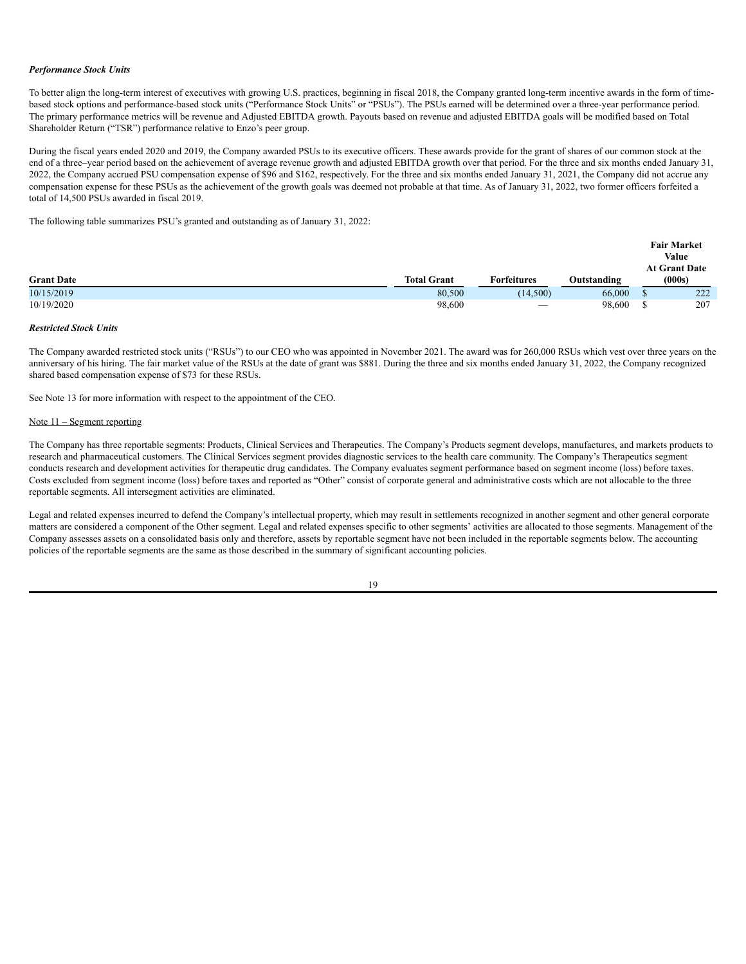### *Performance Stock Units*

To better align the long-term interest of executives with growing U.S. practices, beginning in fiscal 2018, the Company granted long-term incentive awards in the form of timebased stock options and performance-based stock units ("Performance Stock Units" or "PSUs"). The PSUs earned will be determined over a three-year performance period. The primary performance metrics will be revenue and Adjusted EBITDA growth. Payouts based on revenue and adjusted EBITDA goals will be modified based on Total Shareholder Return ("TSR") performance relative to Enzo's peer group.

During the fiscal years ended 2020 and 2019, the Company awarded PSUs to its executive officers. These awards provide for the grant of shares of our common stock at the end of a three–year period based on the achievement of average revenue growth and adjusted EBITDA growth over that period. For the three and six months ended January 31, 2022, the Company accrued PSU compensation expense of \$96 and \$162, respectively. For the three and six months ended January 31, 2021, the Company did not accrue any compensation expense for these PSUs as the achievement of the growth goals was deemed not probable at that time. As of January 31, 2022, two former officers forfeited a total of 14,500 PSUs awarded in fiscal 2019.

The following table summarizes PSU's granted and outstanding as of January 31, 2022:

|                   |                    |                                 |             | <b>Fair Market</b><br>Value |
|-------------------|--------------------|---------------------------------|-------------|-----------------------------|
|                   |                    |                                 |             | <b>At Grant Date</b>        |
| <b>Grant Date</b> | <b>Total Grant</b> | <b>Forfeitures</b>              | Outstanding | (000s)                      |
| 10/15/2019        | 80,500             | (14, 500)                       | 66,000      | 222                         |
| 10/19/2020        | 98,600             | $\hspace{0.1mm}-\hspace{0.1mm}$ | 98,600      | 207                         |

# *Restricted Stock Units*

The Company awarded restricted stock units ("RSUs") to our CEO who was appointed in November 2021. The award was for 260,000 RSUs which vest over three years on the anniversary of his hiring. The fair market value of the RSUs at the date of grant was \$881. During the three and six months ended January 31, 2022, the Company recognized shared based compensation expense of \$73 for these RSUs.

See Note 13 for more information with respect to the appointment of the CEO.

# Note 11 – Segment reporting

The Company has three reportable segments: Products, Clinical Services and Therapeutics. The Company's Products segment develops, manufactures, and markets products to research and pharmaceutical customers. The Clinical Services segment provides diagnostic services to the health care community. The Company's Therapeutics segment conducts research and development activities for therapeutic drug candidates. The Company evaluates segment performance based on segment income (loss) before taxes. Costs excluded from segment income (loss) before taxes and reported as "Other" consist of corporate general and administrative costs which are not allocable to the three reportable segments. All intersegment activities are eliminated.

Legal and related expenses incurred to defend the Company's intellectual property, which may result in settlements recognized in another segment and other general corporate matters are considered a component of the Other segment. Legal and related expenses specific to other segments' activities are allocated to those segments. Management of the Company assesses assets on a consolidated basis only and therefore, assets by reportable segment have not been included in the reportable segments below. The accounting policies of the reportable segments are the same as those described in the summary of significant accounting policies.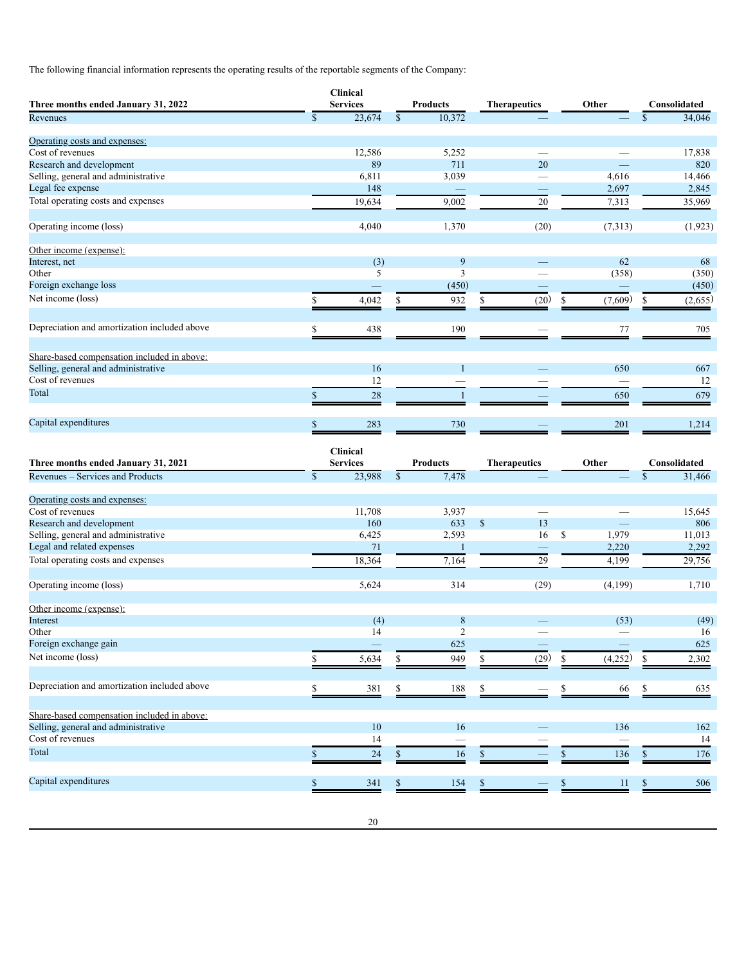The following financial information represents the operating results of the reportable segments of the Company:

| $\overline{\mathbb{S}}$<br>34,046<br>23,674<br>$\mathcal{S}$<br>10,372<br>$\mathbb{S}$<br>12,586<br>5,252<br>17,838<br>$\overline{\phantom{0}}$<br>89<br>711<br>20<br>820<br>6,811<br>3,039<br>4,616<br>Selling, general and administrative<br>14,466<br>$\overline{\phantom{0}}$<br>148<br>2,697<br>2,845<br>19,634<br>9,002<br>20<br>7,313<br>35,969<br>4,040<br>(7, 313)<br>1,370<br>(20)<br>(1, 923)<br>(3)<br>9<br>62<br>Interest, net<br>68<br>5<br>3<br>(358)<br>(350)<br>Other<br>Foreign exchange loss<br>(450)<br>(450)<br>Net income (loss)<br>(7,609)<br>(2,655)<br>932<br>\$<br>(20)<br>\$<br>\$<br>4,042<br>\$<br>\$<br>438<br>190<br>77<br>705<br>S<br>Share-based compensation included in above:<br>Selling, general and administrative<br>16<br>$\mathbf{1}$<br>650<br>667<br>12<br>12<br>\$<br>28<br>679<br>$\mathbf{1}$<br>650<br>\$<br>283<br>730<br>201<br>1,214<br><b>Clinical</b><br>Three months ended January 31, 2021<br><b>Services</b><br><b>Products</b><br><b>Therapeutics</b><br>Other<br>Consolidated<br>$\overline{\mathbb{S}}$<br>$\mathbb{S}$<br>Revenues - Services and Products<br>23,988<br>7,478<br>31,466<br>$\mathbb{S}$<br>Operating costs and expenses:<br>Cost of revenues<br>11,708<br>3,937<br>15,645<br>13<br>633<br>$\mathbb{S}$<br>Research and development<br>160<br>806<br>\$<br>1,979<br>Selling, general and administrative<br>2,593<br>16<br>11,013<br>6,425<br>Legal and related expenses<br>71<br>2,220<br>2,292<br>$\mathbf{1}$<br>Total operating costs and expenses<br>18,364<br>7,164<br>29<br>4,199<br>29,756<br>314<br>5,624<br>(29)<br>(4,199)<br>1,710<br>Other income (expense):<br>$\,$ 8 $\,$<br>(53)<br>(49)<br>(4)<br>Other<br>14<br>2<br>16<br>Foreign exchange gain<br>625<br>625<br>(29)<br>949<br>(4,252)<br>2,302<br>5,634<br>\$<br>\$<br>\$<br>\$<br>\$<br>Depreciation and amortization included above<br>381<br>\$<br>$\frac{188}{1}$<br>\$<br>66<br>$\underline{635}$<br>S<br>\$<br>$10\,$<br>136<br>16<br>162<br>14<br>14<br>$24\,$<br>16<br>176<br>136<br>$\mathbb{S}$<br>$\mathbb{S}$<br>\$<br>\$<br>S<br>Capital expenditures<br>341<br>\$<br>154<br>\$<br>$\mathbb{S}$<br>11<br>$\frac{506}{1}$<br>\$<br>\$ | Three months ended January 31, 2022          | <b>Clinical</b><br><b>Services</b> | <b>Products</b> | <b>Therapeutics</b> | Other | Consolidated |
|-------------------------------------------------------------------------------------------------------------------------------------------------------------------------------------------------------------------------------------------------------------------------------------------------------------------------------------------------------------------------------------------------------------------------------------------------------------------------------------------------------------------------------------------------------------------------------------------------------------------------------------------------------------------------------------------------------------------------------------------------------------------------------------------------------------------------------------------------------------------------------------------------------------------------------------------------------------------------------------------------------------------------------------------------------------------------------------------------------------------------------------------------------------------------------------------------------------------------------------------------------------------------------------------------------------------------------------------------------------------------------------------------------------------------------------------------------------------------------------------------------------------------------------------------------------------------------------------------------------------------------------------------------------------------------------------------------------------------------------------------------------------------------------------------------------------------------------------------------------------------------------------------------------------------------------------------------------------------------------------------------------------------------------------------------------------------------------------------------------------------------------------------------------------------------------------------|----------------------------------------------|------------------------------------|-----------------|---------------------|-------|--------------|
|                                                                                                                                                                                                                                                                                                                                                                                                                                                                                                                                                                                                                                                                                                                                                                                                                                                                                                                                                                                                                                                                                                                                                                                                                                                                                                                                                                                                                                                                                                                                                                                                                                                                                                                                                                                                                                                                                                                                                                                                                                                                                                                                                                                                 | Revenues                                     |                                    |                 |                     |       |              |
|                                                                                                                                                                                                                                                                                                                                                                                                                                                                                                                                                                                                                                                                                                                                                                                                                                                                                                                                                                                                                                                                                                                                                                                                                                                                                                                                                                                                                                                                                                                                                                                                                                                                                                                                                                                                                                                                                                                                                                                                                                                                                                                                                                                                 |                                              |                                    |                 |                     |       |              |
|                                                                                                                                                                                                                                                                                                                                                                                                                                                                                                                                                                                                                                                                                                                                                                                                                                                                                                                                                                                                                                                                                                                                                                                                                                                                                                                                                                                                                                                                                                                                                                                                                                                                                                                                                                                                                                                                                                                                                                                                                                                                                                                                                                                                 | Operating costs and expenses:                |                                    |                 |                     |       |              |
|                                                                                                                                                                                                                                                                                                                                                                                                                                                                                                                                                                                                                                                                                                                                                                                                                                                                                                                                                                                                                                                                                                                                                                                                                                                                                                                                                                                                                                                                                                                                                                                                                                                                                                                                                                                                                                                                                                                                                                                                                                                                                                                                                                                                 | Cost of revenues                             |                                    |                 |                     |       |              |
|                                                                                                                                                                                                                                                                                                                                                                                                                                                                                                                                                                                                                                                                                                                                                                                                                                                                                                                                                                                                                                                                                                                                                                                                                                                                                                                                                                                                                                                                                                                                                                                                                                                                                                                                                                                                                                                                                                                                                                                                                                                                                                                                                                                                 | Research and development                     |                                    |                 |                     |       |              |
|                                                                                                                                                                                                                                                                                                                                                                                                                                                                                                                                                                                                                                                                                                                                                                                                                                                                                                                                                                                                                                                                                                                                                                                                                                                                                                                                                                                                                                                                                                                                                                                                                                                                                                                                                                                                                                                                                                                                                                                                                                                                                                                                                                                                 |                                              |                                    |                 |                     |       |              |
|                                                                                                                                                                                                                                                                                                                                                                                                                                                                                                                                                                                                                                                                                                                                                                                                                                                                                                                                                                                                                                                                                                                                                                                                                                                                                                                                                                                                                                                                                                                                                                                                                                                                                                                                                                                                                                                                                                                                                                                                                                                                                                                                                                                                 | Legal fee expense                            |                                    |                 |                     |       |              |
|                                                                                                                                                                                                                                                                                                                                                                                                                                                                                                                                                                                                                                                                                                                                                                                                                                                                                                                                                                                                                                                                                                                                                                                                                                                                                                                                                                                                                                                                                                                                                                                                                                                                                                                                                                                                                                                                                                                                                                                                                                                                                                                                                                                                 | Total operating costs and expenses           |                                    |                 |                     |       |              |
|                                                                                                                                                                                                                                                                                                                                                                                                                                                                                                                                                                                                                                                                                                                                                                                                                                                                                                                                                                                                                                                                                                                                                                                                                                                                                                                                                                                                                                                                                                                                                                                                                                                                                                                                                                                                                                                                                                                                                                                                                                                                                                                                                                                                 |                                              |                                    |                 |                     |       |              |
|                                                                                                                                                                                                                                                                                                                                                                                                                                                                                                                                                                                                                                                                                                                                                                                                                                                                                                                                                                                                                                                                                                                                                                                                                                                                                                                                                                                                                                                                                                                                                                                                                                                                                                                                                                                                                                                                                                                                                                                                                                                                                                                                                                                                 | Operating income (loss)                      |                                    |                 |                     |       |              |
|                                                                                                                                                                                                                                                                                                                                                                                                                                                                                                                                                                                                                                                                                                                                                                                                                                                                                                                                                                                                                                                                                                                                                                                                                                                                                                                                                                                                                                                                                                                                                                                                                                                                                                                                                                                                                                                                                                                                                                                                                                                                                                                                                                                                 | Other income (expense):                      |                                    |                 |                     |       |              |
|                                                                                                                                                                                                                                                                                                                                                                                                                                                                                                                                                                                                                                                                                                                                                                                                                                                                                                                                                                                                                                                                                                                                                                                                                                                                                                                                                                                                                                                                                                                                                                                                                                                                                                                                                                                                                                                                                                                                                                                                                                                                                                                                                                                                 |                                              |                                    |                 |                     |       |              |
|                                                                                                                                                                                                                                                                                                                                                                                                                                                                                                                                                                                                                                                                                                                                                                                                                                                                                                                                                                                                                                                                                                                                                                                                                                                                                                                                                                                                                                                                                                                                                                                                                                                                                                                                                                                                                                                                                                                                                                                                                                                                                                                                                                                                 |                                              |                                    |                 |                     |       |              |
|                                                                                                                                                                                                                                                                                                                                                                                                                                                                                                                                                                                                                                                                                                                                                                                                                                                                                                                                                                                                                                                                                                                                                                                                                                                                                                                                                                                                                                                                                                                                                                                                                                                                                                                                                                                                                                                                                                                                                                                                                                                                                                                                                                                                 |                                              |                                    |                 |                     |       |              |
|                                                                                                                                                                                                                                                                                                                                                                                                                                                                                                                                                                                                                                                                                                                                                                                                                                                                                                                                                                                                                                                                                                                                                                                                                                                                                                                                                                                                                                                                                                                                                                                                                                                                                                                                                                                                                                                                                                                                                                                                                                                                                                                                                                                                 |                                              |                                    |                 |                     |       |              |
|                                                                                                                                                                                                                                                                                                                                                                                                                                                                                                                                                                                                                                                                                                                                                                                                                                                                                                                                                                                                                                                                                                                                                                                                                                                                                                                                                                                                                                                                                                                                                                                                                                                                                                                                                                                                                                                                                                                                                                                                                                                                                                                                                                                                 | Depreciation and amortization included above |                                    |                 |                     |       |              |
|                                                                                                                                                                                                                                                                                                                                                                                                                                                                                                                                                                                                                                                                                                                                                                                                                                                                                                                                                                                                                                                                                                                                                                                                                                                                                                                                                                                                                                                                                                                                                                                                                                                                                                                                                                                                                                                                                                                                                                                                                                                                                                                                                                                                 |                                              |                                    |                 |                     |       |              |
|                                                                                                                                                                                                                                                                                                                                                                                                                                                                                                                                                                                                                                                                                                                                                                                                                                                                                                                                                                                                                                                                                                                                                                                                                                                                                                                                                                                                                                                                                                                                                                                                                                                                                                                                                                                                                                                                                                                                                                                                                                                                                                                                                                                                 |                                              |                                    |                 |                     |       |              |
|                                                                                                                                                                                                                                                                                                                                                                                                                                                                                                                                                                                                                                                                                                                                                                                                                                                                                                                                                                                                                                                                                                                                                                                                                                                                                                                                                                                                                                                                                                                                                                                                                                                                                                                                                                                                                                                                                                                                                                                                                                                                                                                                                                                                 | Cost of revenues                             |                                    |                 |                     |       |              |
|                                                                                                                                                                                                                                                                                                                                                                                                                                                                                                                                                                                                                                                                                                                                                                                                                                                                                                                                                                                                                                                                                                                                                                                                                                                                                                                                                                                                                                                                                                                                                                                                                                                                                                                                                                                                                                                                                                                                                                                                                                                                                                                                                                                                 | Total                                        |                                    |                 |                     |       |              |
|                                                                                                                                                                                                                                                                                                                                                                                                                                                                                                                                                                                                                                                                                                                                                                                                                                                                                                                                                                                                                                                                                                                                                                                                                                                                                                                                                                                                                                                                                                                                                                                                                                                                                                                                                                                                                                                                                                                                                                                                                                                                                                                                                                                                 |                                              |                                    |                 |                     |       |              |
|                                                                                                                                                                                                                                                                                                                                                                                                                                                                                                                                                                                                                                                                                                                                                                                                                                                                                                                                                                                                                                                                                                                                                                                                                                                                                                                                                                                                                                                                                                                                                                                                                                                                                                                                                                                                                                                                                                                                                                                                                                                                                                                                                                                                 | Capital expenditures                         |                                    |                 |                     |       |              |
|                                                                                                                                                                                                                                                                                                                                                                                                                                                                                                                                                                                                                                                                                                                                                                                                                                                                                                                                                                                                                                                                                                                                                                                                                                                                                                                                                                                                                                                                                                                                                                                                                                                                                                                                                                                                                                                                                                                                                                                                                                                                                                                                                                                                 |                                              |                                    |                 |                     |       |              |
|                                                                                                                                                                                                                                                                                                                                                                                                                                                                                                                                                                                                                                                                                                                                                                                                                                                                                                                                                                                                                                                                                                                                                                                                                                                                                                                                                                                                                                                                                                                                                                                                                                                                                                                                                                                                                                                                                                                                                                                                                                                                                                                                                                                                 |                                              |                                    |                 |                     |       |              |
|                                                                                                                                                                                                                                                                                                                                                                                                                                                                                                                                                                                                                                                                                                                                                                                                                                                                                                                                                                                                                                                                                                                                                                                                                                                                                                                                                                                                                                                                                                                                                                                                                                                                                                                                                                                                                                                                                                                                                                                                                                                                                                                                                                                                 |                                              |                                    |                 |                     |       |              |
|                                                                                                                                                                                                                                                                                                                                                                                                                                                                                                                                                                                                                                                                                                                                                                                                                                                                                                                                                                                                                                                                                                                                                                                                                                                                                                                                                                                                                                                                                                                                                                                                                                                                                                                                                                                                                                                                                                                                                                                                                                                                                                                                                                                                 |                                              |                                    |                 |                     |       |              |
|                                                                                                                                                                                                                                                                                                                                                                                                                                                                                                                                                                                                                                                                                                                                                                                                                                                                                                                                                                                                                                                                                                                                                                                                                                                                                                                                                                                                                                                                                                                                                                                                                                                                                                                                                                                                                                                                                                                                                                                                                                                                                                                                                                                                 |                                              |                                    |                 |                     |       |              |
|                                                                                                                                                                                                                                                                                                                                                                                                                                                                                                                                                                                                                                                                                                                                                                                                                                                                                                                                                                                                                                                                                                                                                                                                                                                                                                                                                                                                                                                                                                                                                                                                                                                                                                                                                                                                                                                                                                                                                                                                                                                                                                                                                                                                 |                                              |                                    |                 |                     |       |              |
|                                                                                                                                                                                                                                                                                                                                                                                                                                                                                                                                                                                                                                                                                                                                                                                                                                                                                                                                                                                                                                                                                                                                                                                                                                                                                                                                                                                                                                                                                                                                                                                                                                                                                                                                                                                                                                                                                                                                                                                                                                                                                                                                                                                                 |                                              |                                    |                 |                     |       |              |
|                                                                                                                                                                                                                                                                                                                                                                                                                                                                                                                                                                                                                                                                                                                                                                                                                                                                                                                                                                                                                                                                                                                                                                                                                                                                                                                                                                                                                                                                                                                                                                                                                                                                                                                                                                                                                                                                                                                                                                                                                                                                                                                                                                                                 |                                              |                                    |                 |                     |       |              |
|                                                                                                                                                                                                                                                                                                                                                                                                                                                                                                                                                                                                                                                                                                                                                                                                                                                                                                                                                                                                                                                                                                                                                                                                                                                                                                                                                                                                                                                                                                                                                                                                                                                                                                                                                                                                                                                                                                                                                                                                                                                                                                                                                                                                 |                                              |                                    |                 |                     |       |              |
|                                                                                                                                                                                                                                                                                                                                                                                                                                                                                                                                                                                                                                                                                                                                                                                                                                                                                                                                                                                                                                                                                                                                                                                                                                                                                                                                                                                                                                                                                                                                                                                                                                                                                                                                                                                                                                                                                                                                                                                                                                                                                                                                                                                                 |                                              |                                    |                 |                     |       |              |
|                                                                                                                                                                                                                                                                                                                                                                                                                                                                                                                                                                                                                                                                                                                                                                                                                                                                                                                                                                                                                                                                                                                                                                                                                                                                                                                                                                                                                                                                                                                                                                                                                                                                                                                                                                                                                                                                                                                                                                                                                                                                                                                                                                                                 | Operating income (loss)                      |                                    |                 |                     |       |              |
|                                                                                                                                                                                                                                                                                                                                                                                                                                                                                                                                                                                                                                                                                                                                                                                                                                                                                                                                                                                                                                                                                                                                                                                                                                                                                                                                                                                                                                                                                                                                                                                                                                                                                                                                                                                                                                                                                                                                                                                                                                                                                                                                                                                                 |                                              |                                    |                 |                     |       |              |
|                                                                                                                                                                                                                                                                                                                                                                                                                                                                                                                                                                                                                                                                                                                                                                                                                                                                                                                                                                                                                                                                                                                                                                                                                                                                                                                                                                                                                                                                                                                                                                                                                                                                                                                                                                                                                                                                                                                                                                                                                                                                                                                                                                                                 | Interest                                     |                                    |                 |                     |       |              |
|                                                                                                                                                                                                                                                                                                                                                                                                                                                                                                                                                                                                                                                                                                                                                                                                                                                                                                                                                                                                                                                                                                                                                                                                                                                                                                                                                                                                                                                                                                                                                                                                                                                                                                                                                                                                                                                                                                                                                                                                                                                                                                                                                                                                 |                                              |                                    |                 |                     |       |              |
|                                                                                                                                                                                                                                                                                                                                                                                                                                                                                                                                                                                                                                                                                                                                                                                                                                                                                                                                                                                                                                                                                                                                                                                                                                                                                                                                                                                                                                                                                                                                                                                                                                                                                                                                                                                                                                                                                                                                                                                                                                                                                                                                                                                                 |                                              |                                    |                 |                     |       |              |
|                                                                                                                                                                                                                                                                                                                                                                                                                                                                                                                                                                                                                                                                                                                                                                                                                                                                                                                                                                                                                                                                                                                                                                                                                                                                                                                                                                                                                                                                                                                                                                                                                                                                                                                                                                                                                                                                                                                                                                                                                                                                                                                                                                                                 | Net income (loss)                            |                                    |                 |                     |       |              |
|                                                                                                                                                                                                                                                                                                                                                                                                                                                                                                                                                                                                                                                                                                                                                                                                                                                                                                                                                                                                                                                                                                                                                                                                                                                                                                                                                                                                                                                                                                                                                                                                                                                                                                                                                                                                                                                                                                                                                                                                                                                                                                                                                                                                 |                                              |                                    |                 |                     |       |              |
|                                                                                                                                                                                                                                                                                                                                                                                                                                                                                                                                                                                                                                                                                                                                                                                                                                                                                                                                                                                                                                                                                                                                                                                                                                                                                                                                                                                                                                                                                                                                                                                                                                                                                                                                                                                                                                                                                                                                                                                                                                                                                                                                                                                                 |                                              |                                    |                 |                     |       |              |
|                                                                                                                                                                                                                                                                                                                                                                                                                                                                                                                                                                                                                                                                                                                                                                                                                                                                                                                                                                                                                                                                                                                                                                                                                                                                                                                                                                                                                                                                                                                                                                                                                                                                                                                                                                                                                                                                                                                                                                                                                                                                                                                                                                                                 |                                              |                                    |                 |                     |       |              |
|                                                                                                                                                                                                                                                                                                                                                                                                                                                                                                                                                                                                                                                                                                                                                                                                                                                                                                                                                                                                                                                                                                                                                                                                                                                                                                                                                                                                                                                                                                                                                                                                                                                                                                                                                                                                                                                                                                                                                                                                                                                                                                                                                                                                 | Share-based compensation included in above:  |                                    |                 |                     |       |              |
|                                                                                                                                                                                                                                                                                                                                                                                                                                                                                                                                                                                                                                                                                                                                                                                                                                                                                                                                                                                                                                                                                                                                                                                                                                                                                                                                                                                                                                                                                                                                                                                                                                                                                                                                                                                                                                                                                                                                                                                                                                                                                                                                                                                                 | Selling, general and administrative          |                                    |                 |                     |       |              |
|                                                                                                                                                                                                                                                                                                                                                                                                                                                                                                                                                                                                                                                                                                                                                                                                                                                                                                                                                                                                                                                                                                                                                                                                                                                                                                                                                                                                                                                                                                                                                                                                                                                                                                                                                                                                                                                                                                                                                                                                                                                                                                                                                                                                 | Cost of revenues                             |                                    |                 |                     |       |              |
|                                                                                                                                                                                                                                                                                                                                                                                                                                                                                                                                                                                                                                                                                                                                                                                                                                                                                                                                                                                                                                                                                                                                                                                                                                                                                                                                                                                                                                                                                                                                                                                                                                                                                                                                                                                                                                                                                                                                                                                                                                                                                                                                                                                                 | Total                                        |                                    |                 |                     |       |              |
|                                                                                                                                                                                                                                                                                                                                                                                                                                                                                                                                                                                                                                                                                                                                                                                                                                                                                                                                                                                                                                                                                                                                                                                                                                                                                                                                                                                                                                                                                                                                                                                                                                                                                                                                                                                                                                                                                                                                                                                                                                                                                                                                                                                                 |                                              |                                    |                 |                     |       |              |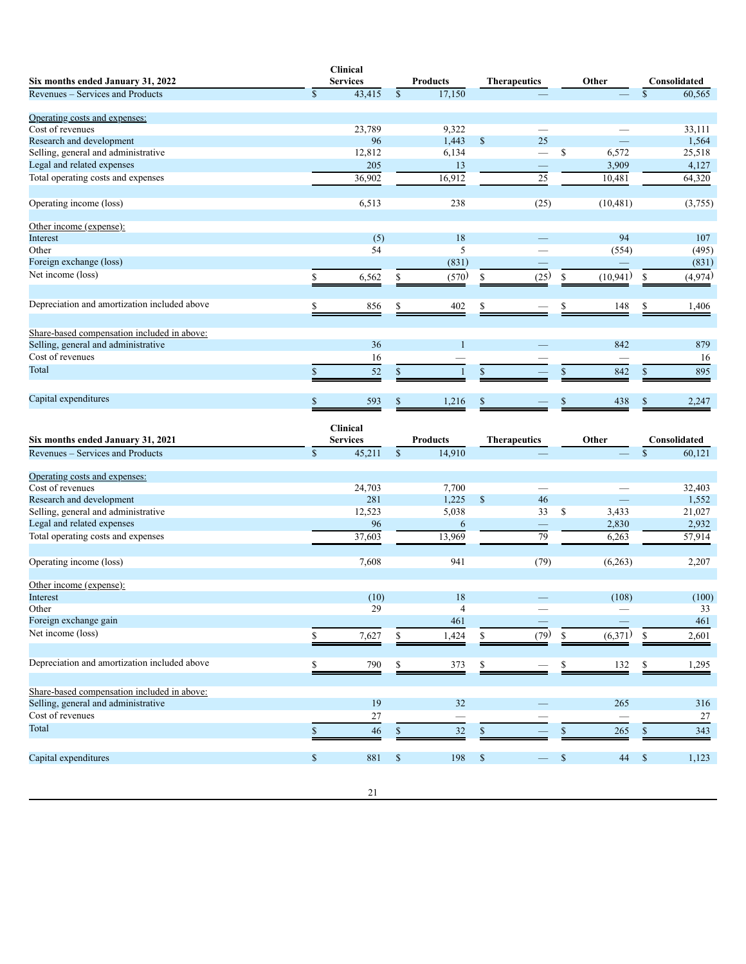|                                              | <b>Clinical</b> |                 |                    |                     |    |           |   |              |
|----------------------------------------------|-----------------|-----------------|--------------------|---------------------|----|-----------|---|--------------|
| Six months ended January 31, 2022            | <b>Services</b> | <b>Products</b> |                    | <b>Therapeutics</b> |    | Other     |   | Consolidated |
| Revenues – Services and Products             | \$<br>43,415    | \$<br>17,150    |                    |                     |    |           |   | 60,565       |
| Operating costs and expenses:                |                 |                 |                    |                     |    |           |   |              |
| Cost of revenues                             | 23,789          | 9,322           |                    |                     |    |           |   | 33,111       |
| Research and development                     | 96              | 1,443           | \$                 | 25                  |    |           |   | 1,564        |
| Selling, general and administrative          | 12,812          | 6,134           |                    |                     | \$ | 6,572     |   | 25,518       |
| Legal and related expenses                   | 205             | 13              |                    |                     |    | 3,909     |   | 4,127        |
| Total operating costs and expenses           | 36,902          | 16,912          |                    | 25                  |    | 10,481    |   | 64,320       |
| Operating income (loss)                      | 6,513           | 238             |                    | (25)                |    | (10, 481) |   | (3,755)      |
| Other income (expense):                      |                 |                 |                    |                     |    |           |   |              |
| Interest                                     | (5)             | 18              |                    |                     |    | 94        |   | 107          |
| Other                                        | 54              | 5               |                    |                     |    | (554)     |   | (495)        |
| Foreign exchange (loss)                      |                 | (831)           |                    |                     |    |           |   | (831)        |
| Net income (loss)                            | 6,562           | (570)           |                    | (25)                | S  | (10, 941) |   | (4,974)      |
| Depreciation and amortization included above | 856             | \$<br>402       | \$                 |                     | S  | 148       |   | 1,406        |
| Share-based compensation included in above:  |                 |                 |                    |                     |    |           |   |              |
| Selling, general and administrative          | 36              |                 |                    |                     |    | 842       |   | 879          |
| Cost of revenues                             | 16              |                 |                    |                     |    |           |   | 16           |
| Total                                        | 52              |                 |                    |                     |    | 842       | S | 895          |
| Capital expenditures                         | 593             | 1,216           | $\mathbf{\hat{S}}$ |                     |    | 438       |   | 2,247        |
|                                              |                 |                 |                    |                     |    |           |   |              |

| Six months ended January 31, 2021                       |              | <b>Clinical</b><br><b>Services</b> |              | <b>Products</b> |               | <b>Therapeutics</b> |               | Other   |     | Consolidated |
|---------------------------------------------------------|--------------|------------------------------------|--------------|-----------------|---------------|---------------------|---------------|---------|-----|--------------|
| Revenues – Services and Products                        | $\mathbb{S}$ | 45,211                             | $\mathbb{S}$ | 14,910          |               |                     |               |         | \$  | 60,121       |
| Operating costs and expenses:                           |              |                                    |              |                 |               |                     |               |         |     |              |
| Cost of revenues                                        |              | 24,703                             |              | 7,700           |               |                     |               |         |     | 32,403       |
| Research and development                                |              | 281                                |              | 1,225           | $\mathsf{\$}$ | 46                  |               |         |     | 1,552        |
| Selling, general and administrative                     |              | 12,523                             |              | 5,038           |               | 33                  | <sup>\$</sup> | 3,433   |     | 21,027       |
| Legal and related expenses                              |              | 96                                 |              | 6               |               |                     |               | 2,830   |     | 2,932        |
| Total operating costs and expenses                      |              | 37,603                             |              | 13,969          |               | 79                  |               | 6,263   |     | 57,914       |
| Operating income (loss)                                 |              | 7,608                              |              | 941             |               | (79)                |               | (6,263) |     | 2,207        |
| Other income (expense):                                 |              |                                    |              |                 |               |                     |               |         |     |              |
| Interest                                                |              | (10)                               |              | 18              |               |                     |               | (108)   |     | (100)        |
| Other                                                   |              | 29                                 |              | 4               |               |                     |               |         |     | 33           |
| Foreign exchange gain                                   |              |                                    |              | 461             |               |                     |               |         |     | 461          |
| Net income (loss)                                       |              | 7,627                              |              | 1,424           | \$            | (79)                | \$            | (6,371) | \$  | 2,601        |
| Depreciation and amortization included above            |              | 790                                | \$           | 373             | \$            |                     |               | 132     | \$. | 1,295        |
|                                                         |              |                                    |              |                 |               |                     |               |         |     |              |
| Share-based compensation included in above:             |              |                                    |              |                 |               |                     |               |         |     |              |
| Selling, general and administrative<br>Cost of revenues |              | 19                                 |              | 32              |               |                     |               | 265     |     | 316          |
|                                                         |              | 27                                 |              |                 |               |                     |               |         |     | 27           |
| Total                                                   |              | 46                                 |              | 32              |               |                     |               | 265     |     | 343          |
| Capital expenditures                                    | \$           | 881                                | S            | 198             | <sup>\$</sup> |                     |               | 44      | S   | 1,123        |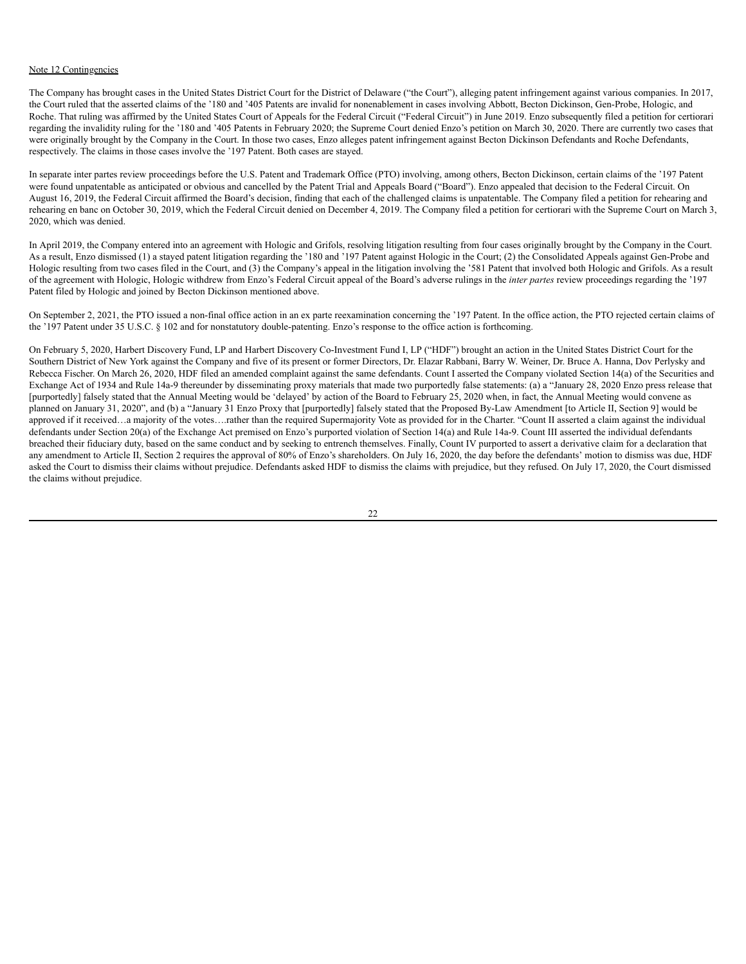### Note 12 Contingencies

The Company has brought cases in the United States District Court for the District of Delaware ("the Court"), alleging patent infringement against various companies. In 2017, the Court ruled that the asserted claims of the '180 and '405 Patents are invalid for nonenablement in cases involving Abbott, Becton Dickinson, Gen-Probe, Hologic, and Roche. That ruling was affirmed by the United States Court of Appeals for the Federal Circuit ("Federal Circuit") in June 2019. Enzo subsequently filed a petition for certiorari regarding the invalidity ruling for the '180 and '405 Patents in February 2020; the Supreme Court denied Enzo's petition on March 30, 2020. There are currently two cases that were originally brought by the Company in the Court. In those two cases, Enzo alleges patent infringement against Becton Dickinson Defendants and Roche Defendants, respectively. The claims in those cases involve the '197 Patent. Both cases are stayed.

In separate inter partes review proceedings before the U.S. Patent and Trademark Office (PTO) involving, among others, Becton Dickinson, certain claims of the '197 Patent were found unpatentable as anticipated or obvious and cancelled by the Patent Trial and Appeals Board ("Board"). Enzo appealed that decision to the Federal Circuit. On August 16, 2019, the Federal Circuit affirmed the Board's decision, finding that each of the challenged claims is unpatentable. The Company filed a petition for rehearing and rehearing en banc on October 30, 2019, which the Federal Circuit denied on December 4, 2019. The Company filed a petition for certiorari with the Supreme Court on March 3, 2020, which was denied.

In April 2019, the Company entered into an agreement with Hologic and Grifols, resolving litigation resulting from four cases originally brought by the Company in the Court. As a result, Enzo dismissed (1) a stayed patent litigation regarding the '180 and '197 Patent against Hologic in the Court; (2) the Consolidated Appeals against Gen-Probe and Hologic resulting from two cases filed in the Court, and (3) the Company's appeal in the litigation involving the '581 Patent that involved both Hologic and Grifols. As a result of the agreement with Hologic, Hologic withdrew from Enzo's Federal Circuit appeal of the Board's adverse rulings in the *inter partes* review proceedings regarding the '197 Patent filed by Hologic and joined by Becton Dickinson mentioned above.

On September 2, 2021, the PTO issued a non-final office action in an ex parte reexamination concerning the '197 Patent. In the office action, the PTO rejected certain claims of the '197 Patent under 35 U.S.C. § 102 and for nonstatutory double-patenting. Enzo's response to the office action is forthcoming.

On February 5, 2020, Harbert Discovery Fund, LP and Harbert Discovery Co-Investment Fund I, LP ("HDF") brought an action in the United States District Court for the Southern District of New York against the Company and five of its present or former Directors, Dr. Elazar Rabbani, Barry W. Weiner, Dr. Bruce A. Hanna, Dov Perlysky and Rebecca Fischer. On March 26, 2020, HDF filed an amended complaint against the same defendants. Count I asserted the Company violated Section 14(a) of the Securities and Exchange Act of 1934 and Rule 14a-9 thereunder by disseminating proxy materials that made two purportedly false statements: (a) a "January 28, 2020 Enzo press release that [purportedly] falsely stated that the Annual Meeting would be 'delayed' by action of the Board to February 25, 2020 when, in fact, the Annual Meeting would convene as planned on January 31, 2020", and (b) a "January 31 Enzo Proxy that [purportedly] falsely stated that the Proposed By-Law Amendment [to Article II, Section 9] would be approved if it received…a majority of the votes….rather than the required Supermajority Vote as provided for in the Charter. "Count II asserted a claim against the individual defendants under Section 20(a) of the Exchange Act premised on Enzo's purported violation of Section 14(a) and Rule 14a-9. Count III asserted the individual defendants breached their fiduciary duty, based on the same conduct and by seeking to entrench themselves. Finally, Count IV purported to assert a derivative claim for a declaration that any amendment to Article II, Section 2 requires the approval of 80% of Enzo's shareholders. On July 16, 2020, the day before the defendants' motion to dismiss was due, HDF asked the Court to dismiss their claims without prejudice. Defendants asked HDF to dismiss the claims with prejudice, but they refused. On July 17, 2020, the Court dismissed the claims without prejudice.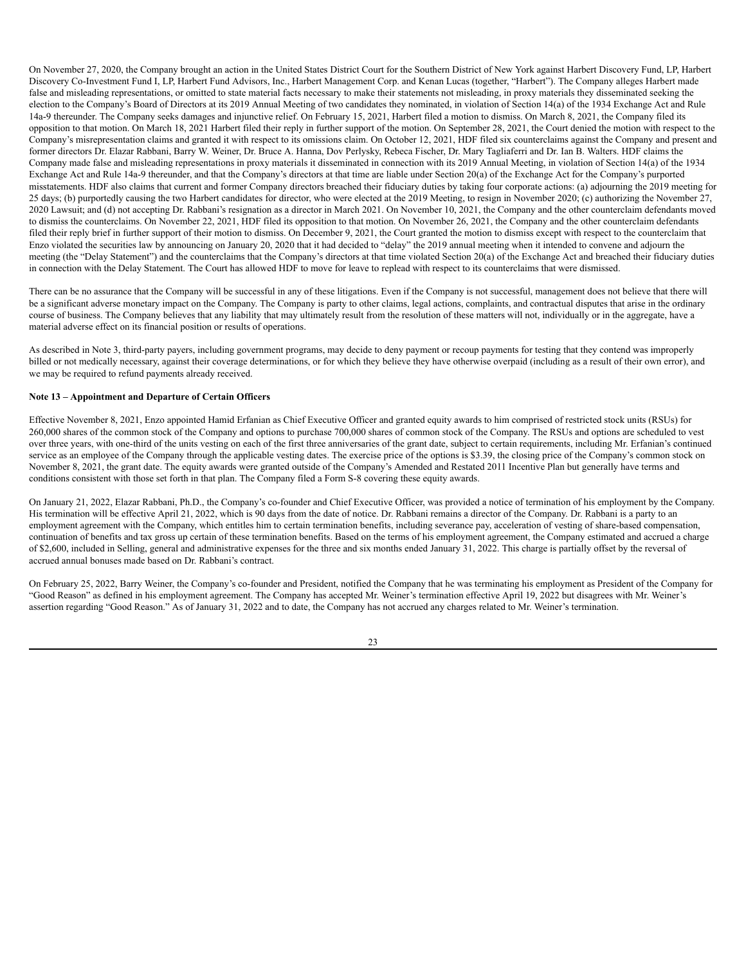On November 27, 2020, the Company brought an action in the United States District Court for the Southern District of New York against Harbert Discovery Fund, LP, Harbert Discovery Co-Investment Fund I, LP, Harbert Fund Advisors, Inc., Harbert Management Corp. and Kenan Lucas (together, "Harbert"). The Company alleges Harbert made false and misleading representations, or omitted to state material facts necessary to make their statements not misleading, in proxy materials they disseminated seeking the election to the Company's Board of Directors at its 2019 Annual Meeting of two candidates they nominated, in violation of Section 14(a) of the 1934 Exchange Act and Rule 14a-9 thereunder. The Company seeks damages and injunctive relief. On February 15, 2021, Harbert filed a motion to dismiss. On March 8, 2021, the Company filed its opposition to that motion. On March 18, 2021 Harbert filed their reply in further support of the motion. On September 28, 2021, the Court denied the motion with respect to the Company's misrepresentation claims and granted it with respect to its omissions claim. On October 12, 2021, HDF filed six counterclaims against the Company and present and former directors Dr. Elazar Rabbani, Barry W. Weiner, Dr. Bruce A. Hanna, Dov Perlysky, Rebeca Fischer, Dr. Mary Tagliaferri and Dr. Ian B. Walters. HDF claims the Company made false and misleading representations in proxy materials it disseminated in connection with its 2019 Annual Meeting, in violation of Section 14(a) of the 1934 Exchange Act and Rule 14a-9 thereunder, and that the Company's directors at that time are liable under Section 20(a) of the Exchange Act for the Company's purported misstatements. HDF also claims that current and former Company directors breached their fiduciary duties by taking four corporate actions: (a) adjourning the 2019 meeting for 25 days; (b) purportedly causing the two Harbert candidates for director, who were elected at the 2019 Meeting, to resign in November 2020; (c) authorizing the November 27, 2020 Lawsuit; and (d) not accepting Dr. Rabbani's resignation as a director in March 2021. On November 10, 2021, the Company and the other counterclaim defendants moved to dismiss the counterclaims. On November 22, 2021, HDF filed its opposition to that motion. On November 26, 2021, the Company and the other counterclaim defendants filed their reply brief in further support of their motion to dismiss. On December 9, 2021, the Court granted the motion to dismiss except with respect to the counterclaim that Enzo violated the securities law by announcing on January 20, 2020 that it had decided to "delay" the 2019 annual meeting when it intended to convene and adjourn the meeting (the "Delay Statement") and the counterclaims that the Company's directors at that time violated Section 20(a) of the Exchange Act and breached their fiduciary duties in connection with the Delay Statement. The Court has allowed HDF to move for leave to replead with respect to its counterclaims that were dismissed.

There can be no assurance that the Company will be successful in any of these litigations. Even if the Company is not successful, management does not believe that there will be a significant adverse monetary impact on the Company. The Company is party to other claims, legal actions, complaints, and contractual disputes that arise in the ordinary course of business. The Company believes that any liability that may ultimately result from the resolution of these matters will not, individually or in the aggregate, have a material adverse effect on its financial position or results of operations.

As described in Note 3, third-party payers, including government programs, may decide to deny payment or recoup payments for testing that they contend was improperly billed or not medically necessary, against their coverage determinations, or for which they believe they have otherwise overpaid (including as a result of their own error), and we may be required to refund payments already received.

# **Note 13 – Appointment and Departure of Certain Officers**

Effective November 8, 2021, Enzo appointed Hamid Erfanian as Chief Executive Officer and granted equity awards to him comprised of restricted stock units (RSUs) for 260,000 shares of the common stock of the Company and options to purchase 700,000 shares of common stock of the Company. The RSUs and options are scheduled to vest over three years, with one-third of the units vesting on each of the first three anniversaries of the grant date, subject to certain requirements, including Mr. Erfanian's continued service as an employee of the Company through the applicable vesting dates. The exercise price of the options is \$3.39, the closing price of the Company's common stock on November 8, 2021, the grant date. The equity awards were granted outside of the Company's Amended and Restated 2011 Incentive Plan but generally have terms and conditions consistent with those set forth in that plan. The Company filed a Form S-8 covering these equity awards.

On January 21, 2022, Elazar Rabbani, Ph.D., the Company's co-founder and Chief Executive Officer, was provided a notice of termination of his employment by the Company. His termination will be effective April 21, 2022, which is 90 days from the date of notice. Dr. Rabbani remains a director of the Company. Dr. Rabbani is a party to an employment agreement with the Company, which entitles him to certain termination benefits, including severance pay, acceleration of vesting of share-based compensation, continuation of benefits and tax gross up certain of these termination benefits. Based on the terms of his employment agreement, the Company estimated and accrued a charge of \$2,600, included in Selling, general and administrative expenses for the three and six months ended January 31, 2022. This charge is partially offset by the reversal of accrued annual bonuses made based on Dr. Rabbani's contract.

On February 25, 2022, Barry Weiner, the Company's co-founder and President, notified the Company that he was terminating his employment as President of the Company for "Good Reason" as defined in his employment agreement. The Company has accepted Mr. Weiner's termination effective April 19, 2022 but disagrees with Mr. Weiner's assertion regarding "Good Reason." As of January 31, 2022 and to date, the Company has not accrued any charges related to Mr. Weiner's termination.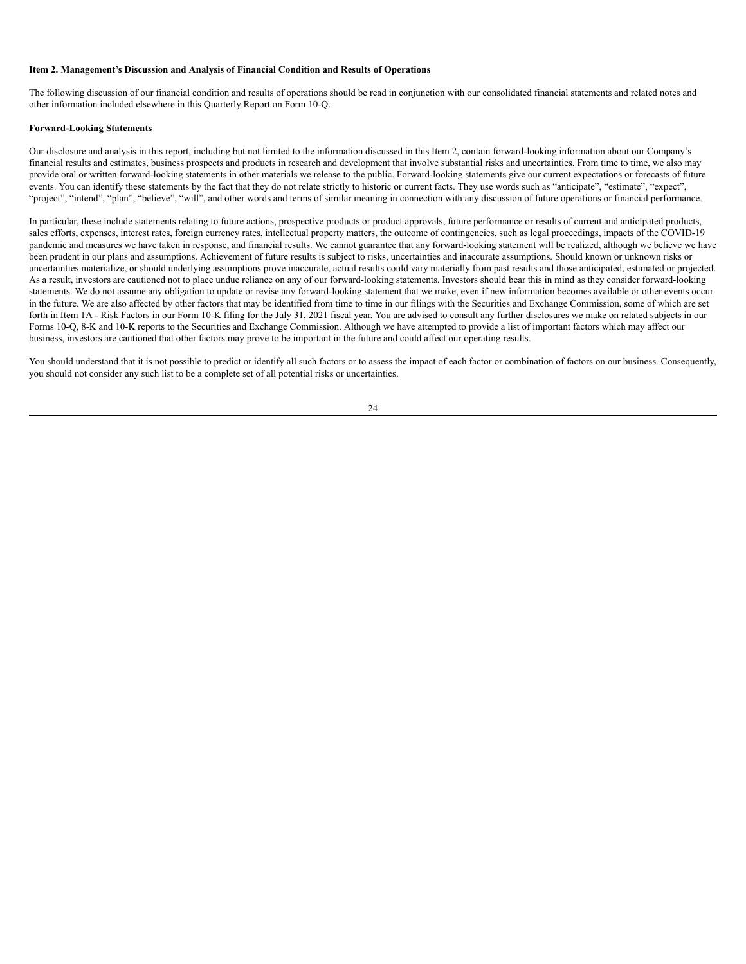#### <span id="page-25-0"></span>**Item 2. Management's Discussion and Analysis of Financial Condition and Results of Operations**

The following discussion of our financial condition and results of operations should be read in conjunction with our consolidated financial statements and related notes and other information included elsewhere in this Quarterly Report on Form 10-Q.

### **Forward-Looking Statements**

Our disclosure and analysis in this report, including but not limited to the information discussed in this Item 2, contain forward-looking information about our Company's financial results and estimates, business prospects and products in research and development that involve substantial risks and uncertainties. From time to time, we also may provide oral or written forward-looking statements in other materials we release to the public. Forward-looking statements give our current expectations or forecasts of future events. You can identify these statements by the fact that they do not relate strictly to historic or current facts. They use words such as "anticipate", "estimate", "expect", "project", "intend", "plan", "believe", "will", and other words and terms of similar meaning in connection with any discussion of future operations or financial performance.

In particular, these include statements relating to future actions, prospective products or product approvals, future performance or results of current and anticipated products, sales efforts, expenses, interest rates, foreign currency rates, intellectual property matters, the outcome of contingencies, such as legal proceedings, impacts of the COVID-19 pandemic and measures we have taken in response, and financial results. We cannot guarantee that any forward-looking statement will be realized, although we believe we have been prudent in our plans and assumptions. Achievement of future results is subject to risks, uncertainties and inaccurate assumptions. Should known or unknown risks or uncertainties materialize, or should underlying assumptions prove inaccurate, actual results could vary materially from past results and those anticipated, estimated or projected. As a result, investors are cautioned not to place undue reliance on any of our forward-looking statements. Investors should bear this in mind as they consider forward-looking statements. We do not assume any obligation to update or revise any forward-looking statement that we make, even if new information becomes available or other events occur in the future. We are also affected by other factors that may be identified from time to time in our filings with the Securities and Exchange Commission, some of which are set forth in Item 1A - Risk Factors in our Form 10-K filing for the July 31, 2021 fiscal year. You are advised to consult any further disclosures we make on related subjects in our Forms 10-Q, 8-K and 10-K reports to the Securities and Exchange Commission. Although we have attempted to provide a list of important factors which may affect our business, investors are cautioned that other factors may prove to be important in the future and could affect our operating results.

You should understand that it is not possible to predict or identify all such factors or to assess the impact of each factor or combination of factors on our business. Consequently, you should not consider any such list to be a complete set of all potential risks or uncertainties.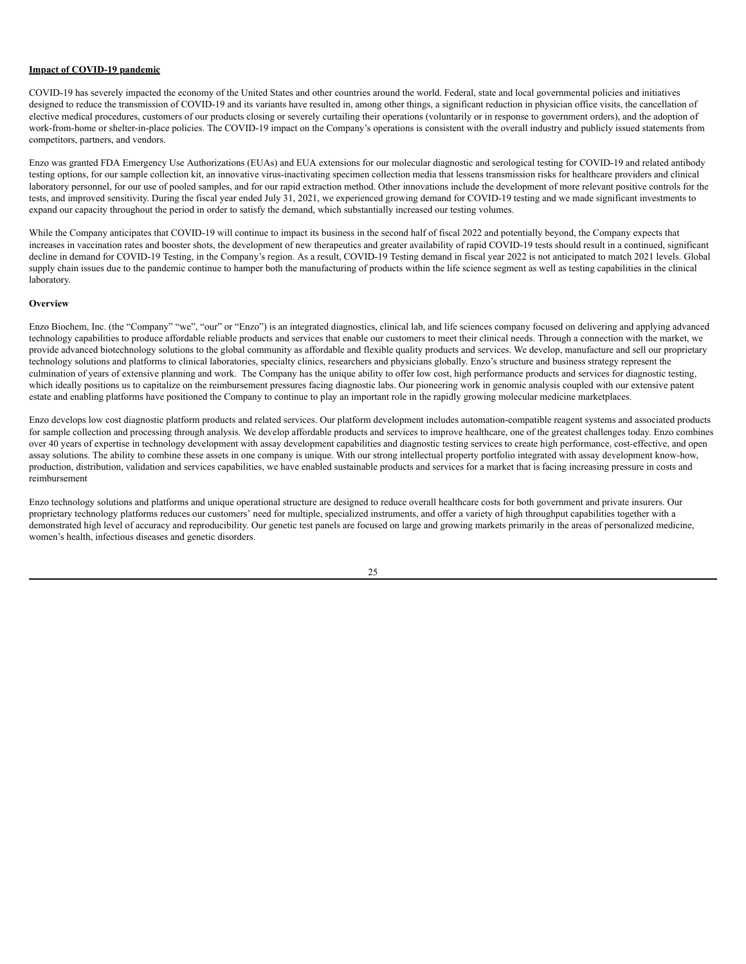#### **Impact of COVID-19 pandemic**

COVID-19 has severely impacted the economy of the United States and other countries around the world. Federal, state and local governmental policies and initiatives designed to reduce the transmission of COVID-19 and its variants have resulted in, among other things, a significant reduction in physician office visits, the cancellation of elective medical procedures, customers of our products closing or severely curtailing their operations (voluntarily or in response to government orders), and the adoption of work-from-home or shelter-in-place policies. The COVID-19 impact on the Company's operations is consistent with the overall industry and publicly issued statements from competitors, partners, and vendors.

Enzo was granted FDA Emergency Use Authorizations (EUAs) and EUA extensions for our molecular diagnostic and serological testing for COVID-19 and related antibody testing options, for our sample collection kit, an innovative virus-inactivating specimen collection media that lessens transmission risks for healthcare providers and clinical laboratory personnel, for our use of pooled samples, and for our rapid extraction method. Other innovations include the development of more relevant positive controls for the tests, and improved sensitivity. During the fiscal year ended July 31, 2021, we experienced growing demand for COVID-19 testing and we made significant investments to expand our capacity throughout the period in order to satisfy the demand, which substantially increased our testing volumes.

While the Company anticipates that COVID-19 will continue to impact its business in the second half of fiscal 2022 and potentially beyond, the Company expects that increases in vaccination rates and booster shots, the development of new therapeutics and greater availability of rapid COVID-19 tests should result in a continued, significant decline in demand for COVID-19 Testing, in the Company's region. As a result, COVID-19 Testing demand in fiscal year 2022 is not anticipated to match 2021 levels. Global supply chain issues due to the pandemic continue to hamper both the manufacturing of products within the life science segment as well as testing capabilities in the clinical laboratory.

#### **Overview**

Enzo Biochem, Inc. (the "Company" "we", "our" or "Enzo") is an integrated diagnostics, clinical lab, and life sciences company focused on delivering and applying advanced technology capabilities to produce affordable reliable products and services that enable our customers to meet their clinical needs. Through a connection with the market, we provide advanced biotechnology solutions to the global community as affordable and flexible quality products and services. We develop, manufacture and sell our proprietary technology solutions and platforms to clinical laboratories, specialty clinics, researchers and physicians globally. Enzo's structure and business strategy represent the culmination of years of extensive planning and work. The Company has the unique ability to offer low cost, high performance products and services for diagnostic testing, which ideally positions us to capitalize on the reimbursement pressures facing diagnostic labs. Our pioneering work in genomic analysis coupled with our extensive patent estate and enabling platforms have positioned the Company to continue to play an important role in the rapidly growing molecular medicine marketplaces.

Enzo develops low cost diagnostic platform products and related services. Our platform development includes automation-compatible reagent systems and associated products for sample collection and processing through analysis. We develop affordable products and services to improve healthcare, one of the greatest challenges today. Enzo combines over 40 years of expertise in technology development with assay development capabilities and diagnostic testing services to create high performance, cost-effective, and open assay solutions. The ability to combine these assets in one company is unique. With our strong intellectual property portfolio integrated with assay development know-how, production, distribution, validation and services capabilities, we have enabled sustainable products and services for a market that is facing increasing pressure in costs and reimbursement

Enzo technology solutions and platforms and unique operational structure are designed to reduce overall healthcare costs for both government and private insurers. Our proprietary technology platforms reduces our customers' need for multiple, specialized instruments, and offer a variety of high throughput capabilities together with a demonstrated high level of accuracy and reproducibility. Our genetic test panels are focused on large and growing markets primarily in the areas of personalized medicine, women's health, infectious diseases and genetic disorders.

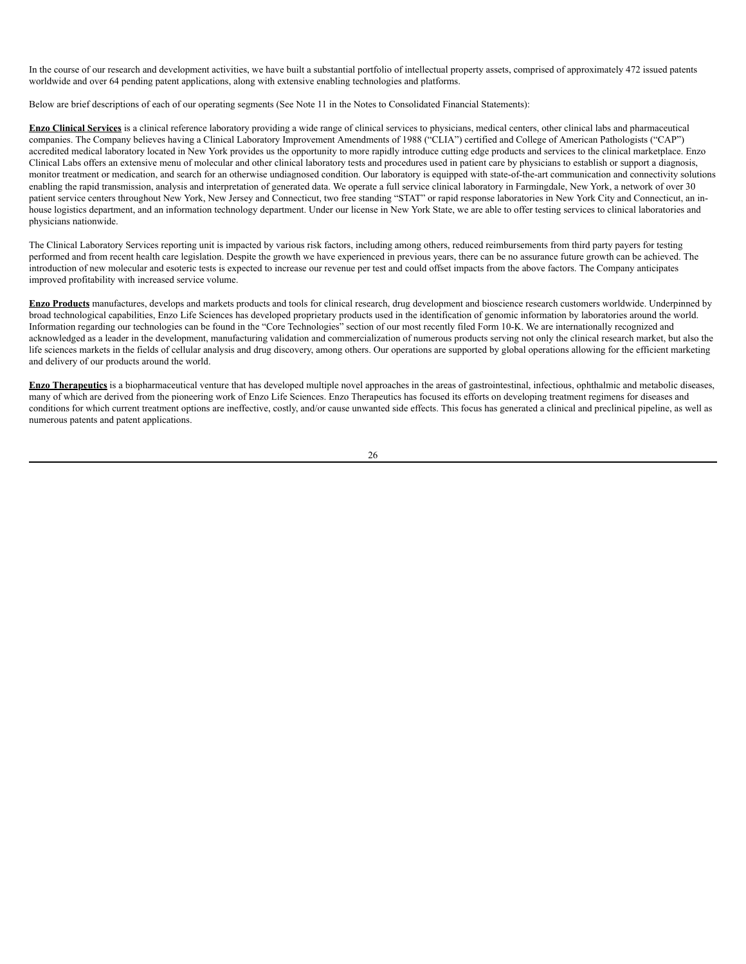In the course of our research and development activities, we have built a substantial portfolio of intellectual property assets, comprised of approximately 472 issued patents worldwide and over 64 pending patent applications, along with extensive enabling technologies and platforms.

Below are brief descriptions of each of our operating segments (See Note 11 in the Notes to Consolidated Financial Statements):

**Enzo Clinical Services** is a clinical reference laboratory providing a wide range of clinical services to physicians, medical centers, other clinical labs and pharmaceutical companies. The Company believes having a Clinical Laboratory Improvement Amendments of 1988 ("CLIA") certified and College of American Pathologists ("CAP") accredited medical laboratory located in New York provides us the opportunity to more rapidly introduce cutting edge products and services to the clinical marketplace. Enzo Clinical Labs offers an extensive menu of molecular and other clinical laboratory tests and procedures used in patient care by physicians to establish or support a diagnosis, monitor treatment or medication, and search for an otherwise undiagnosed condition. Our laboratory is equipped with state-of-the-art communication and connectivity solutions enabling the rapid transmission, analysis and interpretation of generated data. We operate a full service clinical laboratory in Farmingdale, New York, a network of over 30 patient service centers throughout New York, New Jersey and Connecticut, two free standing "STAT" or rapid response laboratories in New York City and Connecticut, an inhouse logistics department, and an information technology department. Under our license in New York State, we are able to offer testing services to clinical laboratories and physicians nationwide.

The Clinical Laboratory Services reporting unit is impacted by various risk factors, including among others, reduced reimbursements from third party payers for testing performed and from recent health care legislation. Despite the growth we have experienced in previous years, there can be no assurance future growth can be achieved. The introduction of new molecular and esoteric tests is expected to increase our revenue per test and could offset impacts from the above factors. The Company anticipates improved profitability with increased service volume.

**Enzo Products** manufactures, develops and markets products and tools for clinical research, drug development and bioscience research customers worldwide. Underpinned by broad technological capabilities, Enzo Life Sciences has developed proprietary products used in the identification of genomic information by laboratories around the world. Information regarding our technologies can be found in the "Core Technologies" section of our most recently filed Form 10-K. We are internationally recognized and acknowledged as a leader in the development, manufacturing validation and commercialization of numerous products serving not only the clinical research market, but also the life sciences markets in the fields of cellular analysis and drug discovery, among others. Our operations are supported by global operations allowing for the efficient marketing and delivery of our products around the world.

**Enzo Therapeutics** is a biopharmaceutical venture that has developed multiple novel approaches in the areas of gastrointestinal, infectious, ophthalmic and metabolic diseases, many of which are derived from the pioneering work of Enzo Life Sciences. Enzo Therapeutics has focused its efforts on developing treatment regimens for diseases and conditions for which current treatment options are ineffective, costly, and/or cause unwanted side effects. This focus has generated a clinical and preclinical pipeline, as well as numerous patents and patent applications.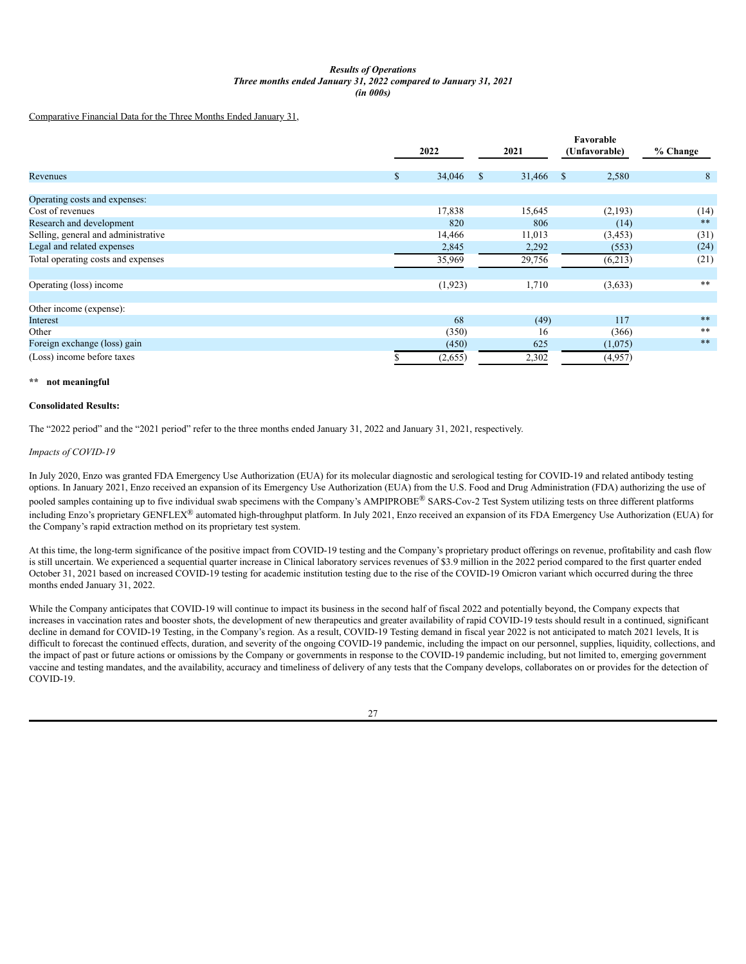# *Results of Operations Three months ended January 31, 2022 compared to January 31, 2021 (in 000s)*

Comparative Financial Data for the Three Months Ended January 31,

|                                     |              |               |           | Favorable     |          |          |  |
|-------------------------------------|--------------|---------------|-----------|---------------|----------|----------|--|
|                                     | 2022         |               |           | (Unfavorable) |          | % Change |  |
| Revenues                            | \$<br>34,046 | <sup>\$</sup> | 31,466 \$ |               | 2,580    | 8        |  |
| Operating costs and expenses:       |              |               |           |               |          |          |  |
| Cost of revenues                    | 17,838       |               | 15,645    |               | (2,193)  | (14)     |  |
| Research and development            | 820          |               | 806       |               | (14)     | $***$    |  |
| Selling, general and administrative | 14,466       |               | 11,013    |               | (3, 453) | (31)     |  |
| Legal and related expenses          | 2,845        |               | 2,292     |               | (553)    | (24)     |  |
| Total operating costs and expenses  | 35,969       |               | 29,756    |               | (6,213)  | (21)     |  |
| Operating (loss) income             | (1,923)      |               | 1,710     |               | (3,633)  | **       |  |
| Other income (expense):             |              |               |           |               |          |          |  |
| Interest                            | 68           |               | (49)      |               | 117      | $***$    |  |
| Other                               | (350)        |               | 16        |               | (366)    | **       |  |
| Foreign exchange (loss) gain        | (450)        |               | 625       |               | (1,075)  | $***$    |  |
| (Loss) income before taxes          | (2,655)      |               | 2,302     |               | (4,957)  |          |  |

### **\*\* not meaningful**

# **Consolidated Results:**

The "2022 period" and the "2021 period" refer to the three months ended January 31, 2022 and January 31, 2021, respectively.

### *Impacts of COVID-19*

In July 2020, Enzo was granted FDA Emergency Use Authorization (EUA) for its molecular diagnostic and serological testing for COVID-19 and related antibody testing options. In January 2021, Enzo received an expansion of its Emergency Use Authorization (EUA) from the U.S. Food and Drug Administration (FDA) authorizing the use of pooled samples containing up to five individual swab specimens with the Company's AMPIPROBE® SARS-Cov-2 Test System utilizing tests on three different platforms including Enzo's proprietary GENFLEX® automated high-throughput platform. In July 2021, Enzo received an expansion of its FDA Emergency Use Authorization (EUA) for the Company's rapid extraction method on its proprietary test system.

At this time, the long-term significance of the positive impact from COVID-19 testing and the Company's proprietary product offerings on revenue, profitability and cash flow is still uncertain. We experienced a sequential quarter increase in Clinical laboratory services revenues of \$3.9 million in the 2022 period compared to the first quarter ended October 31, 2021 based on increased COVID-19 testing for academic institution testing due to the rise of the COVID-19 Omicron variant which occurred during the three months ended January 31, 2022.

While the Company anticipates that COVID-19 will continue to impact its business in the second half of fiscal 2022 and potentially beyond, the Company expects that increases in vaccination rates and booster shots, the development of new therapeutics and greater availability of rapid COVID-19 tests should result in a continued, significant decline in demand for COVID-19 Testing, in the Company's region. As a result, COVID-19 Testing demand in fiscal year 2022 is not anticipated to match 2021 levels, It is difficult to forecast the continued effects, duration, and severity of the ongoing COVID-19 pandemic, including the impact on our personnel, supplies, liquidity, collections, and the impact of past or future actions or omissions by the Company or governments in response to the COVID-19 pandemic including, but not limited to, emerging government vaccine and testing mandates, and the availability, accuracy and timeliness of delivery of any tests that the Company develops, collaborates on or provides for the detection of COVID-19.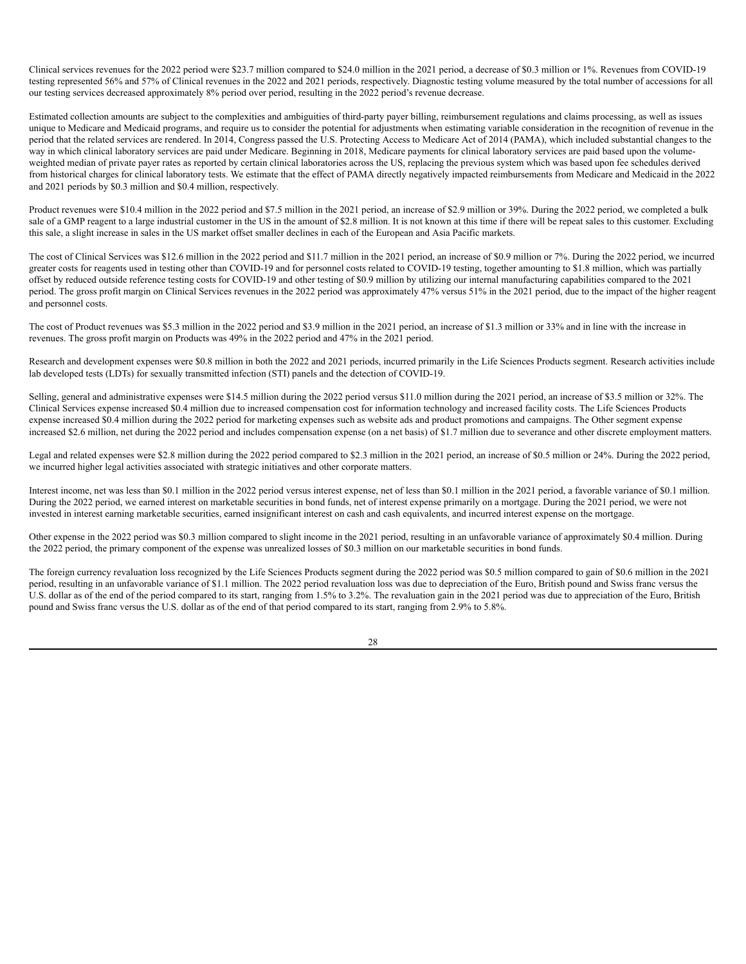Clinical services revenues for the 2022 period were \$23.7 million compared to \$24.0 million in the 2021 period, a decrease of \$0.3 million or 1%. Revenues from COVID-19 testing represented 56% and 57% of Clinical revenues in the 2022 and 2021 periods, respectively. Diagnostic testing volume measured by the total number of accessions for all our testing services decreased approximately 8% period over period, resulting in the 2022 period's revenue decrease.

Estimated collection amounts are subject to the complexities and ambiguities of third-party payer billing, reimbursement regulations and claims processing, as well as issues unique to Medicare and Medicaid programs, and require us to consider the potential for adjustments when estimating variable consideration in the recognition of revenue in the period that the related services are rendered. In 2014, Congress passed the U.S. Protecting Access to Medicare Act of 2014 (PAMA), which included substantial changes to the way in which clinical laboratory services are paid under Medicare. Beginning in 2018, Medicare payments for clinical laboratory services are paid based upon the volumeweighted median of private payer rates as reported by certain clinical laboratories across the US, replacing the previous system which was based upon fee schedules derived from historical charges for clinical laboratory tests. We estimate that the effect of PAMA directly negatively impacted reimbursements from Medicare and Medicaid in the 2022 and 2021 periods by \$0.3 million and \$0.4 million, respectively.

Product revenues were \$10.4 million in the 2022 period and \$7.5 million in the 2021 period, an increase of \$2.9 million or 39%. During the 2022 period, we completed a bulk sale of a GMP reagent to a large industrial customer in the US in the amount of \$2.8 million. It is not known at this time if there will be repeat sales to this customer. Excluding this sale, a slight increase in sales in the US market offset smaller declines in each of the European and Asia Pacific markets.

The cost of Clinical Services was \$12.6 million in the 2022 period and \$11.7 million in the 2021 period, an increase of \$0.9 million or 7%. During the 2022 period, we incurred greater costs for reagents used in testing other than COVID-19 and for personnel costs related to COVID-19 testing, together amounting to \$1.8 million, which was partially offset by reduced outside reference testing costs for COVID-19 and other testing of \$0.9 million by utilizing our internal manufacturing capabilities compared to the 2021 period. The gross profit margin on Clinical Services revenues in the 2022 period was approximately 47% versus 51% in the 2021 period, due to the impact of the higher reagent and personnel costs.

The cost of Product revenues was \$5.3 million in the 2022 period and \$3.9 million in the 2021 period, an increase of \$1.3 million or 33% and in line with the increase in revenues. The gross profit margin on Products was 49% in the 2022 period and 47% in the 2021 period.

Research and development expenses were \$0.8 million in both the 2022 and 2021 periods, incurred primarily in the Life Sciences Products segment. Research activities include lab developed tests (LDTs) for sexually transmitted infection (STI) panels and the detection of COVID-19.

Selling, general and administrative expenses were \$14.5 million during the 2022 period versus \$11.0 million during the 2021 period, an increase of \$3.5 million or 32%. The Clinical Services expense increased \$0.4 million due to increased compensation cost for information technology and increased facility costs. The Life Sciences Products expense increased \$0.4 million during the 2022 period for marketing expenses such as website ads and product promotions and campaigns. The Other segment expense increased \$2.6 million, net during the 2022 period and includes compensation expense (on a net basis) of \$1.7 million due to severance and other discrete employment matters.

Legal and related expenses were \$2.8 million during the 2022 period compared to \$2.3 million in the 2021 period, an increase of \$0.5 million or 24%. During the 2022 period, we incurred higher legal activities associated with strategic initiatives and other corporate matters.

Interest income, net was less than \$0.1 million in the 2022 period versus interest expense, net of less than \$0.1 million in the 2021 period, a favorable variance of \$0.1 million. During the 2022 period, we earned interest on marketable securities in bond funds, net of interest expense primarily on a mortgage. During the 2021 period, we were not invested in interest earning marketable securities, earned insignificant interest on cash and cash equivalents, and incurred interest expense on the mortgage.

Other expense in the 2022 period was \$0.3 million compared to slight income in the 2021 period, resulting in an unfavorable variance of approximately \$0.4 million. During the 2022 period, the primary component of the expense was unrealized losses of \$0.3 million on our marketable securities in bond funds.

The foreign currency revaluation loss recognized by the Life Sciences Products segment during the 2022 period was \$0.5 million compared to gain of \$0.6 million in the 2021 period, resulting in an unfavorable variance of \$1.1 million. The 2022 period revaluation loss was due to depreciation of the Euro, British pound and Swiss franc versus the U.S. dollar as of the end of the period compared to its start, ranging from 1.5% to 3.2%. The revaluation gain in the 2021 period was due to appreciation of the Euro, British pound and Swiss franc versus the U.S. dollar as of the end of that period compared to its start, ranging from 2.9% to 5.8%.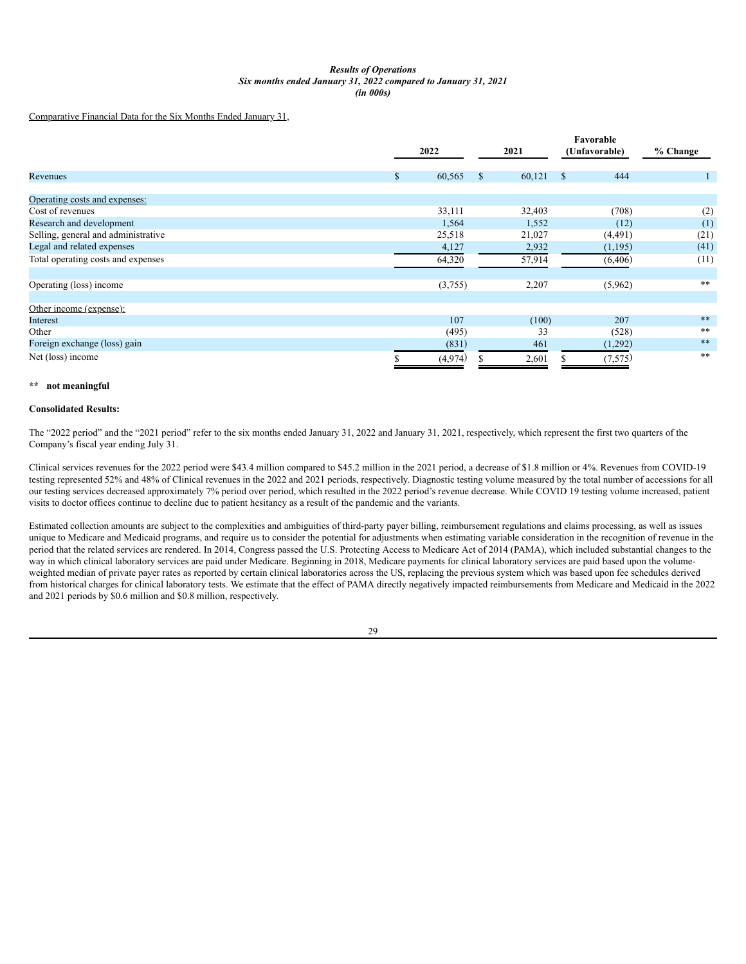## *Results of Operations Six months ended January 31, 2022 compared to January 31, 2021 (in 000s)*

Comparative Financial Data for the Six Months Ended January 31,

|                                     |              |              |        | Favorable           |          |
|-------------------------------------|--------------|--------------|--------|---------------------|----------|
|                                     | 2022         |              | 2021   | (Unfavorable)       | % Change |
| Revenues                            | \$<br>60,565 | $\mathbb{S}$ | 60,121 | 444<br>$\mathbb{S}$ |          |
|                                     |              |              |        |                     |          |
| Operating costs and expenses:       |              |              |        |                     |          |
| Cost of revenues                    | 33,111       |              | 32,403 | (708)               | (2)      |
| Research and development            | 1,564        |              | 1,552  | (12)                | (1)      |
| Selling, general and administrative | 25,518       |              | 21,027 | (4,491)             | (21)     |
| Legal and related expenses          | 4,127        |              | 2,932  | (1,195)             | (41)     |
| Total operating costs and expenses  | 64,320       |              | 57,914 | (6,406)             | (11)     |
| Operating (loss) income             | (3,755)      |              | 2,207  | (5,962)             | **       |
|                                     |              |              |        |                     |          |
| Other income (expense):             |              |              |        |                     |          |
| Interest                            | 107          |              | (100)  | 207                 | $***$    |
| Other                               | (495)        |              | 33     | (528)               | **       |
| Foreign exchange (loss) gain        | (831)        |              | 461    | (1,292)             | $***$    |
| Net (loss) income                   | (4,974)      |              | 2,601  | (7,575)             | **       |

#### **\*\* not meaningful**

# **Consolidated Results:**

The "2022 period" and the "2021 period" refer to the six months ended January 31, 2022 and January 31, 2021, respectively, which represent the first two quarters of the Company's fiscal year ending July 31.

Clinical services revenues for the 2022 period were \$43.4 million compared to \$45.2 million in the 2021 period, a decrease of \$1.8 million or 4%. Revenues from COVID-19 testing represented 52% and 48% of Clinical revenues in the 2022 and 2021 periods, respectively. Diagnostic testing volume measured by the total number of accessions for all our testing services decreased approximately 7% period over period, which resulted in the 2022 period's revenue decrease. While COVID 19 testing volume increased, patient visits to doctor offices continue to decline due to patient hesitancy as a result of the pandemic and the variants.

Estimated collection amounts are subject to the complexities and ambiguities of third-party payer billing, reimbursement regulations and claims processing, as well as issues unique to Medicare and Medicaid programs, and require us to consider the potential for adjustments when estimating variable consideration in the recognition of revenue in the period that the related services are rendered. In 2014, Congress passed the U.S. Protecting Access to Medicare Act of 2014 (PAMA), which included substantial changes to the way in which clinical laboratory services are paid under Medicare. Beginning in 2018, Medicare payments for clinical laboratory services are paid based upon the volumeweighted median of private payer rates as reported by certain clinical laboratories across the US, replacing the previous system which was based upon fee schedules derived from historical charges for clinical laboratory tests. We estimate that the effect of PAMA directly negatively impacted reimbursements from Medicare and Medicaid in the 2022 and 2021 periods by \$0.6 million and \$0.8 million, respectively.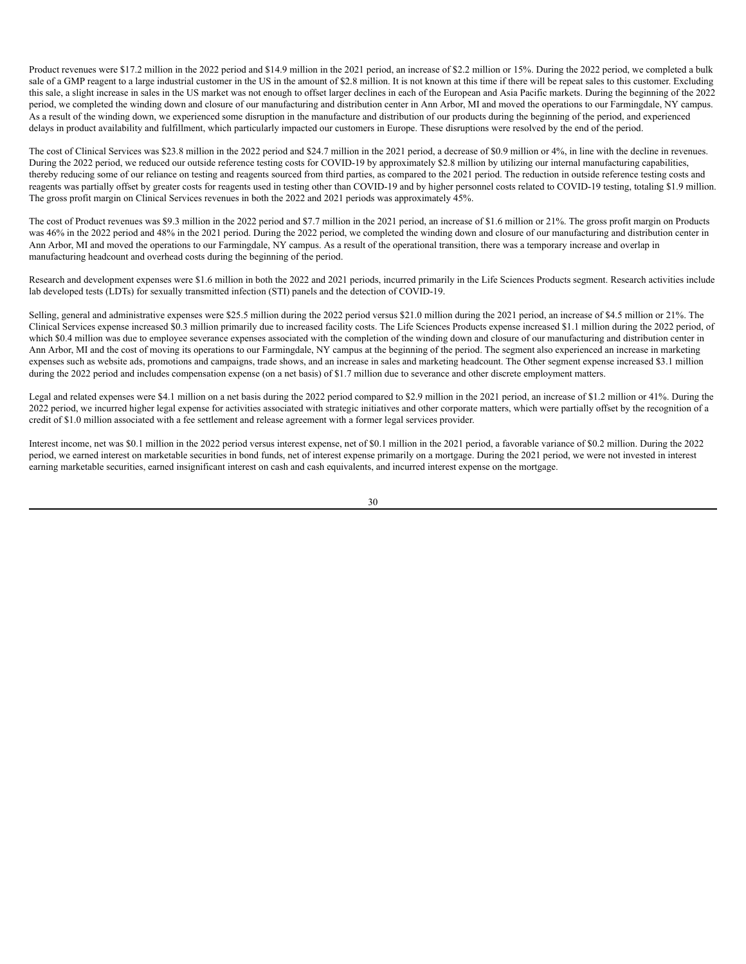Product revenues were \$17.2 million in the 2022 period and \$14.9 million in the 2021 period, an increase of \$2.2 million or 15%. During the 2022 period, we completed a bulk sale of a GMP reagent to a large industrial customer in the US in the amount of \$2.8 million. It is not known at this time if there will be repeat sales to this customer. Excluding this sale, a slight increase in sales in the US market was not enough to offset larger declines in each of the European and Asia Pacific markets. During the beginning of the 2022 period, we completed the winding down and closure of our manufacturing and distribution center in Ann Arbor, MI and moved the operations to our Farmingdale, NY campus. As a result of the winding down, we experienced some disruption in the manufacture and distribution of our products during the beginning of the period, and experienced delays in product availability and fulfillment, which particularly impacted our customers in Europe. These disruptions were resolved by the end of the period.

The cost of Clinical Services was \$23.8 million in the 2022 period and \$24.7 million in the 2021 period, a decrease of \$0.9 million or 4%, in line with the decline in revenues. During the 2022 period, we reduced our outside reference testing costs for COVID-19 by approximately \$2.8 million by utilizing our internal manufacturing capabilities, thereby reducing some of our reliance on testing and reagents sourced from third parties, as compared to the 2021 period. The reduction in outside reference testing costs and reagents was partially offset by greater costs for reagents used in testing other than COVID-19 and by higher personnel costs related to COVID-19 testing, totaling \$1.9 million. The gross profit margin on Clinical Services revenues in both the 2022 and 2021 periods was approximately 45%.

The cost of Product revenues was \$9.3 million in the 2022 period and \$7.7 million in the 2021 period, an increase of \$1.6 million or 21%. The gross profit margin on Products was 46% in the 2022 period and 48% in the 2021 period. During the 2022 period, we completed the winding down and closure of our manufacturing and distribution center in Ann Arbor, MI and moved the operations to our Farmingdale, NY campus. As a result of the operational transition, there was a temporary increase and overlap in manufacturing headcount and overhead costs during the beginning of the period.

Research and development expenses were \$1.6 million in both the 2022 and 2021 periods, incurred primarily in the Life Sciences Products segment. Research activities include lab developed tests (LDTs) for sexually transmitted infection (STI) panels and the detection of COVID-19.

Selling, general and administrative expenses were \$25.5 million during the 2022 period versus \$21.0 million during the 2021 period, an increase of \$4.5 million or 21%. The Clinical Services expense increased \$0.3 million primarily due to increased facility costs. The Life Sciences Products expense increased \$1.1 million during the 2022 period, of which \$0.4 million was due to employee severance expenses associated with the completion of the winding down and closure of our manufacturing and distribution center in Ann Arbor, MI and the cost of moving its operations to our Farmingdale, NY campus at the beginning of the period. The segment also experienced an increase in marketing expenses such as website ads, promotions and campaigns, trade shows, and an increase in sales and marketing headcount. The Other segment expense increased \$3.1 million during the 2022 period and includes compensation expense (on a net basis) of \$1.7 million due to severance and other discrete employment matters.

Legal and related expenses were \$4.1 million on a net basis during the 2022 period compared to \$2.9 million in the 2021 period, an increase of \$1.2 million or 41%. During the 2022 period, we incurred higher legal expense for activities associated with strategic initiatives and other corporate matters, which were partially offset by the recognition of a credit of \$1.0 million associated with a fee settlement and release agreement with a former legal services provider.

Interest income, net was \$0.1 million in the 2022 period versus interest expense, net of \$0.1 million in the 2021 period, a favorable variance of \$0.2 million. During the 2022 period, we earned interest on marketable securities in bond funds, net of interest expense primarily on a mortgage. During the 2021 period, we were not invested in interest earning marketable securities, earned insignificant interest on cash and cash equivalents, and incurred interest expense on the mortgage.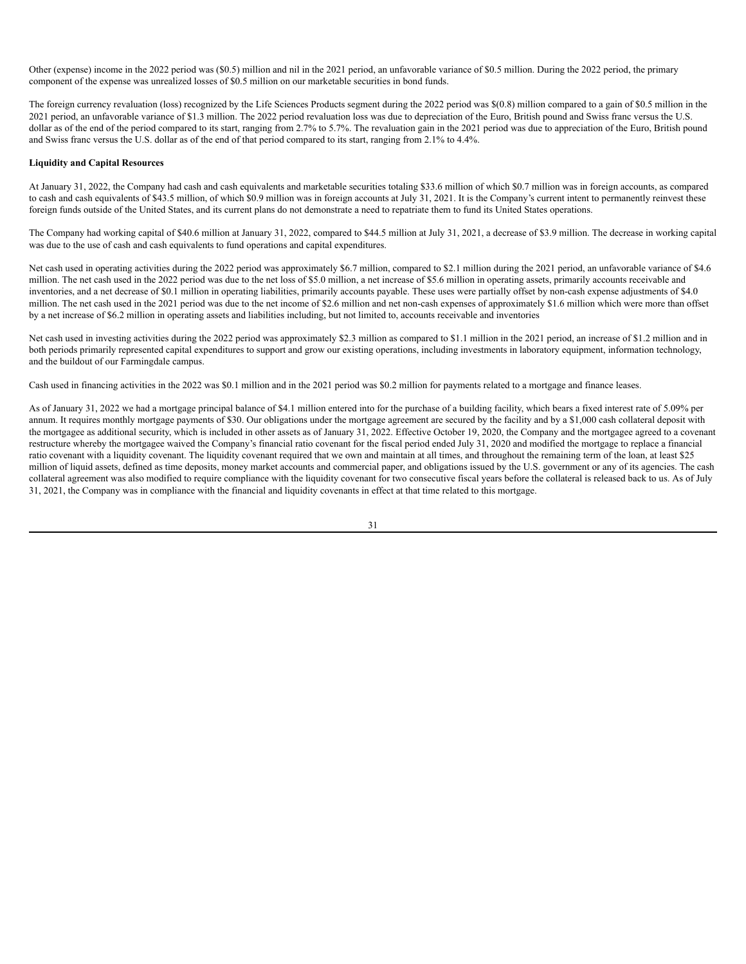Other (expense) income in the 2022 period was (\$0.5) million and nil in the 2021 period, an unfavorable variance of \$0.5 million. During the 2022 period, the primary component of the expense was unrealized losses of \$0.5 million on our marketable securities in bond funds.

The foreign currency revaluation (loss) recognized by the Life Sciences Products segment during the 2022 period was \$(0.8) million compared to a gain of \$0.5 million in the 2021 period, an unfavorable variance of \$1.3 million. The 2022 period revaluation loss was due to depreciation of the Euro, British pound and Swiss franc versus the U.S. dollar as of the end of the period compared to its start, ranging from 2.7% to 5.7%. The revaluation gain in the 2021 period was due to appreciation of the Euro, British pound and Swiss franc versus the U.S. dollar as of the end of that period compared to its start, ranging from 2.1% to 4.4%.

### **Liquidity and Capital Resources**

At January 31, 2022, the Company had cash and cash equivalents and marketable securities totaling \$33.6 million of which \$0.7 million was in foreign accounts, as compared to cash and cash equivalents of \$43.5 million, of which \$0.9 million was in foreign accounts at July 31, 2021. It is the Company's current intent to permanently reinvest these foreign funds outside of the United States, and its current plans do not demonstrate a need to repatriate them to fund its United States operations.

The Company had working capital of \$40.6 million at January 31, 2022, compared to \$44.5 million at July 31, 2021, a decrease of \$3.9 million. The decrease in working capital was due to the use of cash and cash equivalents to fund operations and capital expenditures.

Net cash used in operating activities during the 2022 period was approximately \$6.7 million, compared to \$2.1 million during the 2021 period, an unfavorable variance of \$4.6 million. The net cash used in the 2022 period was due to the net loss of \$5.0 million, a net increase of \$5.6 million in operating assets, primarily accounts receivable and inventories, and a net decrease of \$0.1 million in operating liabilities, primarily accounts payable. These uses were partially offset by non-cash expense adjustments of \$4.0 million. The net cash used in the 2021 period was due to the net income of \$2.6 million and net non-cash expenses of approximately \$1.6 million which were more than offset by a net increase of \$6.2 million in operating assets and liabilities including, but not limited to, accounts receivable and inventories

Net cash used in investing activities during the 2022 period was approximately \$2.3 million as compared to \$1.1 million in the 2021 period, an increase of \$1.2 million and in both periods primarily represented capital expenditures to support and grow our existing operations, including investments in laboratory equipment, information technology, and the buildout of our Farmingdale campus.

Cash used in financing activities in the 2022 was \$0.1 million and in the 2021 period was \$0.2 million for payments related to a mortgage and finance leases.

As of January 31, 2022 we had a mortgage principal balance of \$4.1 million entered into for the purchase of a building facility, which bears a fixed interest rate of 5.09% per annum. It requires monthly mortgage payments of \$30. Our obligations under the mortgage agreement are secured by the facility and by a \$1,000 cash collateral deposit with the mortgagee as additional security, which is included in other assets as of January 31, 2022. Effective October 19, 2020, the Company and the mortgagee agreed to a covenant restructure whereby the mortgagee waived the Company's financial ratio covenant for the fiscal period ended July 31, 2020 and modified the mortgage to replace a financial ratio covenant with a liquidity covenant. The liquidity covenant required that we own and maintain at all times, and throughout the remaining term of the loan, at least \$25 million of liquid assets, defined as time deposits, money market accounts and commercial paper, and obligations issued by the U.S. government or any of its agencies. The cash collateral agreement was also modified to require compliance with the liquidity covenant for two consecutive fiscal years before the collateral is released back to us. As of July 31, 2021, the Company was in compliance with the financial and liquidity covenants in effect at that time related to this mortgage.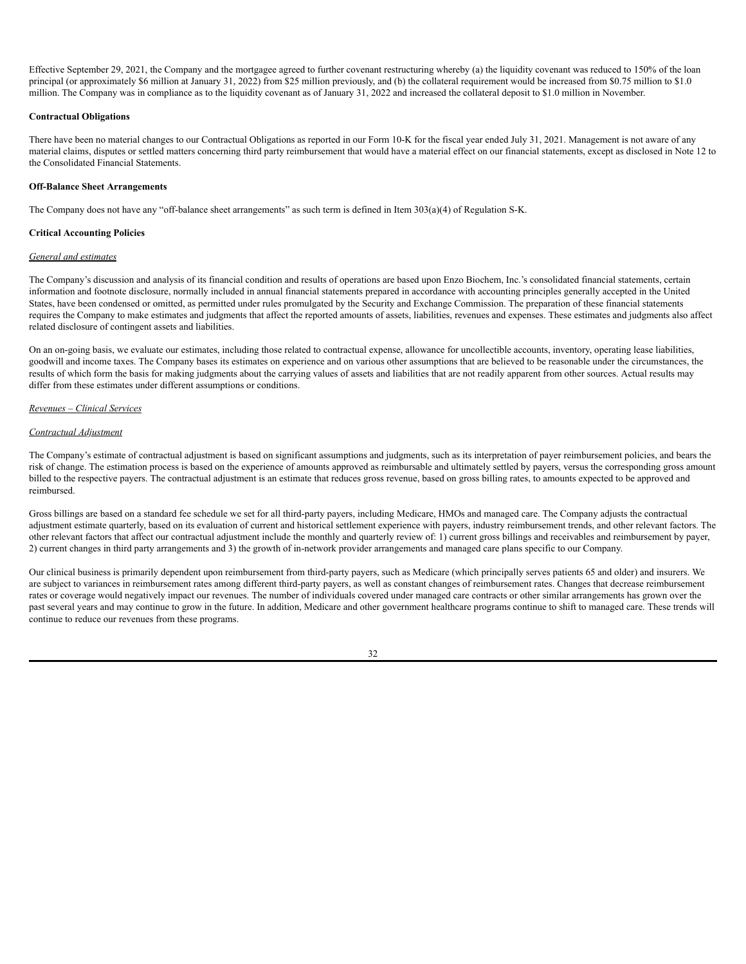Effective September 29, 2021, the Company and the mortgagee agreed to further covenant restructuring whereby (a) the liquidity covenant was reduced to 150% of the loan principal (or approximately \$6 million at January 31, 2022) from \$25 million previously, and (b) the collateral requirement would be increased from \$0.75 million to \$1.0 million. The Company was in compliance as to the liquidity covenant as of January 31, 2022 and increased the collateral deposit to \$1.0 million in November.

# **Contractual Obligations**

There have been no material changes to our Contractual Obligations as reported in our Form 10-K for the fiscal year ended July 31, 2021. Management is not aware of any material claims, disputes or settled matters concerning third party reimbursement that would have a material effect on our financial statements, except as disclosed in Note 12 to the Consolidated Financial Statements.

# **Off-Balance Sheet Arrangements**

The Company does not have any "off-balance sheet arrangements" as such term is defined in Item 303(a)(4) of Regulation S-K.

# **Critical Accounting Policies**

### *General and estimates*

The Company's discussion and analysis of its financial condition and results of operations are based upon Enzo Biochem, Inc.'s consolidated financial statements, certain information and footnote disclosure, normally included in annual financial statements prepared in accordance with accounting principles generally accepted in the United States, have been condensed or omitted, as permitted under rules promulgated by the Security and Exchange Commission. The preparation of these financial statements requires the Company to make estimates and judgments that affect the reported amounts of assets, liabilities, revenues and expenses. These estimates and judgments also affect related disclosure of contingent assets and liabilities.

On an on-going basis, we evaluate our estimates, including those related to contractual expense, allowance for uncollectible accounts, inventory, operating lease liabilities, goodwill and income taxes. The Company bases its estimates on experience and on various other assumptions that are believed to be reasonable under the circumstances, the results of which form the basis for making judgments about the carrying values of assets and liabilities that are not readily apparent from other sources. Actual results may differ from these estimates under different assumptions or conditions.

# *Revenues – Clinical Services*

### *Contractual Adjustment*

The Company's estimate of contractual adjustment is based on significant assumptions and judgments, such as its interpretation of payer reimbursement policies, and bears the risk of change. The estimation process is based on the experience of amounts approved as reimbursable and ultimately settled by payers, versus the corresponding gross amount billed to the respective payers. The contractual adjustment is an estimate that reduces gross revenue, based on gross billing rates, to amounts expected to be approved and reimbursed.

Gross billings are based on a standard fee schedule we set for all third-party payers, including Medicare, HMOs and managed care. The Company adjusts the contractual adjustment estimate quarterly, based on its evaluation of current and historical settlement experience with payers, industry reimbursement trends, and other relevant factors. The other relevant factors that affect our contractual adjustment include the monthly and quarterly review of: 1) current gross billings and receivables and reimbursement by payer, 2) current changes in third party arrangements and 3) the growth of in-network provider arrangements and managed care plans specific to our Company.

Our clinical business is primarily dependent upon reimbursement from third-party payers, such as Medicare (which principally serves patients 65 and older) and insurers. We are subject to variances in reimbursement rates among different third-party payers, as well as constant changes of reimbursement rates. Changes that decrease reimbursement rates or coverage would negatively impact our revenues. The number of individuals covered under managed care contracts or other similar arrangements has grown over the past several years and may continue to grow in the future. In addition, Medicare and other government healthcare programs continue to shift to managed care. These trends will continue to reduce our revenues from these programs.

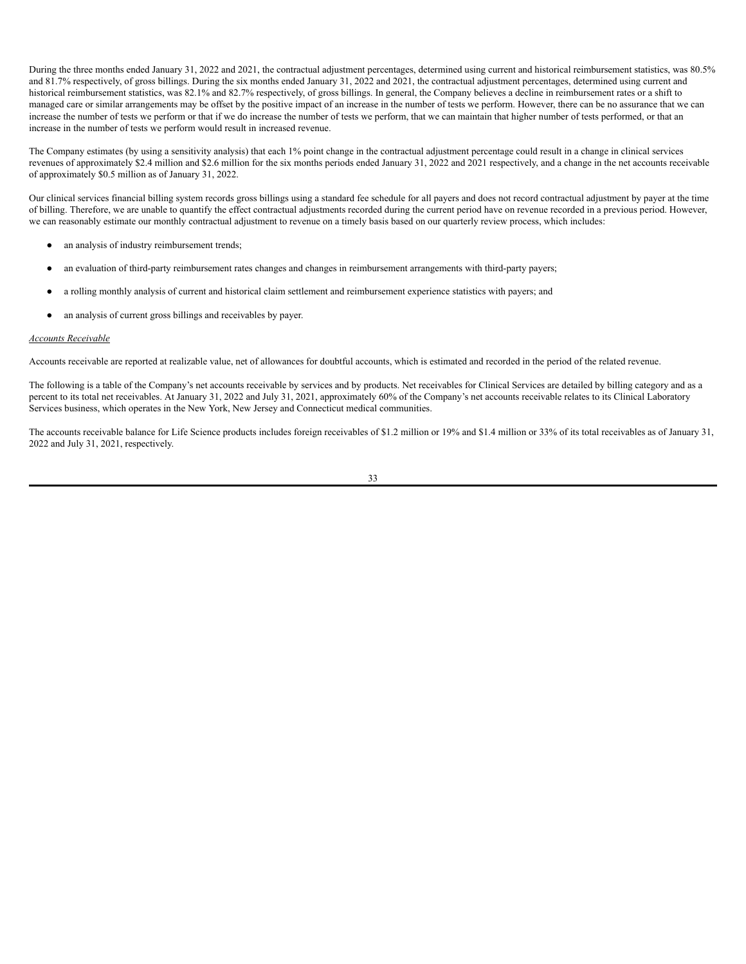During the three months ended January 31, 2022 and 2021, the contractual adjustment percentages, determined using current and historical reimbursement statistics, was 80.5% and 81.7% respectively, of gross billings. During the six months ended January 31, 2022 and 2021, the contractual adjustment percentages, determined using current and historical reimbursement statistics, was 82.1% and 82.7% respectively, of gross billings. In general, the Company believes a decline in reimbursement rates or a shift to managed care or similar arrangements may be offset by the positive impact of an increase in the number of tests we perform. However, there can be no assurance that we can increase the number of tests we perform or that if we do increase the number of tests we perform, that we can maintain that higher number of tests performed, or that an increase in the number of tests we perform would result in increased revenue.

The Company estimates (by using a sensitivity analysis) that each 1% point change in the contractual adjustment percentage could result in a change in clinical services revenues of approximately \$2.4 million and \$2.6 million for the six months periods ended January 31, 2022 and 2021 respectively, and a change in the net accounts receivable of approximately \$0.5 million as of January 31, 2022.

Our clinical services financial billing system records gross billings using a standard fee schedule for all payers and does not record contractual adjustment by payer at the time of billing. Therefore, we are unable to quantify the effect contractual adjustments recorded during the current period have on revenue recorded in a previous period. However, we can reasonably estimate our monthly contractual adjustment to revenue on a timely basis based on our quarterly review process, which includes:

- an analysis of industry reimbursement trends;
- an evaluation of third-party reimbursement rates changes and changes in reimbursement arrangements with third-party payers;
- a rolling monthly analysis of current and historical claim settlement and reimbursement experience statistics with payers; and
- an analysis of current gross billings and receivables by payer.

### *Accounts Receivable*

Accounts receivable are reported at realizable value, net of allowances for doubtful accounts, which is estimated and recorded in the period of the related revenue.

The following is a table of the Company's net accounts receivable by services and by products. Net receivables for Clinical Services are detailed by billing category and as a percent to its total net receivables. At January 31, 2022 and July 31, 2021, approximately 60% of the Company's net accounts receivable relates to its Clinical Laboratory Services business, which operates in the New York, New Jersey and Connecticut medical communities.

The accounts receivable balance for Life Science products includes foreign receivables of \$1.2 million or 19% and \$1.4 million or 33% of its total receivables as of January 31, 2022 and July 31, 2021, respectively.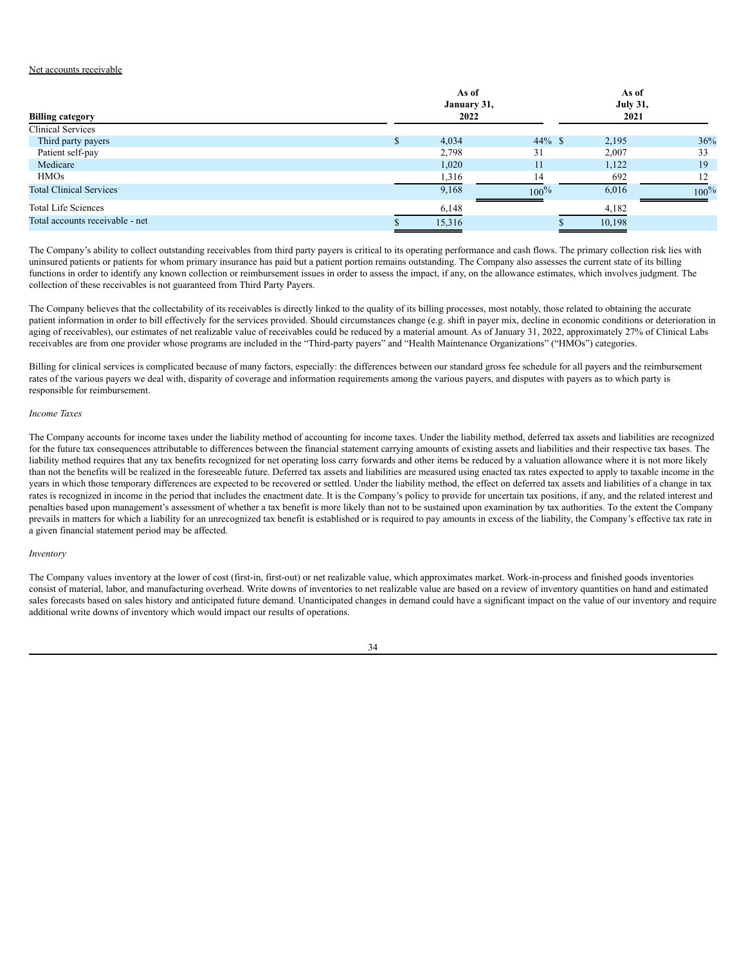# Net accounts receivable

| <b>Billing category</b>         |              | As of<br>January 31,<br>2022 |           | As of<br><b>July 31,</b><br>2021 |         |
|---------------------------------|--------------|------------------------------|-----------|----------------------------------|---------|
| <b>Clinical Services</b>        |              |                              |           |                                  |         |
| Third party payers              | $\mathbf{a}$ | 4,034                        | $44\%$ \$ | 2,195                            | 36%     |
| Patient self-pay                |              | 2,798                        | 31        | 2,007                            | 33      |
| Medicare                        |              | 1,020                        | 11        | 1,122                            | 19      |
| <b>HMOs</b>                     |              | 1,316                        | 14        | 692                              |         |
| <b>Total Clinical Services</b>  |              | 9,168                        | $100\%$   | 6,016                            | $100\%$ |
| <b>Total Life Sciences</b>      |              | 6,148                        |           | 4,182                            |         |
| Total accounts receivable - net |              | 15,316                       |           | 10,198                           |         |

The Company's ability to collect outstanding receivables from third party payers is critical to its operating performance and cash flows. The primary collection risk lies with uninsured patients or patients for whom primary insurance has paid but a patient portion remains outstanding. The Company also assesses the current state of its billing functions in order to identify any known collection or reimbursement issues in order to assess the impact, if any, on the allowance estimates, which involves judgment. The collection of these receivables is not guaranteed from Third Party Payers.

The Company believes that the collectability of its receivables is directly linked to the quality of its billing processes, most notably, those related to obtaining the accurate patient information in order to bill effectively for the services provided. Should circumstances change (e.g. shift in payer mix, decline in economic conditions or deterioration in aging of receivables), our estimates of net realizable value of receivables could be reduced by a material amount. As of January 31, 2022, approximately 27% of Clinical Labs receivables are from one provider whose programs are included in the "Third-party payers" and "Health Maintenance Organizations" ("HMOs") categories.

Billing for clinical services is complicated because of many factors, especially: the differences between our standard gross fee schedule for all payers and the reimbursement rates of the various payers we deal with, disparity of coverage and information requirements among the various payers, and disputes with payers as to which party is responsible for reimbursement.

### *Income Taxes*

The Company accounts for income taxes under the liability method of accounting for income taxes. Under the liability method, deferred tax assets and liabilities are recognized for the future tax consequences attributable to differences between the financial statement carrying amounts of existing assets and liabilities and their respective tax bases. The liability method requires that any tax benefits recognized for net operating loss carry forwards and other items be reduced by a valuation allowance where it is not more likely than not the benefits will be realized in the foreseeable future. Deferred tax assets and liabilities are measured using enacted tax rates expected to apply to taxable income in the years in which those temporary differences are expected to be recovered or settled. Under the liability method, the effect on deferred tax assets and liabilities of a change in tax rates is recognized in income in the period that includes the enactment date. It is the Company's policy to provide for uncertain tax positions, if any, and the related interest and penalties based upon management's assessment of whether a tax benefit is more likely than not to be sustained upon examination by tax authorities. To the extent the Company prevails in matters for which a liability for an unrecognized tax benefit is established or is required to pay amounts in excess of the liability, the Company's effective tax rate in a given financial statement period may be affected.

### *Inventory*

The Company values inventory at the lower of cost (first-in, first-out) or net realizable value, which approximates market. Work-in-process and finished goods inventories consist of material, labor, and manufacturing overhead. Write downs of inventories to net realizable value are based on a review of inventory quantities on hand and estimated sales forecasts based on sales history and anticipated future demand. Unanticipated changes in demand could have a significant impact on the value of our inventory and require additional write downs of inventory which would impact our results of operations.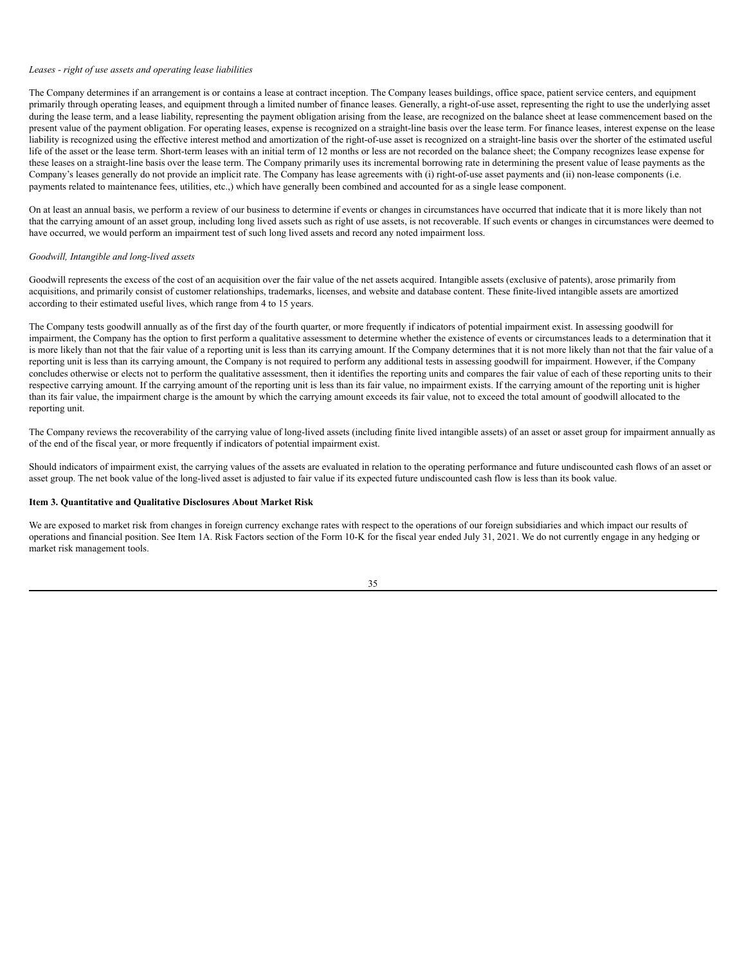#### *Leases - right of use assets and operating lease liabilities*

The Company determines if an arrangement is or contains a lease at contract inception. The Company leases buildings, office space, patient service centers, and equipment primarily through operating leases, and equipment through a limited number of finance leases. Generally, a right-of-use asset, representing the right to use the underlying asset during the lease term, and a lease liability, representing the payment obligation arising from the lease, are recognized on the balance sheet at lease commencement based on the present value of the payment obligation. For operating leases, expense is recognized on a straight-line basis over the lease term. For finance leases, interest expense on the lease liability is recognized using the effective interest method and amortization of the right-of-use asset is recognized on a straight-line basis over the shorter of the estimated useful life of the asset or the lease term. Short-term leases with an initial term of 12 months or less are not recorded on the balance sheet; the Company recognizes lease expense for these leases on a straight-line basis over the lease term. The Company primarily uses its incremental borrowing rate in determining the present value of lease payments as the Company's leases generally do not provide an implicit rate. The Company has lease agreements with (i) right-of-use asset payments and (ii) non-lease components (i.e. payments related to maintenance fees, utilities, etc.,) which have generally been combined and accounted for as a single lease component.

On at least an annual basis, we perform a review of our business to determine if events or changes in circumstances have occurred that indicate that it is more likely than not that the carrying amount of an asset group, including long lived assets such as right of use assets, is not recoverable. If such events or changes in circumstances were deemed to have occurred, we would perform an impairment test of such long lived assets and record any noted impairment loss.

### *Goodwill, Intangible and long-lived assets*

Goodwill represents the excess of the cost of an acquisition over the fair value of the net assets acquired. Intangible assets (exclusive of patents), arose primarily from acquisitions, and primarily consist of customer relationships, trademarks, licenses, and website and database content. These finite-lived intangible assets are amortized according to their estimated useful lives, which range from 4 to 15 years.

The Company tests goodwill annually as of the first day of the fourth quarter, or more frequently if indicators of potential impairment exist. In assessing goodwill for impairment, the Company has the option to first perform a qualitative assessment to determine whether the existence of events or circumstances leads to a determination that it is more likely than not that the fair value of a reporting unit is less than its carrying amount. If the Company determines that it is not more likely than not that the fair value of a reporting unit is less than its carrying amount, the Company is not required to perform any additional tests in assessing goodwill for impairment. However, if the Company concludes otherwise or elects not to perform the qualitative assessment, then it identifies the reporting units and compares the fair value of each of these reporting units to their respective carrying amount. If the carrying amount of the reporting unit is less than its fair value, no impairment exists. If the carrying amount of the reporting unit is higher than its fair value, the impairment charge is the amount by which the carrying amount exceeds its fair value, not to exceed the total amount of goodwill allocated to the reporting unit.

The Company reviews the recoverability of the carrying value of long-lived assets (including finite lived intangible assets) of an asset or asset group for impairment annually as of the end of the fiscal year, or more frequently if indicators of potential impairment exist.

Should indicators of impairment exist, the carrying values of the assets are evaluated in relation to the operating performance and future undiscounted cash flows of an asset or asset group. The net book value of the long-lived asset is adjusted to fair value if its expected future undiscounted cash flow is less than its book value.

# <span id="page-36-0"></span>**Item 3. Quantitative and Qualitative Disclosures About Market Risk**

We are exposed to market risk from changes in foreign currency exchange rates with respect to the operations of our foreign subsidiaries and which impact our results of operations and financial position. See Item 1A. Risk Factors section of the Form 10-K for the fiscal year ended July 31, 2021. We do not currently engage in any hedging or market risk management tools.

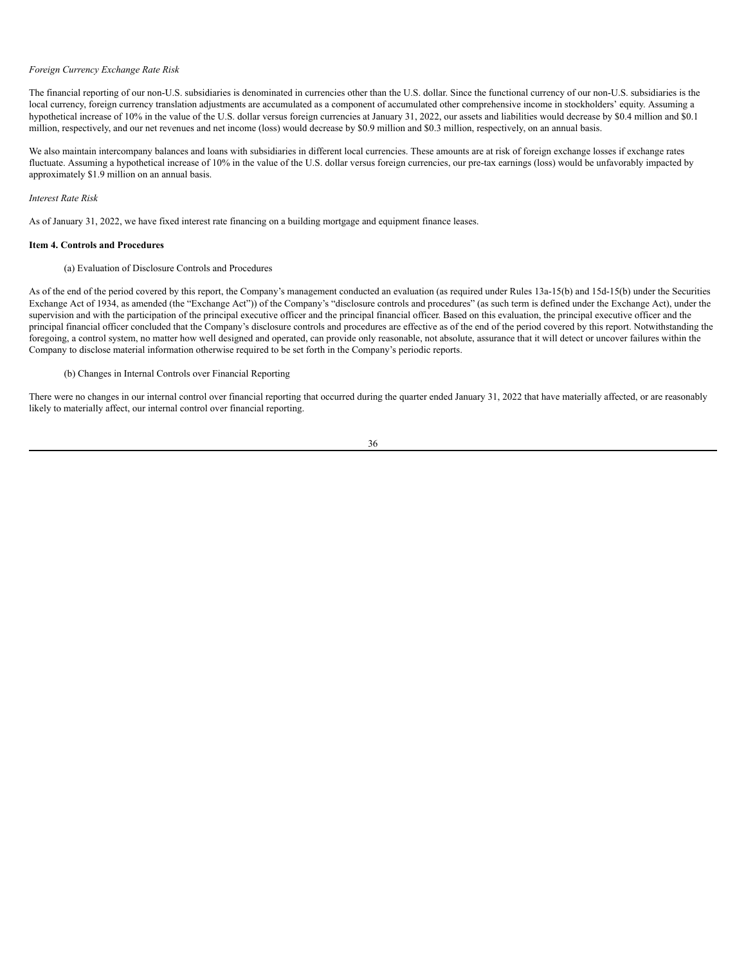#### *Foreign Currency Exchange Rate Risk*

The financial reporting of our non-U.S. subsidiaries is denominated in currencies other than the U.S. dollar. Since the functional currency of our non-U.S. subsidiaries is the local currency, foreign currency translation adjustments are accumulated as a component of accumulated other comprehensive income in stockholders' equity. Assuming a hypothetical increase of 10% in the value of the U.S. dollar versus foreign currencies at January 31, 2022, our assets and liabilities would decrease by \$0.4 million and \$0.1 million, respectively, and our net revenues and net income (loss) would decrease by \$0.9 million and \$0.3 million, respectively, on an annual basis.

We also maintain intercompany balances and loans with subsidiaries in different local currencies. These amounts are at risk of foreign exchange losses if exchange rates fluctuate. Assuming a hypothetical increase of 10% in the value of the U.S. dollar versus foreign currencies, our pre-tax earnings (loss) would be unfavorably impacted by approximately \$1.9 million on an annual basis.

### *Interest Rate Risk*

As of January 31, 2022, we have fixed interest rate financing on a building mortgage and equipment finance leases.

### <span id="page-37-0"></span>**Item 4. Controls and Procedures**

# (a) Evaluation of Disclosure Controls and Procedures

As of the end of the period covered by this report, the Company's management conducted an evaluation (as required under Rules 13a-15(b) and 15d-15(b) under the Securities Exchange Act of 1934, as amended (the "Exchange Act")) of the Company's "disclosure controls and procedures" (as such term is defined under the Exchange Act), under the supervision and with the participation of the principal executive officer and the principal financial officer. Based on this evaluation, the principal executive officer and the principal financial officer concluded that the Company's disclosure controls and procedures are effective as of the end of the period covered by this report. Notwithstanding the foregoing, a control system, no matter how well designed and operated, can provide only reasonable, not absolute, assurance that it will detect or uncover failures within the Company to disclose material information otherwise required to be set forth in the Company's periodic reports.

# (b) Changes in Internal Controls over Financial Reporting

There were no changes in our internal control over financial reporting that occurred during the quarter ended January 31, 2022 that have materially affected, or are reasonably likely to materially affect, our internal control over financial reporting.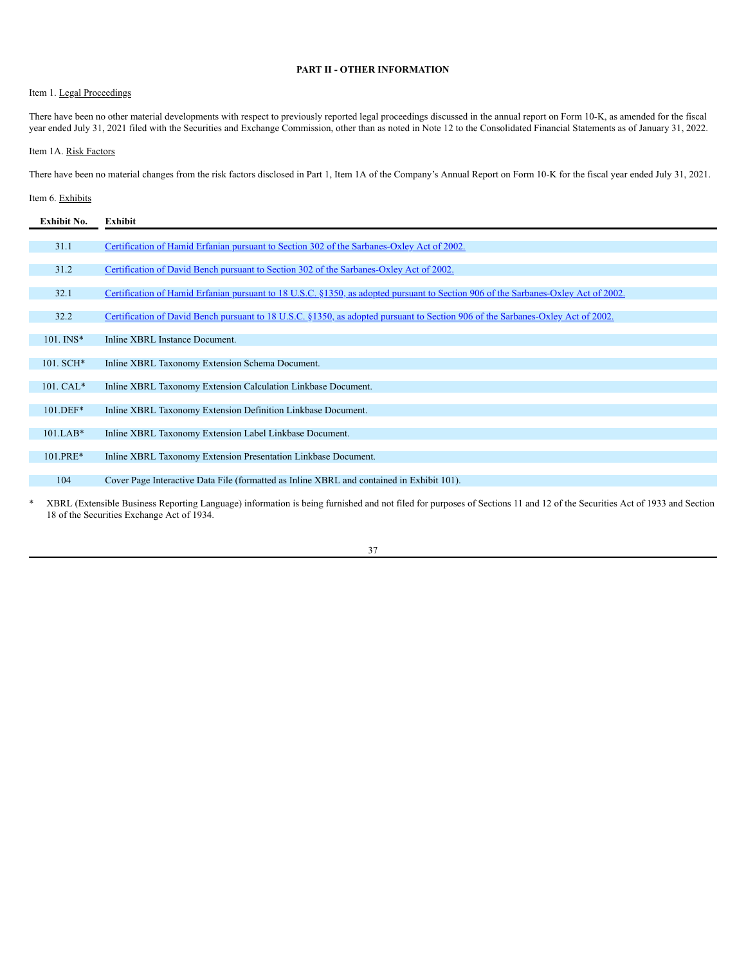# **PART II - OTHER INFORMATION**

# <span id="page-38-1"></span><span id="page-38-0"></span>Item 1. Legal Proceedings

There have been no other material developments with respect to previously reported legal proceedings discussed in the annual report on Form 10-K, as amended for the fiscal year ended July 31, 2021 filed with the Securities and Exchange Commission, other than as noted in Note 12 to the Consolidated Financial Statements as of January 31, 2022.

# <span id="page-38-2"></span>Item 1A. Risk Factors

There have been no material changes from the risk factors disclosed in Part 1, Item 1A of the Company's Annual Report on Form 10-K for the fiscal year ended July 31, 2021.

# <span id="page-38-3"></span>Item 6. Exhibits

| Exhibit No.    | Exhibit                                                                                                                            |
|----------------|------------------------------------------------------------------------------------------------------------------------------------|
|                |                                                                                                                                    |
| 31.1           | Certification of Hamid Erfanian pursuant to Section 302 of the Sarbanes-Oxley Act of 2002.                                         |
|                |                                                                                                                                    |
| 31.2           | Certification of David Bench pursuant to Section 302 of the Sarbanes-Oxley Act of 2002.                                            |
| 32.1           | Certification of Hamid Erfanian pursuant to 18 U.S.C. §1350, as adopted pursuant to Section 906 of the Sarbanes-Oxley Act of 2002. |
|                |                                                                                                                                    |
| 32.2           | Certification of David Bench pursuant to 18 U.S.C. §1350, as adopted pursuant to Section 906 of the Sarbanes-Oxley Act of 2002.    |
|                |                                                                                                                                    |
| $101.$ INS*    | Inline XBRL Instance Document.                                                                                                     |
| $101.$ SCH $*$ | Inline XBRL Taxonomy Extension Schema Document.                                                                                    |
|                |                                                                                                                                    |
| 101. CAL*      | Inline XBRL Taxonomy Extension Calculation Linkbase Document.                                                                      |
|                |                                                                                                                                    |
| 101.DEF*       | Inline XBRL Taxonomy Extension Definition Linkbase Document.                                                                       |
|                |                                                                                                                                    |
| $101.LAB*$     | Inline XBRL Taxonomy Extension Label Linkbase Document.                                                                            |
| 101.PRE*       | Inline XBRL Taxonomy Extension Presentation Linkbase Document.                                                                     |
|                |                                                                                                                                    |
| 104            | Cover Page Interactive Data File (formatted as Inline XBRL and contained in Exhibit 101).                                          |
|                |                                                                                                                                    |

\* XBRL (Extensible Business Reporting Language) information is being furnished and not filed for purposes of Sections 11 and 12 of the Securities Act of 1933 and Section 18 of the Securities Exchange Act of 1934.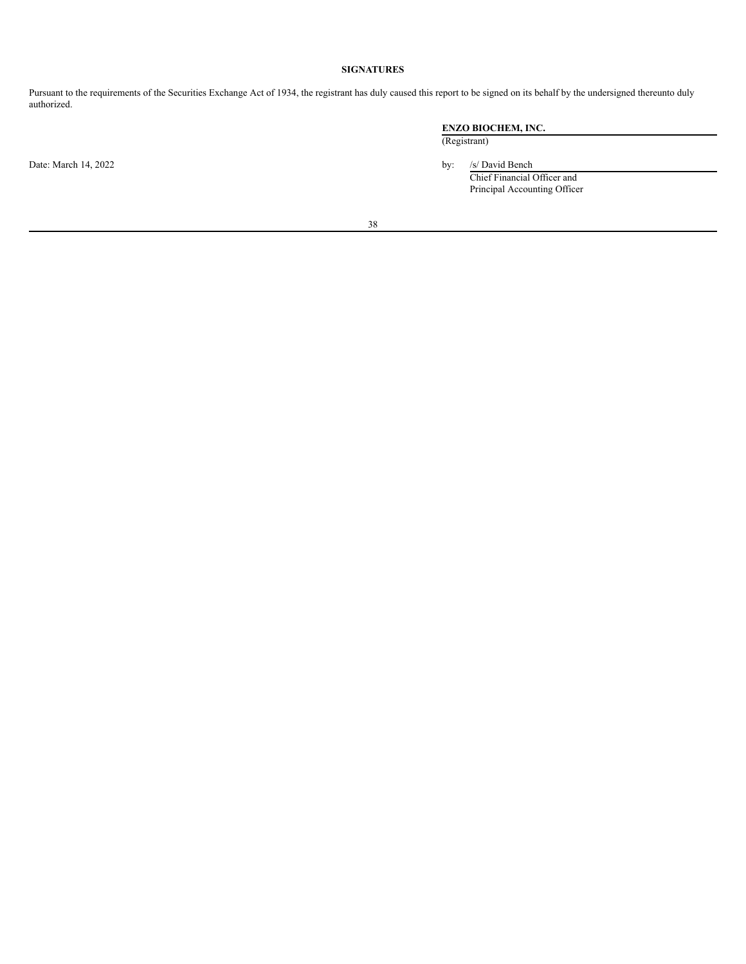# **SIGNATURES**

<span id="page-39-0"></span>Pursuant to the requirements of the Securities Exchange Act of 1934, the registrant has duly caused this report to be signed on its behalf by the undersigned thereunto duly authorized.

Date: March 14, 2022 by: /s/ David Bench

# **ENZO BIOCHEM, INC.**

(Registrant)

Chief Financial Officer and Principal Accounting Officer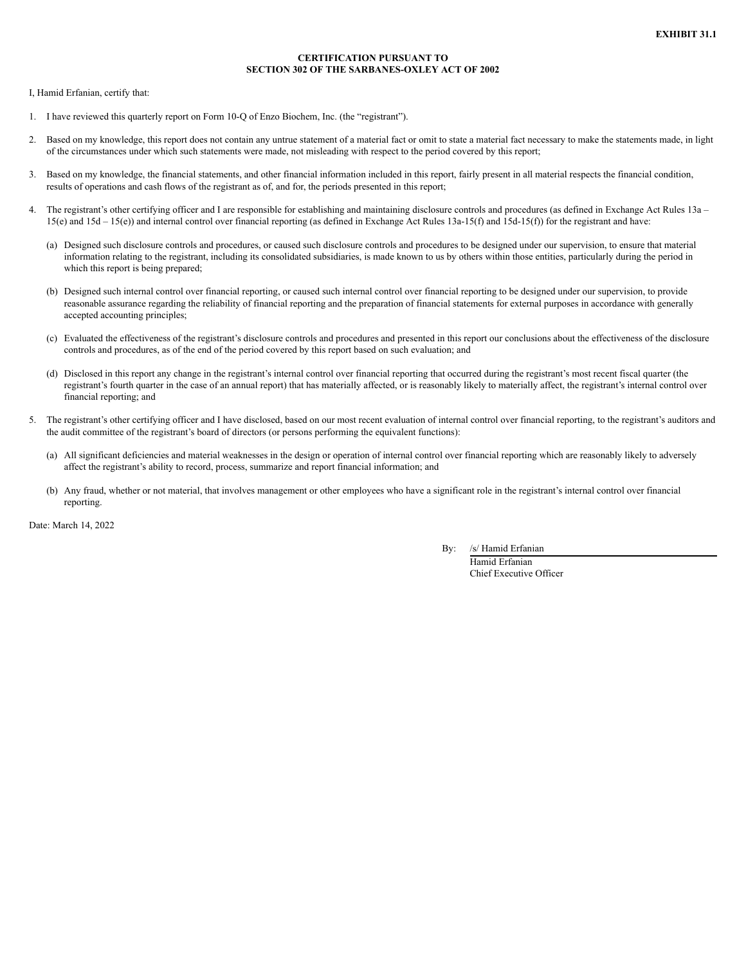# **CERTIFICATION PURSUANT TO SECTION 302 OF THE SARBANES-OXLEY ACT OF 2002**

I, Hamid Erfanian, certify that:

- 1. I have reviewed this quarterly report on Form 10-Q of Enzo Biochem, Inc. (the "registrant").
- 2. Based on my knowledge, this report does not contain any untrue statement of a material fact or omit to state a material fact necessary to make the statements made, in light of the circumstances under which such statements were made, not misleading with respect to the period covered by this report;
- 3. Based on my knowledge, the financial statements, and other financial information included in this report, fairly present in all material respects the financial condition, results of operations and cash flows of the registrant as of, and for, the periods presented in this report;
- 4. The registrant's other certifying officer and I are responsible for establishing and maintaining disclosure controls and procedures (as defined in Exchange Act Rules 13a 15(e) and 15d – 15(e)) and internal control over financial reporting (as defined in Exchange Act Rules 13a-15(f) and 15d-15(f)) for the registrant and have:
	- (a) Designed such disclosure controls and procedures, or caused such disclosure controls and procedures to be designed under our supervision, to ensure that material information relating to the registrant, including its consolidated subsidiaries, is made known to us by others within those entities, particularly during the period in which this report is being prepared;
	- (b) Designed such internal control over financial reporting, or caused such internal control over financial reporting to be designed under our supervision, to provide reasonable assurance regarding the reliability of financial reporting and the preparation of financial statements for external purposes in accordance with generally accepted accounting principles;
	- (c) Evaluated the effectiveness of the registrant's disclosure controls and procedures and presented in this report our conclusions about the effectiveness of the disclosure controls and procedures, as of the end of the period covered by this report based on such evaluation; and
	- (d) Disclosed in this report any change in the registrant's internal control over financial reporting that occurred during the registrant's most recent fiscal quarter (the registrant's fourth quarter in the case of an annual report) that has materially affected, or is reasonably likely to materially affect, the registrant's internal control over financial reporting; and
- The registrant's other certifying officer and I have disclosed, based on our most recent evaluation of internal control over financial reporting, to the registrant's auditors and the audit committee of the registrant's board of directors (or persons performing the equivalent functions):
	- (a) All significant deficiencies and material weaknesses in the design or operation of internal control over financial reporting which are reasonably likely to adversely affect the registrant's ability to record, process, summarize and report financial information; and
	- (b) Any fraud, whether or not material, that involves management or other employees who have a significant role in the registrant's internal control over financial reporting.

Date: March 14, 2022

By: /s/ Hamid Erfanian

Hamid Erfanian Chief Executive Officer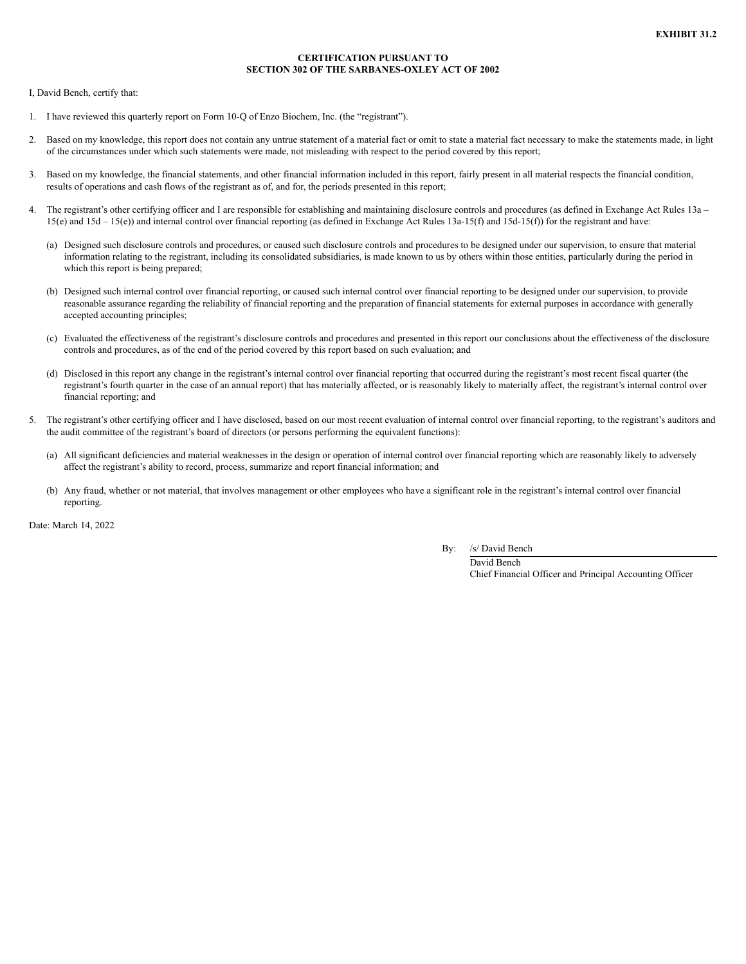# **CERTIFICATION PURSUANT TO SECTION 302 OF THE SARBANES-OXLEY ACT OF 2002**

I, David Bench, certify that:

- 1. I have reviewed this quarterly report on Form 10-Q of Enzo Biochem, Inc. (the "registrant").
- 2. Based on my knowledge, this report does not contain any untrue statement of a material fact or omit to state a material fact necessary to make the statements made, in light of the circumstances under which such statements were made, not misleading with respect to the period covered by this report;
- 3. Based on my knowledge, the financial statements, and other financial information included in this report, fairly present in all material respects the financial condition, results of operations and cash flows of the registrant as of, and for, the periods presented in this report;
- 4. The registrant's other certifying officer and I are responsible for establishing and maintaining disclosure controls and procedures (as defined in Exchange Act Rules 13a 15(e) and 15d – 15(e)) and internal control over financial reporting (as defined in Exchange Act Rules 13a-15(f) and 15d-15(f)) for the registrant and have:
	- (a) Designed such disclosure controls and procedures, or caused such disclosure controls and procedures to be designed under our supervision, to ensure that material information relating to the registrant, including its consolidated subsidiaries, is made known to us by others within those entities, particularly during the period in which this report is being prepared;
	- (b) Designed such internal control over financial reporting, or caused such internal control over financial reporting to be designed under our supervision, to provide reasonable assurance regarding the reliability of financial reporting and the preparation of financial statements for external purposes in accordance with generally accepted accounting principles;
	- (c) Evaluated the effectiveness of the registrant's disclosure controls and procedures and presented in this report our conclusions about the effectiveness of the disclosure controls and procedures, as of the end of the period covered by this report based on such evaluation; and
	- (d) Disclosed in this report any change in the registrant's internal control over financial reporting that occurred during the registrant's most recent fiscal quarter (the registrant's fourth quarter in the case of an annual report) that has materially affected, or is reasonably likely to materially affect, the registrant's internal control over financial reporting; and
- The registrant's other certifying officer and I have disclosed, based on our most recent evaluation of internal control over financial reporting, to the registrant's auditors and the audit committee of the registrant's board of directors (or persons performing the equivalent functions):
	- (a) All significant deficiencies and material weaknesses in the design or operation of internal control over financial reporting which are reasonably likely to adversely affect the registrant's ability to record, process, summarize and report financial information; and
	- (b) Any fraud, whether or not material, that involves management or other employees who have a significant role in the registrant's internal control over financial reporting.

Date: March 14, 2022

By: /s/ David Bench

David Bench Chief Financial Officer and Principal Accounting Officer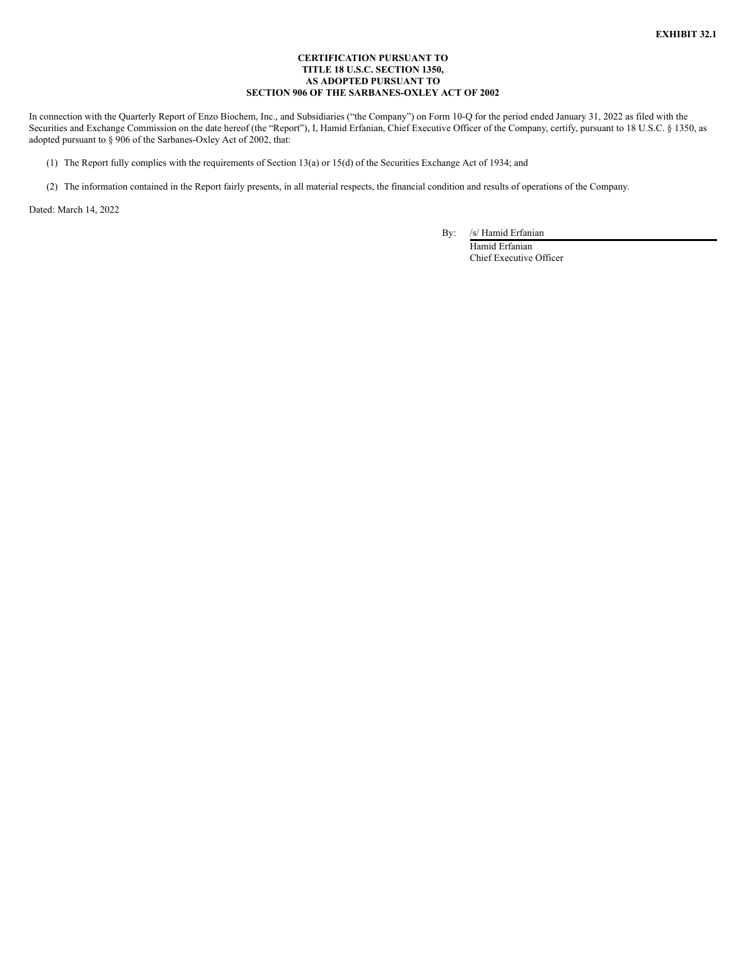### **CERTIFICATION PURSUANT TO TITLE 18 U.S.C. SECTION 1350, AS ADOPTED PURSUANT TO SECTION 906 OF THE SARBANES-OXLEY ACT OF 2002**

In connection with the Quarterly Report of Enzo Biochem, Inc., and Subsidiaries ("the Company") on Form 10-Q for the period ended January 31, 2022 as filed with the Securities and Exchange Commission on the date hereof (the "Report"), I, Hamid Erfanian, Chief Executive Officer of the Company, certify, pursuant to 18 U.S.C. § 1350, as adopted pursuant to § 906 of the Sarbanes-Oxley Act of 2002, that:

- (1) The Report fully complies with the requirements of Section 13(a) or 15(d) of the Securities Exchange Act of 1934; and
- (2) The information contained in the Report fairly presents, in all material respects, the financial condition and results of operations of the Company.

Dated: March 14, 2022

By: /s/ Hamid Erfanian

Hamid Erfanian Chief Executive Officer